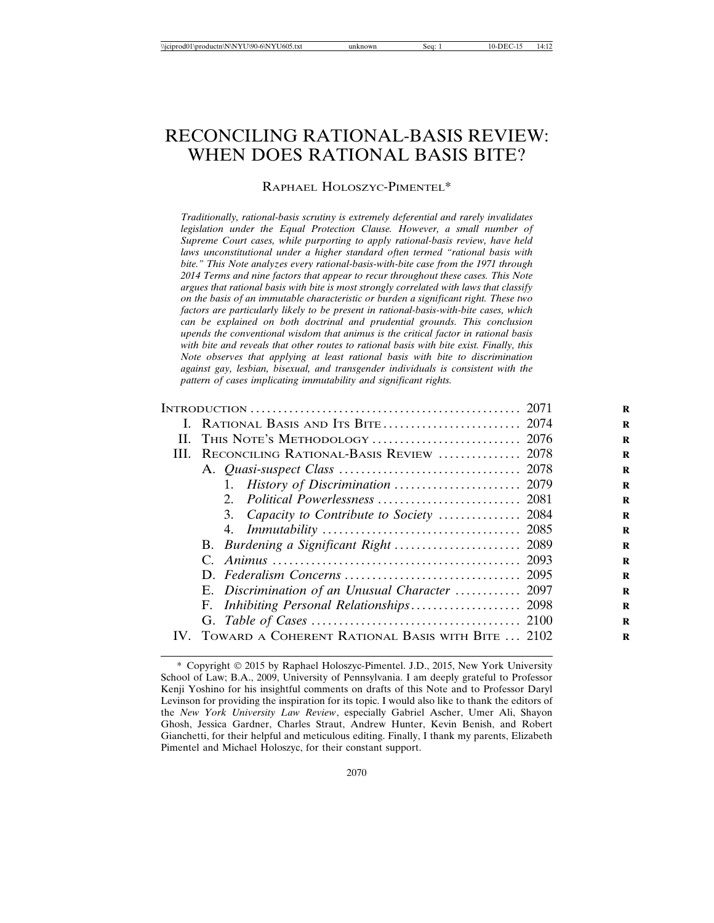# RECONCILING RATIONAL-BASIS REVIEW: WHEN DOES RATIONAL BASIS BITE?

RAPHAEL HOLOSZYC-PIMENTEL\*

*Traditionally, rational-basis scrutiny is extremely deferential and rarely invalidates legislation under the Equal Protection Clause. However, a small number of Supreme Court cases, while purporting to apply rational-basis review, have held laws unconstitutional under a higher standard often termed "rational basis with bite." This Note analyzes every rational-basis-with-bite case from the 1971 through 2014 Terms and nine factors that appear to recur throughout these cases. This Note argues that rational basis with bite is most strongly correlated with laws that classify on the basis of an immutable characteristic or burden a significant right. These two factors are particularly likely to be present in rational-basis-with-bite cases, which can be explained on both doctrinal and prudential grounds. This conclusion upends the conventional wisdom that animus is the critical factor in rational basis with bite and reveals that other routes to rational basis with bite exist. Finally, this Note observes that applying at least rational basis with bite to discrimination against gay, lesbian, bisexual, and transgender individuals is consistent with the pattern of cases implicating immutability and significant rights.*

| H.                |                                                  |  |
|-------------------|--------------------------------------------------|--|
| HL.               | RECONCILING RATIONAL-BASIS REVIEW  2078          |  |
|                   |                                                  |  |
|                   | 1. History of Discrimination  2079               |  |
|                   |                                                  |  |
|                   | 3. Capacity to Contribute to Society  2084       |  |
|                   |                                                  |  |
|                   |                                                  |  |
|                   |                                                  |  |
|                   |                                                  |  |
|                   | E. Discrimination of an Unusual Character  2097  |  |
|                   |                                                  |  |
|                   |                                                  |  |
| $\mathbf{IV}_{-}$ | TOWARD A COHERENT RATIONAL BASIS WITH BITE  2102 |  |
|                   |                                                  |  |

<sup>\*</sup> Copyright © 2015 by Raphael Holoszyc-Pimentel. J.D., 2015, New York University School of Law; B.A., 2009, University of Pennsylvania. I am deeply grateful to Professor Kenji Yoshino for his insightful comments on drafts of this Note and to Professor Daryl Levinson for providing the inspiration for its topic. I would also like to thank the editors of the *New York University Law Review*, especially Gabriel Ascher, Umer Ali, Shayon Ghosh, Jessica Gardner, Charles Straut, Andrew Hunter, Kevin Benish, and Robert Gianchetti, for their helpful and meticulous editing. Finally, I thank my parents, Elizabeth Pimentel and Michael Holoszyc, for their constant support.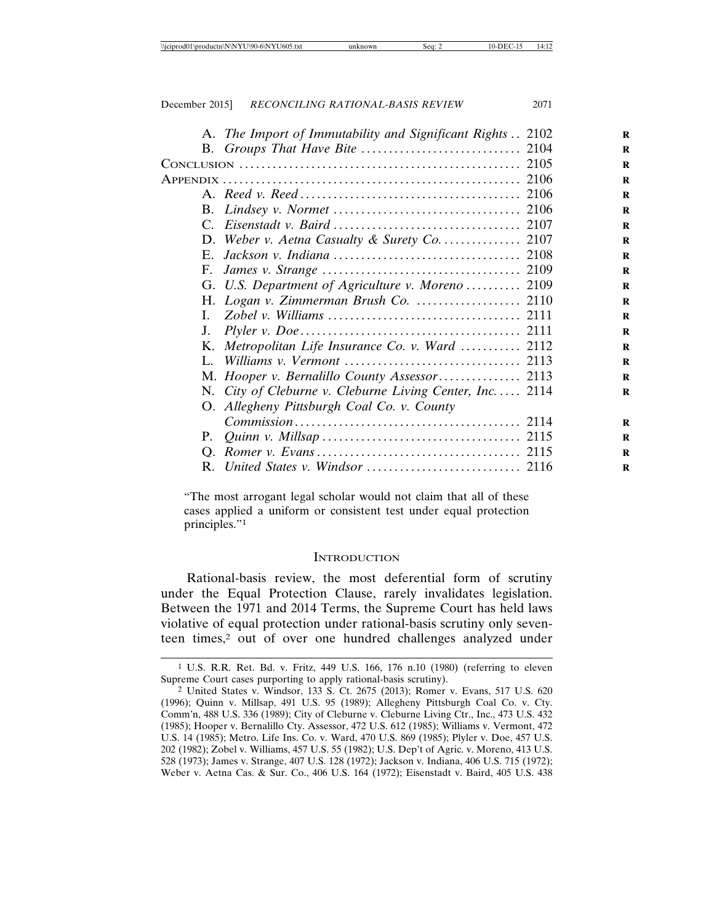|             | A. The Import of Immutability and Significant Rights  2102 |  |
|-------------|------------------------------------------------------------|--|
|             |                                                            |  |
|             |                                                            |  |
|             |                                                            |  |
|             |                                                            |  |
|             |                                                            |  |
|             |                                                            |  |
|             | D. Weber v. Aetna Casualty & Surety Co 2107                |  |
|             |                                                            |  |
| F.          |                                                            |  |
|             | G. U.S. Department of Agriculture v. Moreno  2109          |  |
|             |                                                            |  |
| L.          |                                                            |  |
| $J_{\cdot}$ |                                                            |  |
|             | K. Metropolitan Life Insurance Co. v. Ward  2112           |  |
|             |                                                            |  |
|             |                                                            |  |
|             | N. City of Cleburne v. Cleburne Living Center, Inc 2114    |  |
|             | O. Allegheny Pittsburgh Coal Co. v. County                 |  |
|             |                                                            |  |
|             |                                                            |  |
|             |                                                            |  |
|             |                                                            |  |

"The most arrogant legal scholar would not claim that all of these cases applied a uniform or consistent test under equal protection principles."1

#### **INTRODUCTION**

Rational-basis review, the most deferential form of scrutiny under the Equal Protection Clause, rarely invalidates legislation. Between the 1971 and 2014 Terms, the Supreme Court has held laws violative of equal protection under rational-basis scrutiny only seventeen times,<sup>2</sup> out of over one hundred challenges analyzed under

<sup>1</sup> U.S. R.R. Ret. Bd. v. Fritz, 449 U.S. 166, 176 n.10 (1980) (referring to eleven Supreme Court cases purporting to apply rational-basis scrutiny).

<sup>2</sup> United States v. Windsor, 133 S. Ct. 2675 (2013); Romer v. Evans, 517 U.S. 620 (1996); Quinn v. Millsap, 491 U.S. 95 (1989); Allegheny Pittsburgh Coal Co. v. Cty. Comm'n, 488 U.S. 336 (1989); City of Cleburne v. Cleburne Living Ctr., Inc., 473 U.S. 432 (1985); Hooper v. Bernalillo Cty. Assessor, 472 U.S. 612 (1985); Williams v. Vermont, 472 U.S. 14 (1985); Metro. Life Ins. Co. v. Ward, 470 U.S. 869 (1985); Plyler v. Doe, 457 U.S. 202 (1982); Zobel v. Williams, 457 U.S. 55 (1982); U.S. Dep't of Agric. v. Moreno, 413 U.S. 528 (1973); James v. Strange, 407 U.S. 128 (1972); Jackson v. Indiana, 406 U.S. 715 (1972); Weber v. Aetna Cas. & Sur. Co., 406 U.S. 164 (1972); Eisenstadt v. Baird, 405 U.S. 438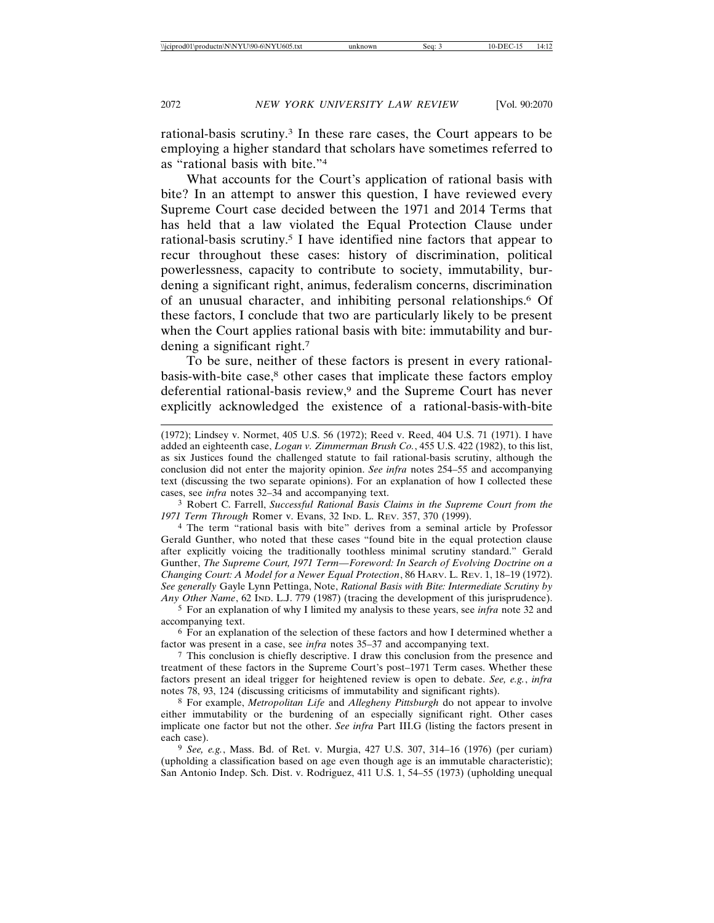rational-basis scrutiny.3 In these rare cases, the Court appears to be employing a higher standard that scholars have sometimes referred to as "rational basis with bite."4

What accounts for the Court's application of rational basis with bite? In an attempt to answer this question, I have reviewed every Supreme Court case decided between the 1971 and 2014 Terms that has held that a law violated the Equal Protection Clause under rational-basis scrutiny.5 I have identified nine factors that appear to recur throughout these cases: history of discrimination, political powerlessness, capacity to contribute to society, immutability, burdening a significant right, animus, federalism concerns, discrimination of an unusual character, and inhibiting personal relationships.6 Of these factors, I conclude that two are particularly likely to be present when the Court applies rational basis with bite: immutability and burdening a significant right.7

To be sure, neither of these factors is present in every rationalbasis-with-bite case,<sup>8</sup> other cases that implicate these factors employ deferential rational-basis review,<sup>9</sup> and the Supreme Court has never explicitly acknowledged the existence of a rational-basis-with-bite

3 Robert C. Farrell, *Successful Rational Basis Claims in the Supreme Court from the 1971 Term Through* Romer v. Evans, 32 IND. L. REV. 357, 370 (1999).

4 The term "rational basis with bite" derives from a seminal article by Professor Gerald Gunther, who noted that these cases "found bite in the equal protection clause after explicitly voicing the traditionally toothless minimal scrutiny standard." Gerald Gunther, *The Supreme Court, 1971 Term—Foreword: In Search of Evolving Doctrine on a Changing Court: A Model for a Newer Equal Protection*, 86 HARV. L. REV. 1, 18–19 (1972). *See generally* Gayle Lynn Pettinga, Note, *Rational Basis with Bite: Intermediate Scrutiny by Any Other Name*, 62 IND. L.J. 779 (1987) (tracing the development of this jurisprudence).

5 For an explanation of why I limited my analysis to these years, see *infra* note 32 and accompanying text.

6 For an explanation of the selection of these factors and how I determined whether a factor was present in a case, see *infra* notes 35–37 and accompanying text.

7 This conclusion is chiefly descriptive. I draw this conclusion from the presence and treatment of these factors in the Supreme Court's post–1971 Term cases. Whether these factors present an ideal trigger for heightened review is open to debate. *See, e.g.*, *infra* notes 78, 93, 124 (discussing criticisms of immutability and significant rights).

8 For example, *Metropolitan Life* and *Allegheny Pittsburgh* do not appear to involve either immutability or the burdening of an especially significant right. Other cases implicate one factor but not the other. *See infra* Part III.G (listing the factors present in each case).

9 *See, e.g.*, Mass. Bd. of Ret. v. Murgia, 427 U.S. 307, 314–16 (1976) (per curiam) (upholding a classification based on age even though age is an immutable characteristic); San Antonio Indep. Sch. Dist. v. Rodriguez, 411 U.S. 1, 54–55 (1973) (upholding unequal

<sup>(1972);</sup> Lindsey v. Normet, 405 U.S. 56 (1972); Reed v. Reed, 404 U.S. 71 (1971). I have added an eighteenth case, *Logan v. Zimmerman Brush Co.*, 455 U.S. 422 (1982), to this list, as six Justices found the challenged statute to fail rational-basis scrutiny, although the conclusion did not enter the majority opinion. *See infra* notes 254–55 and accompanying text (discussing the two separate opinions). For an explanation of how I collected these cases, see *infra* notes 32–34 and accompanying text.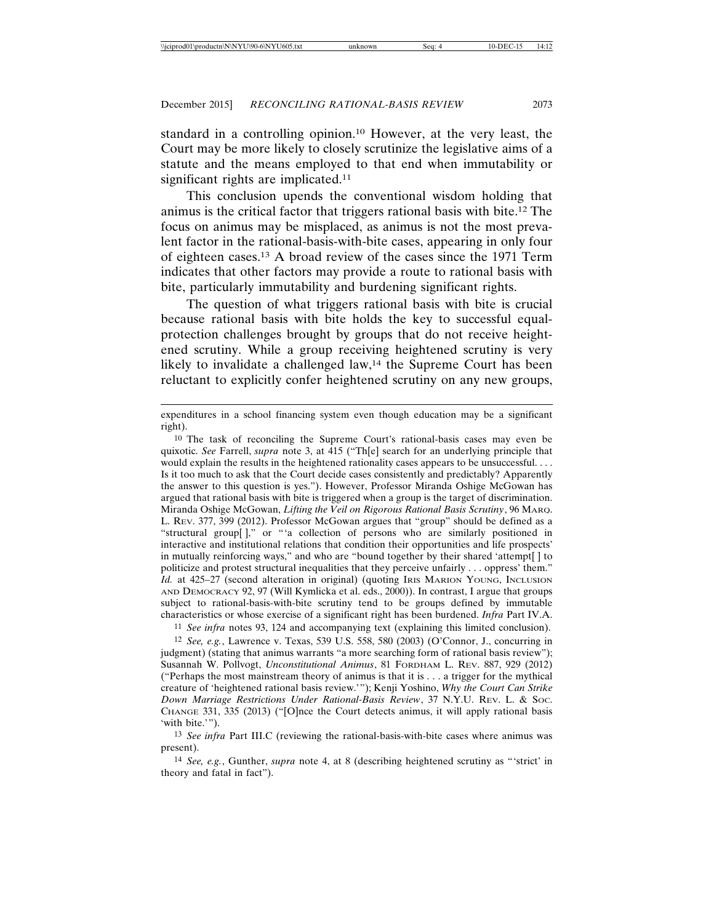standard in a controlling opinion.10 However, at the very least, the Court may be more likely to closely scrutinize the legislative aims of a statute and the means employed to that end when immutability or significant rights are implicated.<sup>11</sup>

This conclusion upends the conventional wisdom holding that animus is the critical factor that triggers rational basis with bite.12 The focus on animus may be misplaced, as animus is not the most prevalent factor in the rational-basis-with-bite cases, appearing in only four of eighteen cases.13 A broad review of the cases since the 1971 Term indicates that other factors may provide a route to rational basis with bite, particularly immutability and burdening significant rights.

The question of what triggers rational basis with bite is crucial because rational basis with bite holds the key to successful equalprotection challenges brought by groups that do not receive heightened scrutiny. While a group receiving heightened scrutiny is very likely to invalidate a challenged law,<sup>14</sup> the Supreme Court has been reluctant to explicitly confer heightened scrutiny on any new groups,

expenditures in a school financing system even though education may be a significant right).

10 The task of reconciling the Supreme Court's rational-basis cases may even be quixotic. *See* Farrell, *supra* note 3, at 415 ("Th[e] search for an underlying principle that would explain the results in the heightened rationality cases appears to be unsuccessful. . . . Is it too much to ask that the Court decide cases consistently and predictably? Apparently the answer to this question is yes."). However, Professor Miranda Oshige McGowan has argued that rational basis with bite is triggered when a group is the target of discrimination. Miranda Oshige McGowan, *Lifting the Veil on Rigorous Rational Basis Scrutiny*, 96 MARQ. L. REV. 377, 399 (2012). Professor McGowan argues that "group" should be defined as a "structural group[ ]," or "'a collection of persons who are similarly positioned in interactive and institutional relations that condition their opportunities and life prospects' in mutually reinforcing ways," and who are "bound together by their shared 'attempt[ ] to politicize and protest structural inequalities that they perceive unfairly . . . oppress' them." *Id.* at 425–27 (second alteration in original) (quoting IRIS MARION YOUNG, INCLUSION AND DEMOCRACY 92, 97 (Will Kymlicka et al. eds., 2000)). In contrast, I argue that groups subject to rational-basis-with-bite scrutiny tend to be groups defined by immutable characteristics or whose exercise of a significant right has been burdened. *Infra* Part IV.A.

11 *See infra* notes 93, 124 and accompanying text (explaining this limited conclusion).

12 *See, e.g.*, Lawrence v. Texas, 539 U.S. 558, 580 (2003) (O'Connor, J., concurring in judgment) (stating that animus warrants "a more searching form of rational basis review"); Susannah W. Pollvogt, *Unconstitutional Animus*, 81 FORDHAM L. REV. 887, 929 (2012) ("Perhaps the most mainstream theory of animus is that it is . . . a trigger for the mythical creature of 'heightened rational basis review.'"); Kenji Yoshino, *Why the Court Can Strike Down Marriage Restrictions Under Rational-Basis Review*, 37 N.Y.U. REV. L. & SOC. CHANGE 331, 335 (2013) ("[O]nce the Court detects animus, it will apply rational basis 'with bite.'").

13 *See infra* Part III.C (reviewing the rational-basis-with-bite cases where animus was present).

14 *See, e.g.*, Gunther, *supra* note 4, at 8 (describing heightened scrutiny as "'strict' in theory and fatal in fact").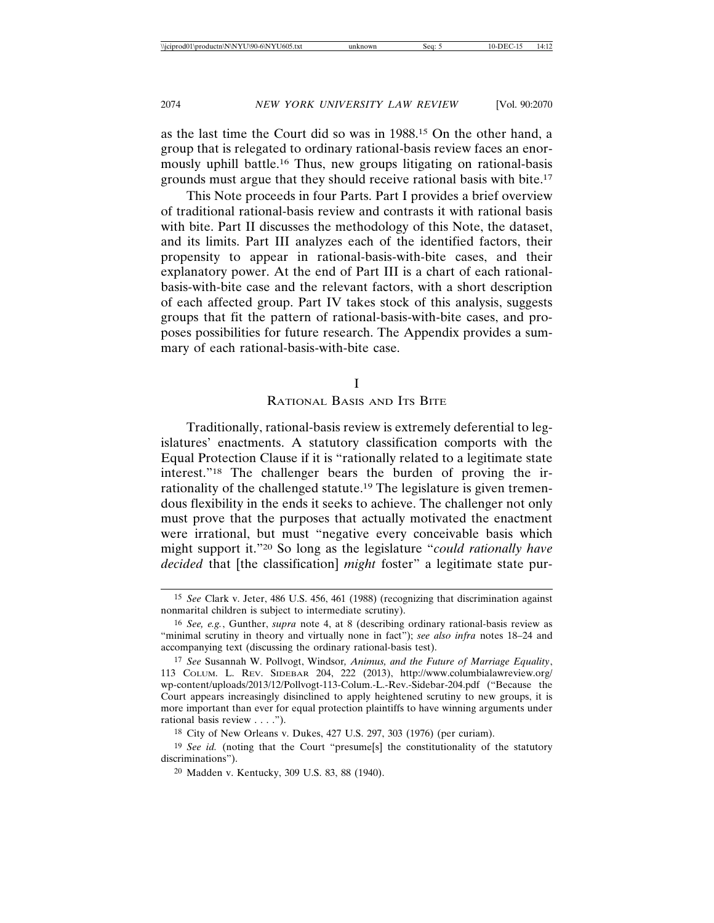as the last time the Court did so was in 1988.15 On the other hand, a group that is relegated to ordinary rational-basis review faces an enormously uphill battle.16 Thus, new groups litigating on rational-basis grounds must argue that they should receive rational basis with bite.17

This Note proceeds in four Parts. Part I provides a brief overview of traditional rational-basis review and contrasts it with rational basis with bite. Part II discusses the methodology of this Note, the dataset, and its limits. Part III analyzes each of the identified factors, their propensity to appear in rational-basis-with-bite cases, and their explanatory power. At the end of Part III is a chart of each rationalbasis-with-bite case and the relevant factors, with a short description of each affected group. Part IV takes stock of this analysis, suggests groups that fit the pattern of rational-basis-with-bite cases, and proposes possibilities for future research. The Appendix provides a summary of each rational-basis-with-bite case.

#### I

### RATIONAL BASIS AND ITS BITE

Traditionally, rational-basis review is extremely deferential to legislatures' enactments. A statutory classification comports with the Equal Protection Clause if it is "rationally related to a legitimate state interest."18 The challenger bears the burden of proving the irrationality of the challenged statute.19 The legislature is given tremendous flexibility in the ends it seeks to achieve. The challenger not only must prove that the purposes that actually motivated the enactment were irrational, but must "negative every conceivable basis which might support it."20 So long as the legislature "*could rationally have decided* that [the classification] *might* foster" a legitimate state pur-

<sup>15</sup> *See* Clark v. Jeter, 486 U.S. 456, 461 (1988) (recognizing that discrimination against nonmarital children is subject to intermediate scrutiny).

<sup>16</sup> *See, e.g.*, Gunther, *supra* note 4, at 8 (describing ordinary rational-basis review as "minimal scrutiny in theory and virtually none in fact"); *see also infra* notes 18–24 and accompanying text (discussing the ordinary rational-basis test).

<sup>17</sup> *See* Susannah W. Pollvogt, Windsor*, Animus, and the Future of Marriage Equality*, 113 COLUM. L. REV. SIDEBAR 204, 222 (2013), http://www.columbialawreview.org/ wp-content/uploads/2013/12/Pollvogt-113-Colum.-L.-Rev.-Sidebar-204.pdf ("Because the Court appears increasingly disinclined to apply heightened scrutiny to new groups, it is more important than ever for equal protection plaintiffs to have winning arguments under rational basis review . . . .").

<sup>18</sup> City of New Orleans v. Dukes, 427 U.S. 297, 303 (1976) (per curiam).

<sup>&</sup>lt;sup>19</sup> *See id.* (noting that the Court "presume[s] the constitutionality of the statutory discriminations").

<sup>20</sup> Madden v. Kentucky, 309 U.S. 83, 88 (1940).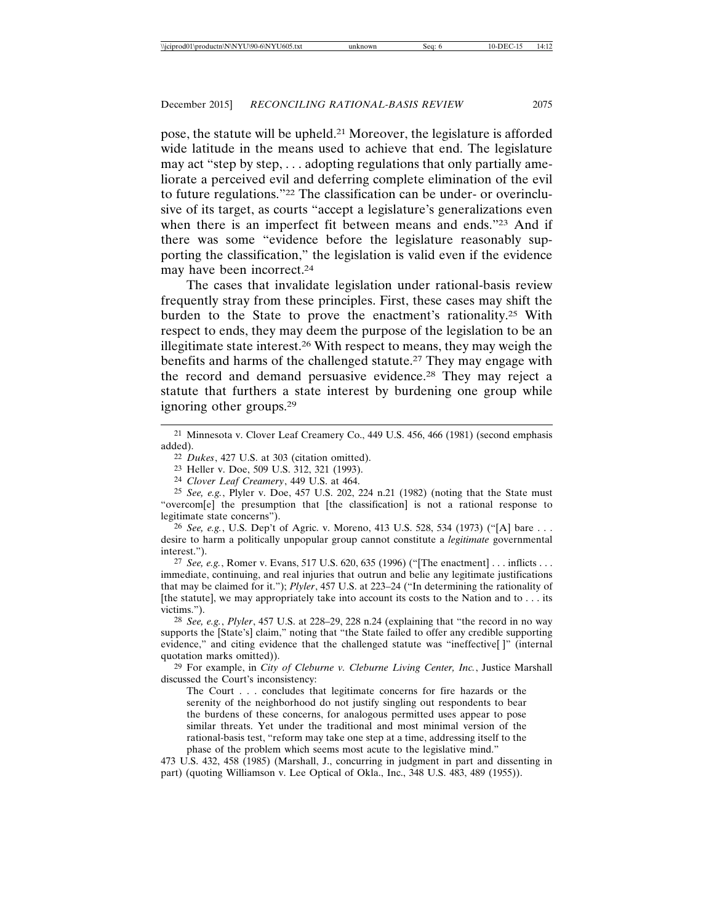pose, the statute will be upheld.21 Moreover, the legislature is afforded wide latitude in the means used to achieve that end. The legislature may act "step by step, . . . adopting regulations that only partially ameliorate a perceived evil and deferring complete elimination of the evil to future regulations."22 The classification can be under- or overinclusive of its target, as courts "accept a legislature's generalizations even when there is an imperfect fit between means and ends."23 And if there was some "evidence before the legislature reasonably supporting the classification," the legislation is valid even if the evidence may have been incorrect.24

The cases that invalidate legislation under rational-basis review frequently stray from these principles. First, these cases may shift the burden to the State to prove the enactment's rationality.25 With respect to ends, they may deem the purpose of the legislation to be an illegitimate state interest.26 With respect to means, they may weigh the benefits and harms of the challenged statute.27 They may engage with the record and demand persuasive evidence.28 They may reject a statute that furthers a state interest by burdening one group while ignoring other groups.29

24 *Clover Leaf Creamery*, 449 U.S. at 464.

25 *See, e.g.*, Plyler v. Doe, 457 U.S. 202, 224 n.21 (1982) (noting that the State must "overcom[e] the presumption that [the classification] is not a rational response to legitimate state concerns").

26 *See, e.g.*, U.S. Dep't of Agric. v. Moreno, 413 U.S. 528, 534 (1973) ("[A] bare . . . desire to harm a politically unpopular group cannot constitute a *legitimate* governmental interest.").

27 *See, e.g.*, Romer v. Evans, 517 U.S. 620, 635 (1996) ("[The enactment] . . . inflicts . . . immediate, continuing, and real injuries that outrun and belie any legitimate justifications that may be claimed for it."); *Plyler*, 457 U.S. at 223–24 ("In determining the rationality of [the statute], we may appropriately take into account its costs to the Nation and to . . . its victims.").

28 *See, e.g.*, *Plyler*, 457 U.S. at 228–29, 228 n.24 (explaining that "the record in no way supports the [State's] claim," noting that "the State failed to offer any credible supporting evidence," and citing evidence that the challenged statute was "ineffective[ ]" (internal quotation marks omitted)).

29 For example, in *City of Cleburne v. Cleburne Living Center, Inc.*, Justice Marshall discussed the Court's inconsistency:

The Court . . . concludes that legitimate concerns for fire hazards or the serenity of the neighborhood do not justify singling out respondents to bear the burdens of these concerns, for analogous permitted uses appear to pose similar threats. Yet under the traditional and most minimal version of the rational-basis test, "reform may take one step at a time, addressing itself to the phase of the problem which seems most acute to the legislative mind."

473 U.S. 432, 458 (1985) (Marshall, J., concurring in judgment in part and dissenting in part) (quoting Williamson v. Lee Optical of Okla., Inc., 348 U.S. 483, 489 (1955)).

<sup>21</sup> Minnesota v. Clover Leaf Creamery Co., 449 U.S. 456, 466 (1981) (second emphasis added).

<sup>22</sup> *Dukes*, 427 U.S. at 303 (citation omitted).

<sup>23</sup> Heller v. Doe, 509 U.S. 312, 321 (1993).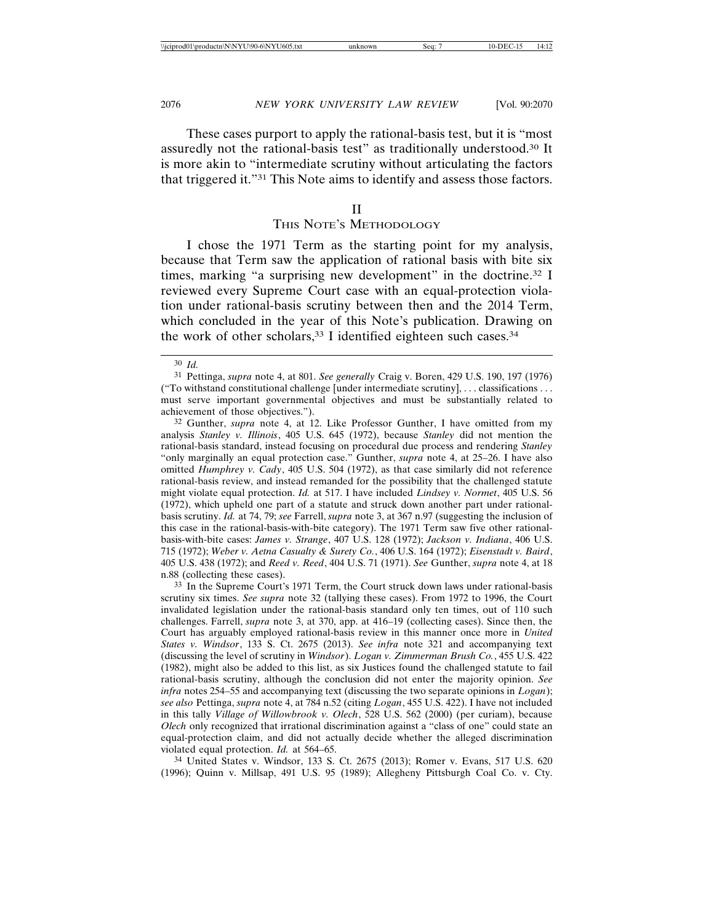These cases purport to apply the rational-basis test, but it is "most assuredly not the rational-basis test" as traditionally understood.30 It is more akin to "intermediate scrutiny without articulating the factors that triggered it."31 This Note aims to identify and assess those factors.

#### II

#### THIS NOTE'S METHODOLOGY

I chose the 1971 Term as the starting point for my analysis, because that Term saw the application of rational basis with bite six times, marking "a surprising new development" in the doctrine.32 I reviewed every Supreme Court case with an equal-protection violation under rational-basis scrutiny between then and the 2014 Term, which concluded in the year of this Note's publication. Drawing on the work of other scholars,  $33$  I identified eighteen such cases.  $34$ 

32 Gunther, *supra* note 4, at 12. Like Professor Gunther, I have omitted from my analysis *Stanley v. Illinois*, 405 U.S. 645 (1972), because *Stanley* did not mention the rational-basis standard, instead focusing on procedural due process and rendering *Stanley* "only marginally an equal protection case." Gunther, *supra* note 4, at 25–26. I have also omitted *Humphrey v. Cady*, 405 U.S. 504 (1972), as that case similarly did not reference rational-basis review, and instead remanded for the possibility that the challenged statute might violate equal protection. *Id.* at 517. I have included *Lindsey v. Normet*, 405 U.S. 56 (1972), which upheld one part of a statute and struck down another part under rationalbasis scrutiny. *Id.* at 74, 79; *see* Farrell, *supra* note 3, at 367 n.97 (suggesting the inclusion of this case in the rational-basis-with-bite category). The 1971 Term saw five other rationalbasis-with-bite cases: *James v. Strange*, 407 U.S. 128 (1972); *Jackson v. Indiana*, 406 U.S. 715 (1972); *Weber v. Aetna Casualty & Surety Co.*, 406 U.S. 164 (1972); *Eisenstadt v. Baird*, 405 U.S. 438 (1972); and *Reed v. Reed*, 404 U.S. 71 (1971). *See* Gunther, *supra* note 4, at 18 n.88 (collecting these cases).

33 In the Supreme Court's 1971 Term, the Court struck down laws under rational-basis scrutiny six times. *See supra* note 32 (tallying these cases). From 1972 to 1996, the Court invalidated legislation under the rational-basis standard only ten times, out of 110 such challenges. Farrell, *supra* note 3, at 370, app. at 416–19 (collecting cases). Since then, the Court has arguably employed rational-basis review in this manner once more in *United States v. Windsor*, 133 S. Ct. 2675 (2013). *See infra* note 321 and accompanying text (discussing the level of scrutiny in *Windsor*). *Logan v. Zimmerman Brush Co.*, 455 U.S. 422 (1982), might also be added to this list, as six Justices found the challenged statute to fail rational-basis scrutiny, although the conclusion did not enter the majority opinion. *See infra* notes 254–55 and accompanying text (discussing the two separate opinions in *Logan*); *see also* Pettinga, *supra* note 4, at 784 n.52 (citing *Logan*, 455 U.S. 422). I have not included in this tally *Village of Willowbrook v. Olech*, 528 U.S. 562 (2000) (per curiam), because *Olech* only recognized that irrational discrimination against a "class of one" could state an equal-protection claim, and did not actually decide whether the alleged discrimination violated equal protection. *Id.* at 564–65.

34 United States v. Windsor, 133 S. Ct. 2675 (2013); Romer v. Evans, 517 U.S. 620 (1996); Quinn v. Millsap, 491 U.S. 95 (1989); Allegheny Pittsburgh Coal Co. v. Cty.

<sup>30</sup> *Id.*

<sup>31</sup> Pettinga, *supra* note 4, at 801. *See generally* Craig v. Boren, 429 U.S. 190, 197 (1976) ("To withstand constitutional challenge [under intermediate scrutiny], . . . classifications . . . must serve important governmental objectives and must be substantially related to achievement of those objectives.").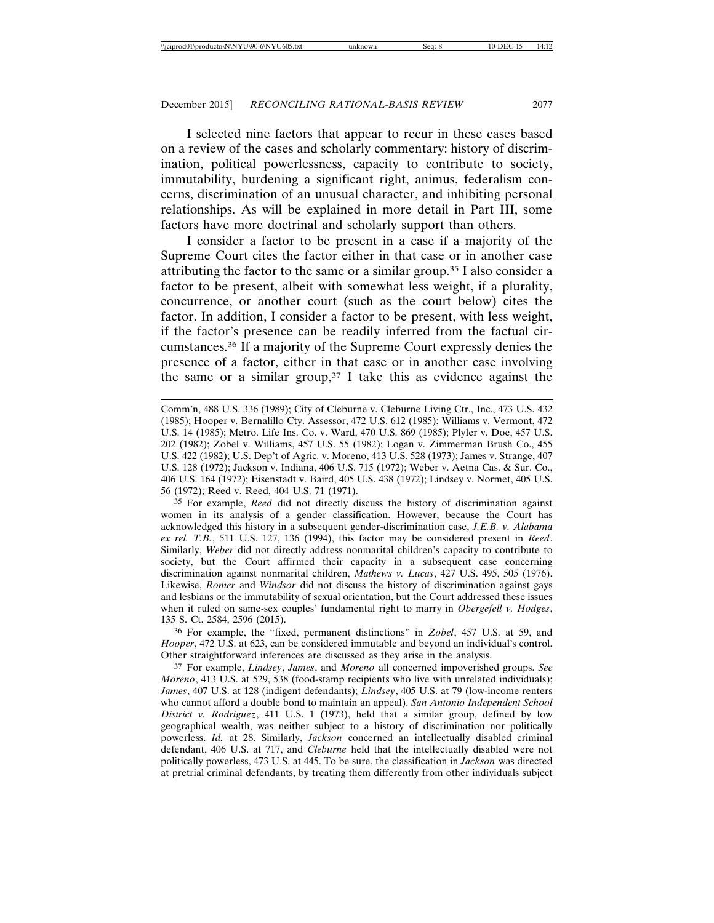I selected nine factors that appear to recur in these cases based on a review of the cases and scholarly commentary: history of discrimination, political powerlessness, capacity to contribute to society, immutability, burdening a significant right, animus, federalism concerns, discrimination of an unusual character, and inhibiting personal relationships. As will be explained in more detail in Part III, some factors have more doctrinal and scholarly support than others.

I consider a factor to be present in a case if a majority of the Supreme Court cites the factor either in that case or in another case attributing the factor to the same or a similar group.35 I also consider a factor to be present, albeit with somewhat less weight, if a plurality, concurrence, or another court (such as the court below) cites the factor. In addition, I consider a factor to be present, with less weight, if the factor's presence can be readily inferred from the factual circumstances.36 If a majority of the Supreme Court expressly denies the presence of a factor, either in that case or in another case involving the same or a similar group,  $37 \text{ I}$  take this as evidence against the

35 For example, *Reed* did not directly discuss the history of discrimination against women in its analysis of a gender classification. However, because the Court has acknowledged this history in a subsequent gender-discrimination case, *J.E.B. v. Alabama ex rel. T.B.*, 511 U.S. 127, 136 (1994), this factor may be considered present in *Reed*. Similarly, *Weber* did not directly address nonmarital children's capacity to contribute to society, but the Court affirmed their capacity in a subsequent case concerning discrimination against nonmarital children, *Mathews v. Lucas*, 427 U.S. 495, 505 (1976). Likewise, *Romer* and *Windsor* did not discuss the history of discrimination against gays and lesbians or the immutability of sexual orientation, but the Court addressed these issues when it ruled on same-sex couples' fundamental right to marry in *Obergefell v. Hodges*, 135 S. Ct. 2584, 2596 (2015).

36 For example, the "fixed, permanent distinctions" in *Zobel*, 457 U.S. at 59, and *Hooper*, 472 U.S. at 623, can be considered immutable and beyond an individual's control. Other straightforward inferences are discussed as they arise in the analysis.

37 For example, *Lindsey*, *James*, and *Moreno* all concerned impoverished groups. *See Moreno*, 413 U.S. at 529, 538 (food-stamp recipients who live with unrelated individuals); *James*, 407 U.S. at 128 (indigent defendants); *Lindsey*, 405 U.S. at 79 (low-income renters who cannot afford a double bond to maintain an appeal). *San Antonio Independent School District v. Rodriguez*, 411 U.S. 1 (1973), held that a similar group, defined by low geographical wealth, was neither subject to a history of discrimination nor politically powerless. *Id.* at 28. Similarly, *Jackson* concerned an intellectually disabled criminal defendant, 406 U.S. at 717, and *Cleburne* held that the intellectually disabled were not politically powerless, 473 U.S. at 445. To be sure, the classification in *Jackson* was directed at pretrial criminal defendants, by treating them differently from other individuals subject

Comm'n, 488 U.S. 336 (1989); City of Cleburne v. Cleburne Living Ctr., Inc., 473 U.S. 432 (1985); Hooper v. Bernalillo Cty. Assessor, 472 U.S. 612 (1985); Williams v. Vermont, 472 U.S. 14 (1985); Metro. Life Ins. Co. v. Ward, 470 U.S. 869 (1985); Plyler v. Doe, 457 U.S. 202 (1982); Zobel v. Williams, 457 U.S. 55 (1982); Logan v. Zimmerman Brush Co., 455 U.S. 422 (1982); U.S. Dep't of Agric. v. Moreno, 413 U.S. 528 (1973); James v. Strange, 407 U.S. 128 (1972); Jackson v. Indiana, 406 U.S. 715 (1972); Weber v. Aetna Cas. & Sur. Co., 406 U.S. 164 (1972); Eisenstadt v. Baird, 405 U.S. 438 (1972); Lindsey v. Normet, 405 U.S. 56 (1972); Reed v. Reed, 404 U.S. 71 (1971).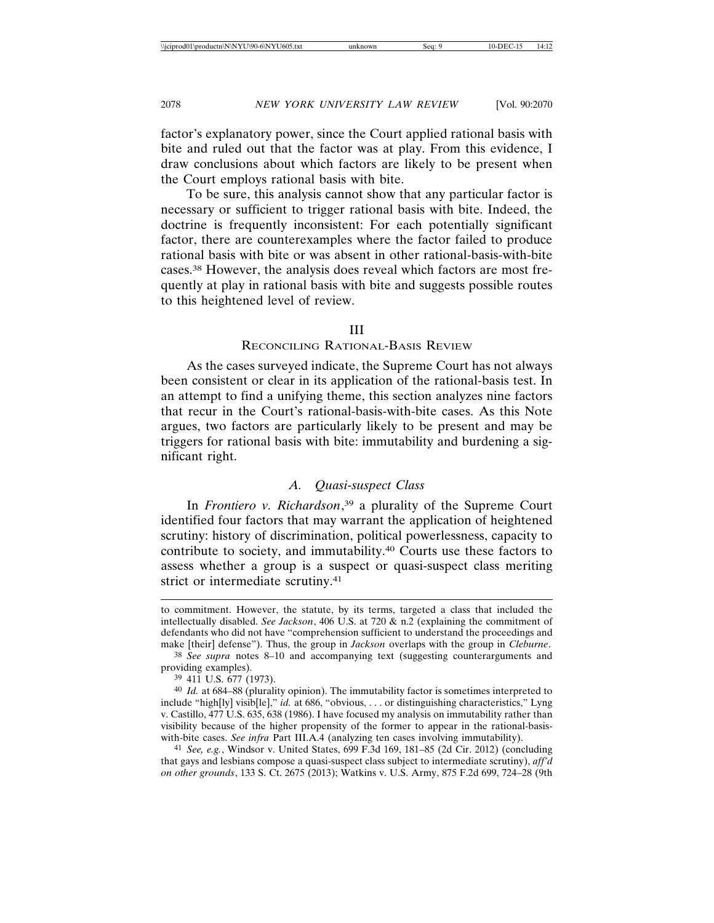factor's explanatory power, since the Court applied rational basis with bite and ruled out that the factor was at play. From this evidence, I draw conclusions about which factors are likely to be present when the Court employs rational basis with bite.

To be sure, this analysis cannot show that any particular factor is necessary or sufficient to trigger rational basis with bite. Indeed, the doctrine is frequently inconsistent: For each potentially significant factor, there are counterexamples where the factor failed to produce rational basis with bite or was absent in other rational-basis-with-bite cases.38 However, the analysis does reveal which factors are most frequently at play in rational basis with bite and suggests possible routes to this heightened level of review.

### III

## RECONCILING RATIONAL-BASIS REVIEW

As the cases surveyed indicate, the Supreme Court has not always been consistent or clear in its application of the rational-basis test. In an attempt to find a unifying theme, this section analyzes nine factors that recur in the Court's rational-basis-with-bite cases. As this Note argues, two factors are particularly likely to be present and may be triggers for rational basis with bite: immutability and burdening a significant right.

### *A. Quasi-suspect Class*

In *Frontiero v. Richardson*, 39 a plurality of the Supreme Court identified four factors that may warrant the application of heightened scrutiny: history of discrimination, political powerlessness, capacity to contribute to society, and immutability.40 Courts use these factors to assess whether a group is a suspect or quasi-suspect class meriting strict or intermediate scrutiny.<sup>41</sup>

to commitment. However, the statute, by its terms, targeted a class that included the intellectually disabled. *See Jackson*, 406 U.S. at 720 & n.2 (explaining the commitment of defendants who did not have "comprehension sufficient to understand the proceedings and make [their] defense"). Thus, the group in *Jackson* overlaps with the group in *Cleburne*.

<sup>38</sup> *See supra* notes 8–10 and accompanying text (suggesting counterarguments and providing examples).

<sup>39</sup> 411 U.S. 677 (1973).

<sup>40</sup> *Id.* at 684–88 (plurality opinion). The immutability factor is sometimes interpreted to include "high[ly] visib[le]," *id.* at 686, "obvious, . . . or distinguishing characteristics," Lyng v. Castillo, 477 U.S. 635, 638 (1986). I have focused my analysis on immutability rather than visibility because of the higher propensity of the former to appear in the rational-basiswith-bite cases. *See infra* Part III.A.4 (analyzing ten cases involving immutability).

<sup>41</sup> *See, e.g.*, Windsor v. United States, 699 F.3d 169, 181–85 (2d Cir. 2012) (concluding that gays and lesbians compose a quasi-suspect class subject to intermediate scrutiny), *aff'd on other grounds*, 133 S. Ct. 2675 (2013); Watkins v. U.S. Army, 875 F.2d 699, 724–28 (9th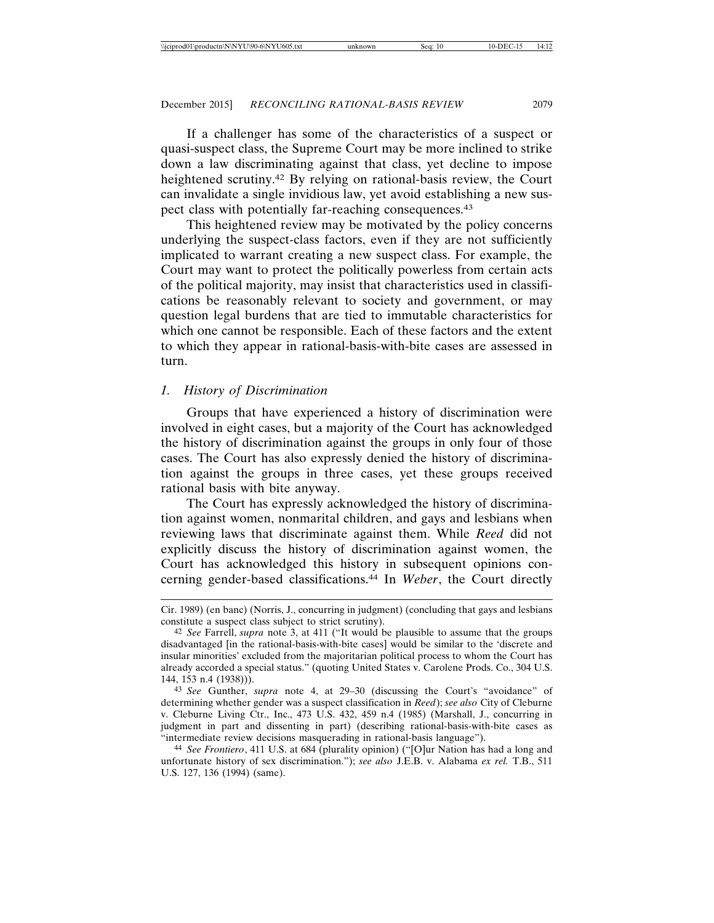If a challenger has some of the characteristics of a suspect or quasi-suspect class, the Supreme Court may be more inclined to strike down a law discriminating against that class, yet decline to impose heightened scrutiny.42 By relying on rational-basis review, the Court can invalidate a single invidious law, yet avoid establishing a new suspect class with potentially far-reaching consequences.<sup>43</sup>

This heightened review may be motivated by the policy concerns underlying the suspect-class factors, even if they are not sufficiently implicated to warrant creating a new suspect class. For example, the Court may want to protect the politically powerless from certain acts of the political majority, may insist that characteristics used in classifications be reasonably relevant to society and government, or may question legal burdens that are tied to immutable characteristics for which one cannot be responsible. Each of these factors and the extent to which they appear in rational-basis-with-bite cases are assessed in turn.

## *1. History of Discrimination*

Groups that have experienced a history of discrimination were involved in eight cases, but a majority of the Court has acknowledged the history of discrimination against the groups in only four of those cases. The Court has also expressly denied the history of discrimination against the groups in three cases, yet these groups received rational basis with bite anyway.

The Court has expressly acknowledged the history of discrimination against women, nonmarital children, and gays and lesbians when reviewing laws that discriminate against them. While *Reed* did not explicitly discuss the history of discrimination against women, the Court has acknowledged this history in subsequent opinions concerning gender-based classifications.44 In *Weber*, the Court directly

Cir. 1989) (en banc) (Norris, J., concurring in judgment) (concluding that gays and lesbians constitute a suspect class subject to strict scrutiny).

<sup>42</sup> *See* Farrell, *supra* note 3, at 411 ("It would be plausible to assume that the groups disadvantaged [in the rational-basis-with-bite cases] would be similar to the 'discrete and insular minorities' excluded from the majoritarian political process to whom the Court has already accorded a special status." (quoting United States v. Carolene Prods. Co., 304 U.S. 144, 153 n.4 (1938))).

<sup>43</sup> *See* Gunther, *supra* note 4, at 29–30 (discussing the Court's "avoidance" of determining whether gender was a suspect classification in *Reed*); *see also* City of Cleburne v. Cleburne Living Ctr., Inc., 473 U.S. 432, 459 n.4 (1985) (Marshall, J., concurring in judgment in part and dissenting in part) (describing rational-basis-with-bite cases as "intermediate review decisions masquerading in rational-basis language").

<sup>44</sup> *See Frontiero*, 411 U.S. at 684 (plurality opinion) ("[O]ur Nation has had a long and unfortunate history of sex discrimination."); *see also* J.E.B. v. Alabama *ex rel.* T.B., 511 U.S. 127, 136 (1994) (same).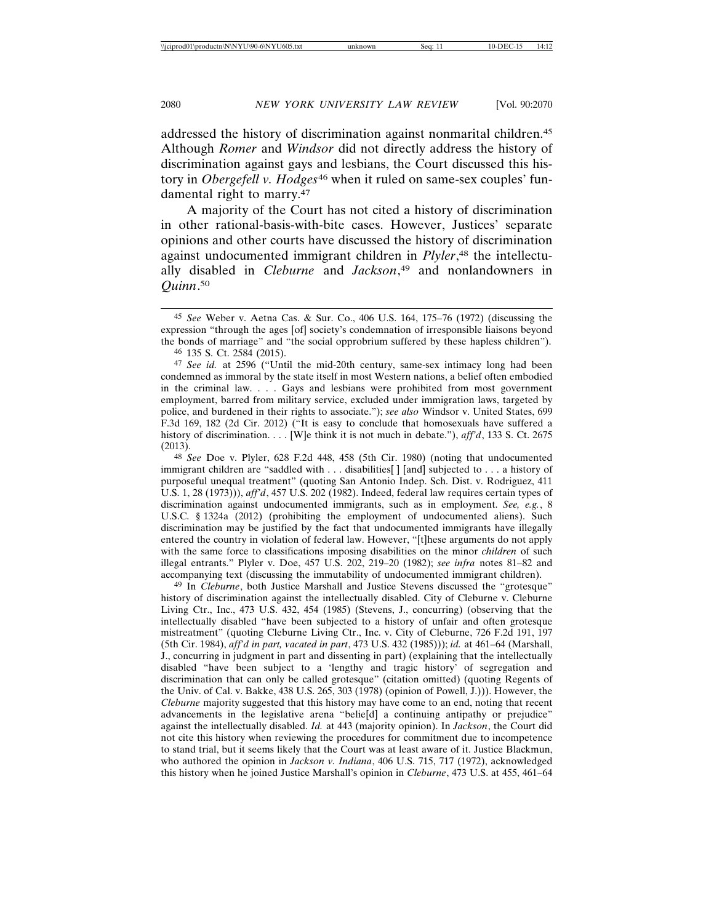addressed the history of discrimination against nonmarital children.45 Although *Romer* and *Windsor* did not directly address the history of discrimination against gays and lesbians, the Court discussed this history in *Obergefell v. Hodges<sup>46</sup>* when it ruled on same-sex couples' fundamental right to marry.47

A majority of the Court has not cited a history of discrimination in other rational-basis-with-bite cases. However, Justices' separate opinions and other courts have discussed the history of discrimination against undocumented immigrant children in *Plyler*, 48 the intellectually disabled in *Cleburne* and *Jackson*, 49 and nonlandowners in *Quinn*. 50

48 *See* Doe v. Plyler, 628 F.2d 448, 458 (5th Cir. 1980) (noting that undocumented immigrant children are "saddled with . . . disabilities[ ] [and] subjected to . . . a history of purposeful unequal treatment" (quoting San Antonio Indep. Sch. Dist. v. Rodriguez, 411 U.S. 1, 28 (1973))), *aff'd*, 457 U.S. 202 (1982). Indeed, federal law requires certain types of discrimination against undocumented immigrants, such as in employment. *See, e.g.*, 8 U.S.C. § 1324a (2012) (prohibiting the employment of undocumented aliens). Such discrimination may be justified by the fact that undocumented immigrants have illegally entered the country in violation of federal law. However, "[t]hese arguments do not apply with the same force to classifications imposing disabilities on the minor *children* of such illegal entrants." Plyler v. Doe, 457 U.S. 202, 219–20 (1982); *see infra* notes 81–82 and accompanying text (discussing the immutability of undocumented immigrant children).

49 In *Cleburne*, both Justice Marshall and Justice Stevens discussed the "grotesque" history of discrimination against the intellectually disabled. City of Cleburne v. Cleburne Living Ctr., Inc., 473 U.S. 432, 454 (1985) (Stevens, J., concurring) (observing that the intellectually disabled "have been subjected to a history of unfair and often grotesque mistreatment" (quoting Cleburne Living Ctr., Inc. v. City of Cleburne, 726 F.2d 191, 197 (5th Cir. 1984), *aff'd in part, vacated in part*, 473 U.S. 432 (1985))); *id.* at 461–64 (Marshall, J., concurring in judgment in part and dissenting in part) (explaining that the intellectually disabled "have been subject to a 'lengthy and tragic history' of segregation and discrimination that can only be called grotesque" (citation omitted) (quoting Regents of the Univ. of Cal. v. Bakke, 438 U.S. 265, 303 (1978) (opinion of Powell, J.))). However, the *Cleburne* majority suggested that this history may have come to an end, noting that recent advancements in the legislative arena "belie[d] a continuing antipathy or prejudice" against the intellectually disabled. *Id.* at 443 (majority opinion). In *Jackson*, the Court did not cite this history when reviewing the procedures for commitment due to incompetence to stand trial, but it seems likely that the Court was at least aware of it. Justice Blackmun, who authored the opinion in *Jackson v. Indiana*, 406 U.S. 715, 717 (1972), acknowledged this history when he joined Justice Marshall's opinion in *Cleburne*, 473 U.S. at 455, 461–64

<sup>45</sup> *See* Weber v. Aetna Cas. & Sur. Co., 406 U.S. 164, 175–76 (1972) (discussing the expression "through the ages [of] society's condemnation of irresponsible liaisons beyond the bonds of marriage" and "the social opprobrium suffered by these hapless children").

<sup>46</sup> 135 S. Ct. 2584 (2015).

<sup>47</sup> *See id.* at 2596 ("Until the mid-20th century, same-sex intimacy long had been condemned as immoral by the state itself in most Western nations, a belief often embodied in the criminal law. . . . Gays and lesbians were prohibited from most government employment, barred from military service, excluded under immigration laws, targeted by police, and burdened in their rights to associate."); *see also* Windsor v. United States, 699 F.3d 169, 182 (2d Cir. 2012) ("It is easy to conclude that homosexuals have suffered a history of discrimination. . . . [W]e think it is not much in debate."), *aff'd*, 133 S. Ct. 2675 (2013).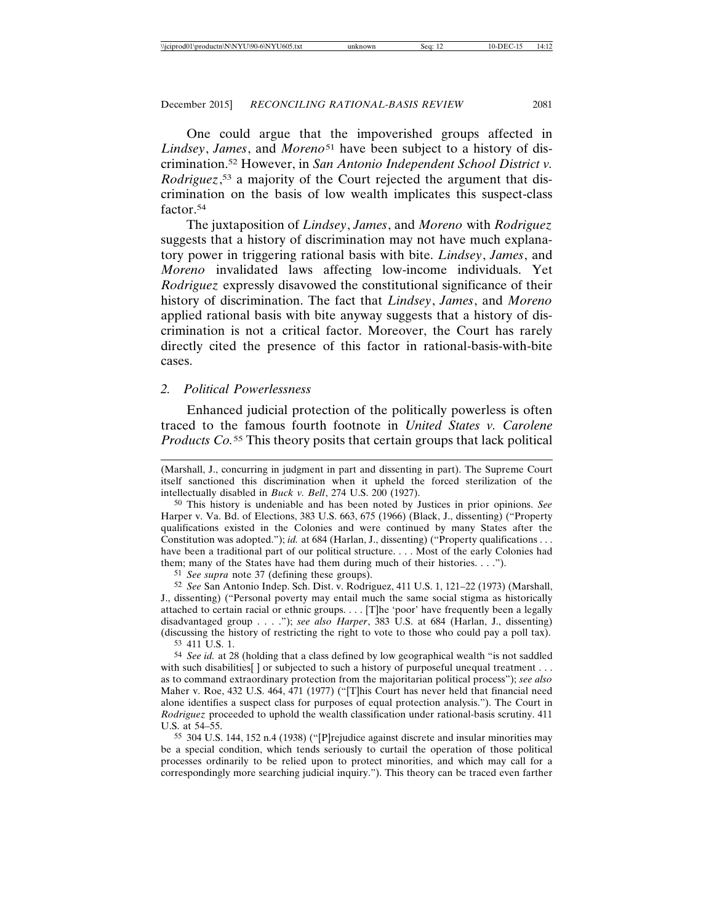One could argue that the impoverished groups affected in *Lindsey*, *James*, and *Moreno*51 have been subject to a history of discrimination.52 However, in *San Antonio Independent School District v. Rodriguez*, 53 a majority of the Court rejected the argument that discrimination on the basis of low wealth implicates this suspect-class factor.54

The juxtaposition of *Lindsey*, *James*, and *Moreno* with *Rodriguez* suggests that a history of discrimination may not have much explanatory power in triggering rational basis with bite. *Lindsey*, *James*, and *Moreno* invalidated laws affecting low-income individuals. Yet *Rodriguez* expressly disavowed the constitutional significance of their history of discrimination. The fact that *Lindsey*, *James*, and *Moreno* applied rational basis with bite anyway suggests that a history of discrimination is not a critical factor. Moreover, the Court has rarely directly cited the presence of this factor in rational-basis-with-bite cases.

### *2. Political Powerlessness*

Enhanced judicial protection of the politically powerless is often traced to the famous fourth footnote in *United States v. Carolene Products Co.*55 This theory posits that certain groups that lack political

50 This history is undeniable and has been noted by Justices in prior opinions. *See* Harper v. Va. Bd. of Elections, 383 U.S. 663, 675 (1966) (Black, J., dissenting) ("Property qualifications existed in the Colonies and were continued by many States after the Constitution was adopted."); *id.* at 684 (Harlan, J., dissenting) ("Property qualifications . . . have been a traditional part of our political structure. . . . Most of the early Colonies had them; many of the States have had them during much of their histories. . . .").

51 *See supra* note 37 (defining these groups).

52 *See* San Antonio Indep. Sch. Dist. v. Rodriguez, 411 U.S. 1, 121–22 (1973) (Marshall, J., dissenting) ("Personal poverty may entail much the same social stigma as historically attached to certain racial or ethnic groups. . . . [T]he 'poor' have frequently been a legally disadvantaged group . . . ."); *see also Harper*, 383 U.S. at 684 (Harlan, J., dissenting) (discussing the history of restricting the right to vote to those who could pay a poll tax).

53 411 U.S. 1.

54 *See id.* at 28 (holding that a class defined by low geographical wealth "is not saddled with such disabilities  $\lceil$  or subjected to such a history of purposeful unequal treatment . . . as to command extraordinary protection from the majoritarian political process"); *see also* Maher v. Roe, 432 U.S. 464, 471 (1977) ("[T]his Court has never held that financial need alone identifies a suspect class for purposes of equal protection analysis."). The Court in *Rodriguez* proceeded to uphold the wealth classification under rational-basis scrutiny. 411 U.S. at 54–55.

55 304 U.S. 144, 152 n.4 (1938) ("[P]rejudice against discrete and insular minorities may be a special condition, which tends seriously to curtail the operation of those political processes ordinarily to be relied upon to protect minorities, and which may call for a correspondingly more searching judicial inquiry."). This theory can be traced even farther

<sup>(</sup>Marshall, J., concurring in judgment in part and dissenting in part). The Supreme Court itself sanctioned this discrimination when it upheld the forced sterilization of the intellectually disabled in *Buck v. Bell*, 274 U.S. 200 (1927).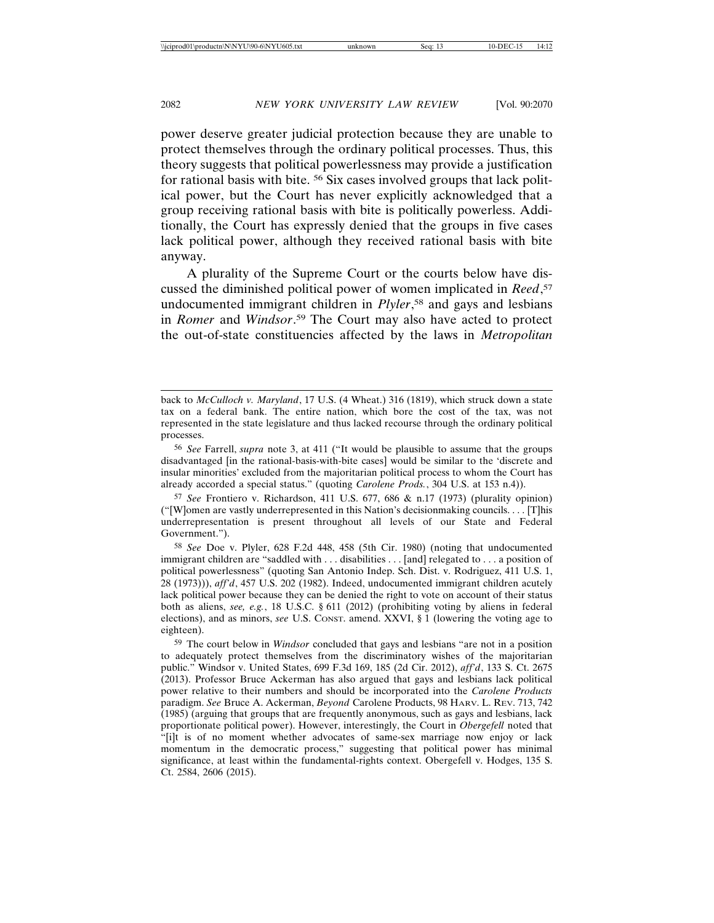power deserve greater judicial protection because they are unable to protect themselves through the ordinary political processes. Thus, this theory suggests that political powerlessness may provide a justification for rational basis with bite. 56 Six cases involved groups that lack political power, but the Court has never explicitly acknowledged that a group receiving rational basis with bite is politically powerless. Additionally, the Court has expressly denied that the groups in five cases lack political power, although they received rational basis with bite anyway.

A plurality of the Supreme Court or the courts below have discussed the diminished political power of women implicated in *Reed*, 57 undocumented immigrant children in *Plyler*, 58 and gays and lesbians in *Romer* and *Windsor*. 59 The Court may also have acted to protect the out-of-state constituencies affected by the laws in *Metropolitan*

57 *See* Frontiero v. Richardson, 411 U.S. 677, 686 & n.17 (1973) (plurality opinion) ("[W]omen are vastly underrepresented in this Nation's decisionmaking councils. . . . [T]his underrepresentation is present throughout all levels of our State and Federal Government.").

58 *See* Doe v. Plyler, 628 F.2d 448, 458 (5th Cir. 1980) (noting that undocumented immigrant children are "saddled with . . . disabilities . . . [and] relegated to . . . a position of political powerlessness" (quoting San Antonio Indep. Sch. Dist. v. Rodriguez, 411 U.S. 1, 28 (1973))), *aff'd*, 457 U.S. 202 (1982). Indeed, undocumented immigrant children acutely lack political power because they can be denied the right to vote on account of their status both as aliens, *see, e.g.*, 18 U.S.C. § 611 (2012) (prohibiting voting by aliens in federal elections), and as minors, *see* U.S. CONST. amend. XXVI, § 1 (lowering the voting age to eighteen).

59 The court below in *Windsor* concluded that gays and lesbians "are not in a position to adequately protect themselves from the discriminatory wishes of the majoritarian public." Windsor v. United States, 699 F.3d 169, 185 (2d Cir. 2012), *aff'd*, 133 S. Ct. 2675 (2013). Professor Bruce Ackerman has also argued that gays and lesbians lack political power relative to their numbers and should be incorporated into the *Carolene Products* paradigm. *See* Bruce A. Ackerman, *Beyond* Carolene Products, 98 HARV. L. REV. 713, 742 (1985) (arguing that groups that are frequently anonymous, such as gays and lesbians, lack proportionate political power). However, interestingly, the Court in *Obergefell* noted that "[i]t is of no moment whether advocates of same-sex marriage now enjoy or lack momentum in the democratic process," suggesting that political power has minimal significance, at least within the fundamental-rights context. Obergefell v. Hodges, 135 S. Ct. 2584, 2606 (2015).

back to *McCulloch v. Maryland*, 17 U.S. (4 Wheat.) 316 (1819), which struck down a state tax on a federal bank. The entire nation, which bore the cost of the tax, was not represented in the state legislature and thus lacked recourse through the ordinary political processes.

<sup>56</sup> *See* Farrell, *supra* note 3, at 411 ("It would be plausible to assume that the groups disadvantaged [in the rational-basis-with-bite cases] would be similar to the 'discrete and insular minorities' excluded from the majoritarian political process to whom the Court has already accorded a special status." (quoting *Carolene Prods.*, 304 U.S. at 153 n.4)).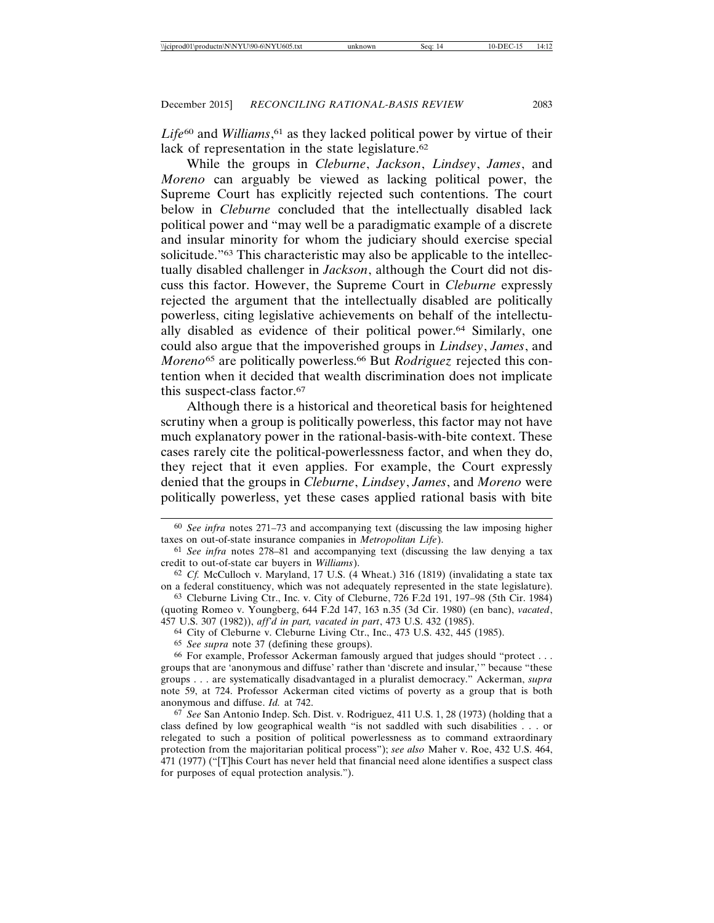*Life*60 and *Williams*, 61 as they lacked political power by virtue of their lack of representation in the state legislature.<sup>62</sup>

While the groups in *Cleburne*, *Jackson*, *Lindsey*, *James*, and *Moreno* can arguably be viewed as lacking political power, the Supreme Court has explicitly rejected such contentions. The court below in *Cleburne* concluded that the intellectually disabled lack political power and "may well be a paradigmatic example of a discrete and insular minority for whom the judiciary should exercise special solicitude."63 This characteristic may also be applicable to the intellectually disabled challenger in *Jackson*, although the Court did not discuss this factor. However, the Supreme Court in *Cleburne* expressly rejected the argument that the intellectually disabled are politically powerless, citing legislative achievements on behalf of the intellectually disabled as evidence of their political power.64 Similarly, one could also argue that the impoverished groups in *Lindsey*, *James*, and *Moreno*65 are politically powerless.66 But *Rodriguez* rejected this contention when it decided that wealth discrimination does not implicate this suspect-class factor.67

Although there is a historical and theoretical basis for heightened scrutiny when a group is politically powerless, this factor may not have much explanatory power in the rational-basis-with-bite context. These cases rarely cite the political-powerlessness factor, and when they do, they reject that it even applies. For example, the Court expressly denied that the groups in *Cleburne*, *Lindsey*, *James*, and *Moreno* were politically powerless, yet these cases applied rational basis with bite

64 City of Cleburne v. Cleburne Living Ctr., Inc., 473 U.S. 432, 445 (1985).

65 *See supra* note 37 (defining these groups).

<sup>60</sup> *See infra* notes 271–73 and accompanying text (discussing the law imposing higher taxes on out-of-state insurance companies in *Metropolitan Life*).

<sup>61</sup> *See infra* notes 278–81 and accompanying text (discussing the law denying a tax credit to out-of-state car buyers in *Williams*).

<sup>62</sup> *Cf.* McCulloch v. Maryland, 17 U.S. (4 Wheat.) 316 (1819) (invalidating a state tax on a federal constituency, which was not adequately represented in the state legislature).

<sup>63</sup> Cleburne Living Ctr., Inc. v. City of Cleburne, 726 F.2d 191, 197–98 (5th Cir. 1984) (quoting Romeo v. Youngberg, 644 F.2d 147, 163 n.35 (3d Cir. 1980) (en banc), *vacated*, 457 U.S. 307 (1982)), *aff'd in part, vacated in part*, 473 U.S. 432 (1985).

<sup>66</sup> For example, Professor Ackerman famously argued that judges should "protect . . . groups that are 'anonymous and diffuse' rather than 'discrete and insular,'" because "these groups . . . are systematically disadvantaged in a pluralist democracy." Ackerman, *supra* note 59, at 724. Professor Ackerman cited victims of poverty as a group that is both anonymous and diffuse. *Id.* at 742.

<sup>67</sup> *See* San Antonio Indep. Sch. Dist. v. Rodriguez, 411 U.S. 1, 28 (1973) (holding that a class defined by low geographical wealth "is not saddled with such disabilities . . . or relegated to such a position of political powerlessness as to command extraordinary protection from the majoritarian political process"); *see also* Maher v. Roe, 432 U.S. 464, 471 (1977) ("[T]his Court has never held that financial need alone identifies a suspect class for purposes of equal protection analysis.").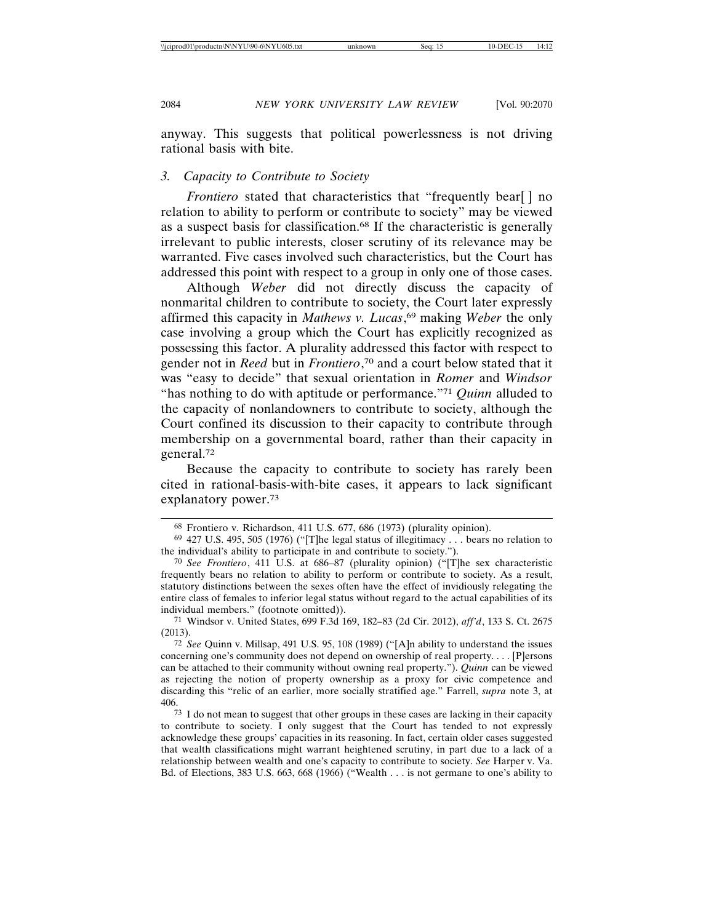anyway. This suggests that political powerlessness is not driving rational basis with bite.

### *3. Capacity to Contribute to Society*

*Frontiero* stated that characteristics that "frequently bear[] no relation to ability to perform or contribute to society" may be viewed as a suspect basis for classification.68 If the characteristic is generally irrelevant to public interests, closer scrutiny of its relevance may be warranted. Five cases involved such characteristics, but the Court has addressed this point with respect to a group in only one of those cases.

Although *Weber* did not directly discuss the capacity of nonmarital children to contribute to society, the Court later expressly affirmed this capacity in *Mathews v. Lucas*, 69 making *Weber* the only case involving a group which the Court has explicitly recognized as possessing this factor. A plurality addressed this factor with respect to gender not in *Reed* but in *Frontiero*, 70 and a court below stated that it was "easy to decide" that sexual orientation in *Romer* and *Windsor* "has nothing to do with aptitude or performance."71 *Quinn* alluded to the capacity of nonlandowners to contribute to society, although the Court confined its discussion to their capacity to contribute through membership on a governmental board, rather than their capacity in general.72

Because the capacity to contribute to society has rarely been cited in rational-basis-with-bite cases, it appears to lack significant explanatory power.73

71 Windsor v. United States, 699 F.3d 169, 182–83 (2d Cir. 2012), *aff'd*, 133 S. Ct. 2675 (2013).

72 *See* Quinn v. Millsap, 491 U.S. 95, 108 (1989) ("[A]n ability to understand the issues concerning one's community does not depend on ownership of real property. . . . [P]ersons can be attached to their community without owning real property."). *Quinn* can be viewed as rejecting the notion of property ownership as a proxy for civic competence and discarding this "relic of an earlier, more socially stratified age." Farrell, *supra* note 3, at 406.

 $73$  I do not mean to suggest that other groups in these cases are lacking in their capacity to contribute to society. I only suggest that the Court has tended to not expressly acknowledge these groups' capacities in its reasoning. In fact, certain older cases suggested that wealth classifications might warrant heightened scrutiny, in part due to a lack of a relationship between wealth and one's capacity to contribute to society. *See* Harper v. Va. Bd. of Elections, 383 U.S. 663, 668 (1966) ("Wealth . . . is not germane to one's ability to

<sup>68</sup> Frontiero v. Richardson, 411 U.S. 677, 686 (1973) (plurality opinion).

 $69$  427 U.S. 495, 505 (1976) ("The legal status of illegitimacy . . . bears no relation to the individual's ability to participate in and contribute to society.").

<sup>70</sup> *See Frontiero*, 411 U.S. at 686–87 (plurality opinion) ("[T]he sex characteristic frequently bears no relation to ability to perform or contribute to society. As a result, statutory distinctions between the sexes often have the effect of invidiously relegating the entire class of females to inferior legal status without regard to the actual capabilities of its individual members." (footnote omitted)).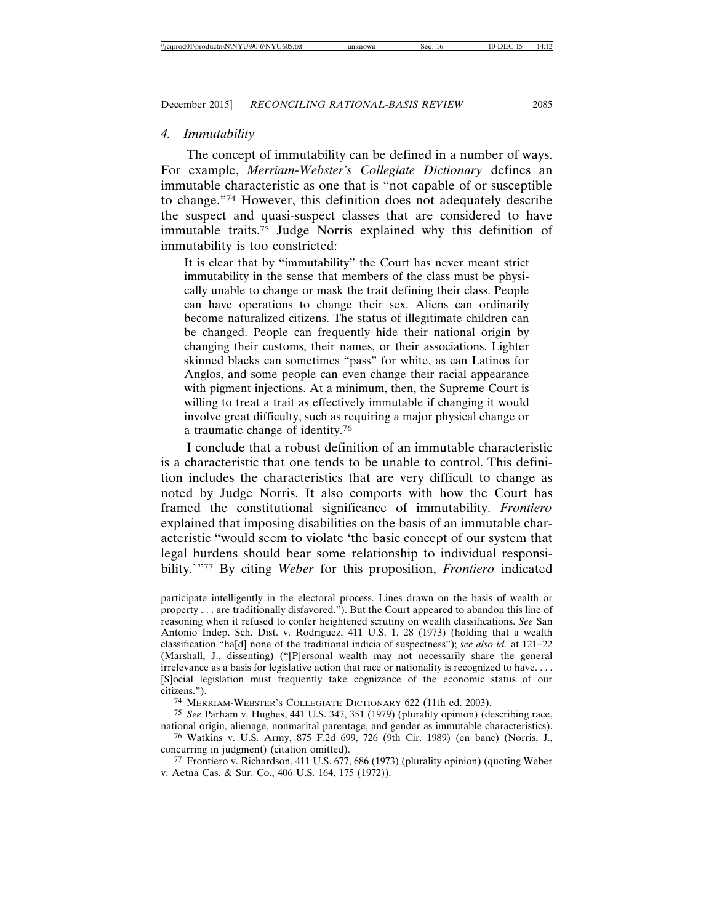#### *4. Immutability*

The concept of immutability can be defined in a number of ways. For example, *Merriam-Webster's Collegiate Dictionary* defines an immutable characteristic as one that is "not capable of or susceptible to change."74 However, this definition does not adequately describe the suspect and quasi-suspect classes that are considered to have immutable traits.75 Judge Norris explained why this definition of immutability is too constricted:

It is clear that by "immutability" the Court has never meant strict immutability in the sense that members of the class must be physically unable to change or mask the trait defining their class. People can have operations to change their sex. Aliens can ordinarily become naturalized citizens. The status of illegitimate children can be changed. People can frequently hide their national origin by changing their customs, their names, or their associations. Lighter skinned blacks can sometimes "pass" for white, as can Latinos for Anglos, and some people can even change their racial appearance with pigment injections. At a minimum, then, the Supreme Court is willing to treat a trait as effectively immutable if changing it would involve great difficulty, such as requiring a major physical change or a traumatic change of identity.<sup>76</sup>

I conclude that a robust definition of an immutable characteristic is a characteristic that one tends to be unable to control. This definition includes the characteristics that are very difficult to change as noted by Judge Norris. It also comports with how the Court has framed the constitutional significance of immutability. *Frontiero* explained that imposing disabilities on the basis of an immutable characteristic "would seem to violate 'the basic concept of our system that legal burdens should bear some relationship to individual responsibility.'"77 By citing *Weber* for this proposition, *Frontiero* indicated

participate intelligently in the electoral process. Lines drawn on the basis of wealth or property . . . are traditionally disfavored."). But the Court appeared to abandon this line of reasoning when it refused to confer heightened scrutiny on wealth classifications. *See* San Antonio Indep. Sch. Dist. v. Rodriguez, 411 U.S. 1, 28 (1973) (holding that a wealth classification "ha[d] none of the traditional indicia of suspectness"); *see also id.* at 121–22 (Marshall, J., dissenting) ("[P]ersonal wealth may not necessarily share the general irrelevance as a basis for legislative action that race or nationality is recognized to have. . . . [S]ocial legislation must frequently take cognizance of the economic status of our citizens.").

74 MERRIAM-WEBSTER'S COLLEGIATE DICTIONARY 622 (11th ed. 2003).

75 *See* Parham v. Hughes, 441 U.S. 347, 351 (1979) (plurality opinion) (describing race, national origin, alienage, nonmarital parentage, and gender as immutable characteristics).

76 Watkins v. U.S. Army, 875 F.2d 699, 726 (9th Cir. 1989) (en banc) (Norris, J., concurring in judgment) (citation omitted).

77 Frontiero v. Richardson, 411 U.S. 677, 686 (1973) (plurality opinion) (quoting Weber v. Aetna Cas. & Sur. Co., 406 U.S. 164, 175 (1972)).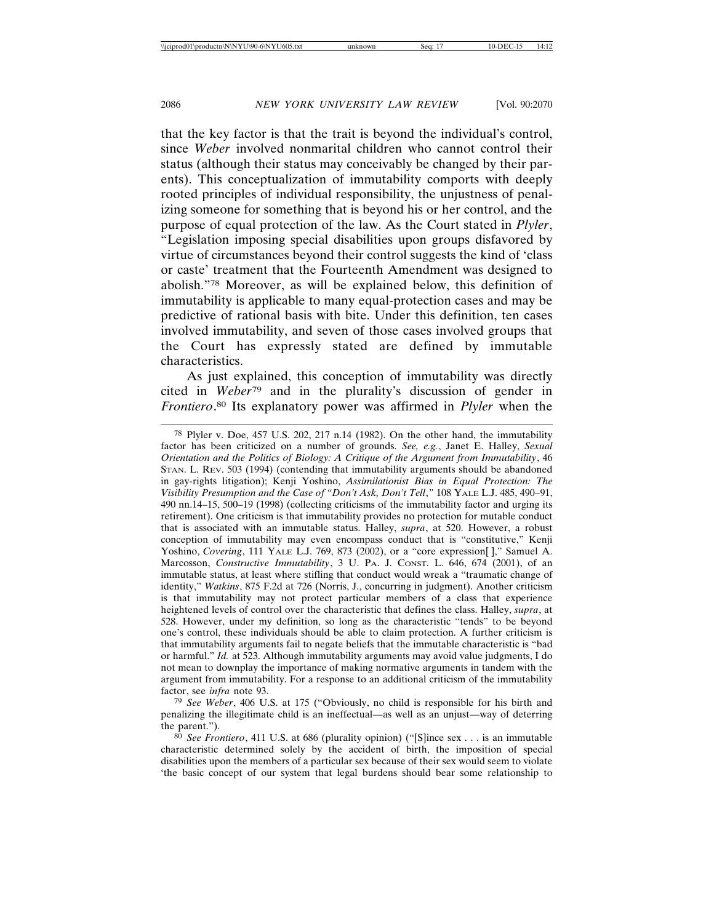that the key factor is that the trait is beyond the individual's control, since *Weber* involved nonmarital children who cannot control their status (although their status may conceivably be changed by their parents). This conceptualization of immutability comports with deeply rooted principles of individual responsibility, the unjustness of penalizing someone for something that is beyond his or her control, and the purpose of equal protection of the law. As the Court stated in *Plyler*, "Legislation imposing special disabilities upon groups disfavored by virtue of circumstances beyond their control suggests the kind of 'class or caste' treatment that the Fourteenth Amendment was designed to abolish."78 Moreover, as will be explained below, this definition of immutability is applicable to many equal-protection cases and may be predictive of rational basis with bite. Under this definition, ten cases involved immutability, and seven of those cases involved groups that the Court has expressly stated are defined by immutable characteristics.

As just explained, this conception of immutability was directly cited in *Weber*79 and in the plurality's discussion of gender in *Frontiero*. 80 Its explanatory power was affirmed in *Plyler* when the

<sup>78</sup> Plyler v. Doe, 457 U.S. 202, 217 n.14 (1982). On the other hand, the immutability factor has been criticized on a number of grounds. *See, e.g.*, Janet E. Halley, *Sexual Orientation and the Politics of Biology: A Critique of the Argument from Immutability*, 46 STAN. L. REV. 503 (1994) (contending that immutability arguments should be abandoned in gay-rights litigation); Kenji Yoshino, *Assimilationist Bias in Equal Protection: The Visibility Presumption and the Case of "Don't Ask, Don't Tell*,*"* 108 YALE L.J. 485, 490–91, 490 nn.14–15, 500–19 (1998) (collecting criticisms of the immutability factor and urging its retirement). One criticism is that immutability provides no protection for mutable conduct that is associated with an immutable status. Halley, *supra*, at 520. However, a robust conception of immutability may even encompass conduct that is "constitutive," Kenji Yoshino, *Covering*, 111 YALE L.J. 769, 873 (2002), or a "core expression[ ]," Samuel A. Marcosson, *Constructive Immutability*, 3 U. PA. J. CONST. L. 646, 674 (2001), of an immutable status, at least where stifling that conduct would wreak a "traumatic change of identity," *Watkins*, 875 F.2d at 726 (Norris, J., concurring in judgment). Another criticism is that immutability may not protect particular members of a class that experience heightened levels of control over the characteristic that defines the class. Halley, *supra*, at 528. However, under my definition, so long as the characteristic "tends" to be beyond one's control, these individuals should be able to claim protection. A further criticism is that immutability arguments fail to negate beliefs that the immutable characteristic is "bad or harmful." *Id.* at 523. Although immutability arguments may avoid value judgments, I do not mean to downplay the importance of making normative arguments in tandem with the argument from immutability. For a response to an additional criticism of the immutability factor, see *infra* note 93.

<sup>79</sup> *See Weber*, 406 U.S. at 175 ("Obviously, no child is responsible for his birth and penalizing the illegitimate child is an ineffectual—as well as an unjust—way of deterring the parent.").

<sup>80</sup> *See Frontiero*, 411 U.S. at 686 (plurality opinion) ("[S]ince sex . . . is an immutable characteristic determined solely by the accident of birth, the imposition of special disabilities upon the members of a particular sex because of their sex would seem to violate 'the basic concept of our system that legal burdens should bear some relationship to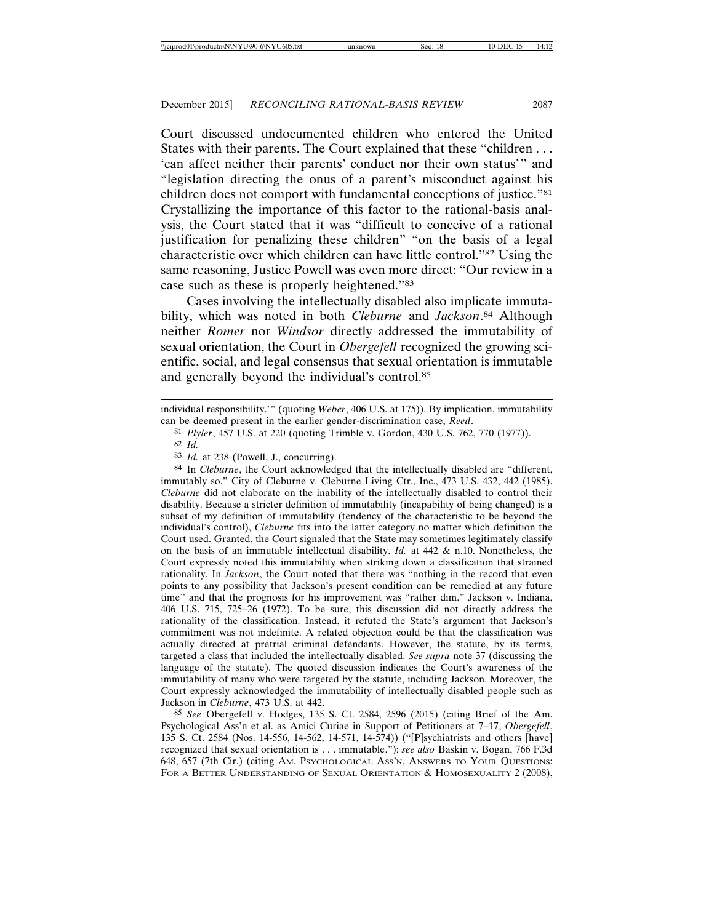Court discussed undocumented children who entered the United States with their parents. The Court explained that these "children . . . 'can affect neither their parents' conduct nor their own status'" and "legislation directing the onus of a parent's misconduct against his children does not comport with fundamental conceptions of justice."81 Crystallizing the importance of this factor to the rational-basis analysis, the Court stated that it was "difficult to conceive of a rational justification for penalizing these children" "on the basis of a legal characteristic over which children can have little control."82 Using the same reasoning, Justice Powell was even more direct: "Our review in a case such as these is properly heightened."83

Cases involving the intellectually disabled also implicate immutability, which was noted in both *Cleburne* and *Jackson*. 84 Although neither *Romer* nor *Windsor* directly addressed the immutability of sexual orientation, the Court in *Obergefell* recognized the growing scientific, social, and legal consensus that sexual orientation is immutable and generally beyond the individual's control.85

81 *Plyler*, 457 U.S. at 220 (quoting Trimble v. Gordon, 430 U.S. 762, 770 (1977)).

84 In *Cleburne*, the Court acknowledged that the intellectually disabled are "different, immutably so." City of Cleburne v. Cleburne Living Ctr., Inc., 473 U.S. 432, 442 (1985). *Cleburne* did not elaborate on the inability of the intellectually disabled to control their disability. Because a stricter definition of immutability (incapability of being changed) is a subset of my definition of immutability (tendency of the characteristic to be beyond the individual's control), *Cleburne* fits into the latter category no matter which definition the Court used. Granted, the Court signaled that the State may sometimes legitimately classify on the basis of an immutable intellectual disability. *Id.* at 442 & n.10. Nonetheless, the Court expressly noted this immutability when striking down a classification that strained rationality. In *Jackson*, the Court noted that there was "nothing in the record that even points to any possibility that Jackson's present condition can be remedied at any future time" and that the prognosis for his improvement was "rather dim." Jackson v. Indiana, 406 U.S. 715, 725–26 (1972). To be sure, this discussion did not directly address the rationality of the classification. Instead, it refuted the State's argument that Jackson's commitment was not indefinite. A related objection could be that the classification was actually directed at pretrial criminal defendants. However, the statute, by its terms, targeted a class that included the intellectually disabled. *See supra* note 37 (discussing the language of the statute). The quoted discussion indicates the Court's awareness of the immutability of many who were targeted by the statute, including Jackson. Moreover, the Court expressly acknowledged the immutability of intellectually disabled people such as Jackson in *Cleburne*, 473 U.S. at 442.

85 *See* Obergefell v. Hodges, 135 S. Ct. 2584, 2596 (2015) (citing Brief of the Am. Psychological Ass'n et al. as Amici Curiae in Support of Petitioners at 7–17, *Obergefell*, 135 S. Ct. 2584 (Nos. 14-556, 14-562, 14-571, 14-574)) ("[P]sychiatrists and others [have] recognized that sexual orientation is . . . immutable."); *see also* Baskin v. Bogan, 766 F.3d 648, 657 (7th Cir.) (citing AM. PSYCHOLOGICAL ASS'N, ANSWERS TO YOUR QUESTIONS: FOR A BETTER UNDERSTANDING OF SEXUAL ORIENTATION & HOMOSEXUALITY 2 (2008),

individual responsibility.'" (quoting *Weber*, 406 U.S. at 175)). By implication, immutability can be deemed present in the earlier gender-discrimination case, *Reed*.

<sup>82</sup> *Id.*

<sup>83</sup> *Id.* at 238 (Powell, J., concurring).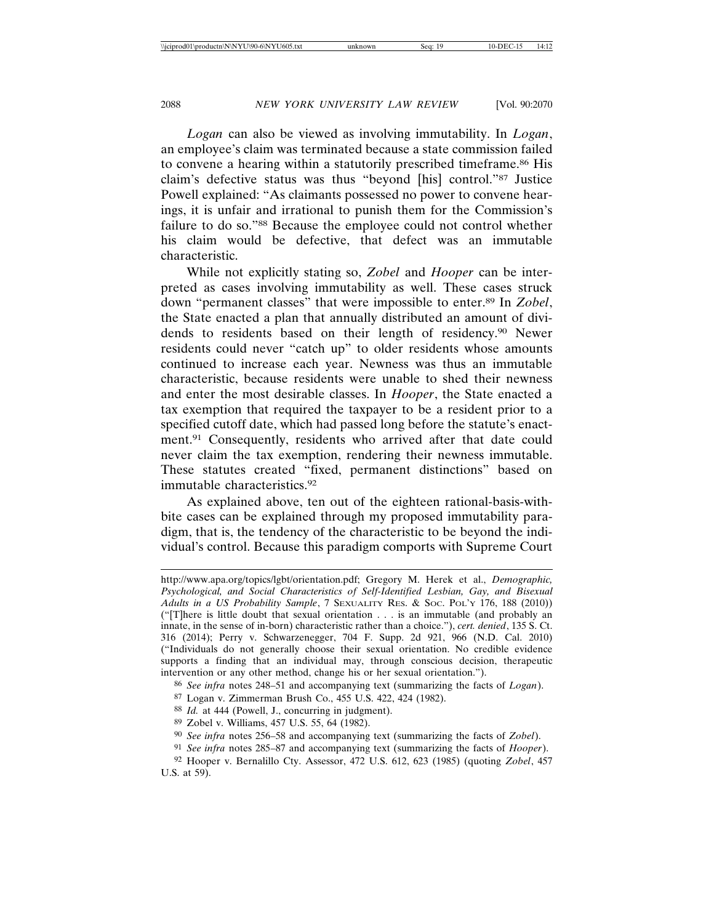*Logan* can also be viewed as involving immutability. In *Logan*, an employee's claim was terminated because a state commission failed to convene a hearing within a statutorily prescribed timeframe.86 His claim's defective status was thus "beyond [his] control."87 Justice Powell explained: "As claimants possessed no power to convene hearings, it is unfair and irrational to punish them for the Commission's failure to do so."88 Because the employee could not control whether his claim would be defective, that defect was an immutable characteristic.

While not explicitly stating so, *Zobel* and *Hooper* can be interpreted as cases involving immutability as well. These cases struck down "permanent classes" that were impossible to enter.89 In *Zobel*, the State enacted a plan that annually distributed an amount of dividends to residents based on their length of residency.90 Newer residents could never "catch up" to older residents whose amounts continued to increase each year. Newness was thus an immutable characteristic, because residents were unable to shed their newness and enter the most desirable classes. In *Hooper*, the State enacted a tax exemption that required the taxpayer to be a resident prior to a specified cutoff date, which had passed long before the statute's enactment.91 Consequently, residents who arrived after that date could never claim the tax exemption, rendering their newness immutable. These statutes created "fixed, permanent distinctions" based on immutable characteristics.92

As explained above, ten out of the eighteen rational-basis-withbite cases can be explained through my proposed immutability paradigm, that is, the tendency of the characteristic to be beyond the individual's control. Because this paradigm comports with Supreme Court

- 88 *Id.* at 444 (Powell, J., concurring in judgment).
- 89 Zobel v. Williams, 457 U.S. 55, 64 (1982).
- 90 *See infra* notes 256–58 and accompanying text (summarizing the facts of *Zobel*).

http://www.apa.org/topics/lgbt/orientation.pdf; Gregory M. Herek et al., *Demographic, Psychological, and Social Characteristics of Self-Identified Lesbian, Gay, and Bisexual Adults in a US Probability Sample*, 7 SEXUALITY RES. & SOC. POL'Y 176, 188 (2010)) ("[T]here is little doubt that sexual orientation . . . is an immutable (and probably an innate, in the sense of in-born) characteristic rather than a choice."), *cert. denied*, 135 S. Ct. 316 (2014); Perry v. Schwarzenegger, 704 F. Supp. 2d 921, 966 (N.D. Cal. 2010) ("Individuals do not generally choose their sexual orientation. No credible evidence supports a finding that an individual may, through conscious decision, therapeutic intervention or any other method, change his or her sexual orientation.").

<sup>86</sup> *See infra* notes 248–51 and accompanying text (summarizing the facts of *Logan*).

<sup>87</sup> Logan v. Zimmerman Brush Co., 455 U.S. 422, 424 (1982).

<sup>91</sup> *See infra* notes 285–87 and accompanying text (summarizing the facts of *Hooper*).

<sup>92</sup> Hooper v. Bernalillo Cty. Assessor, 472 U.S. 612, 623 (1985) (quoting *Zobel*, 457 U.S. at 59).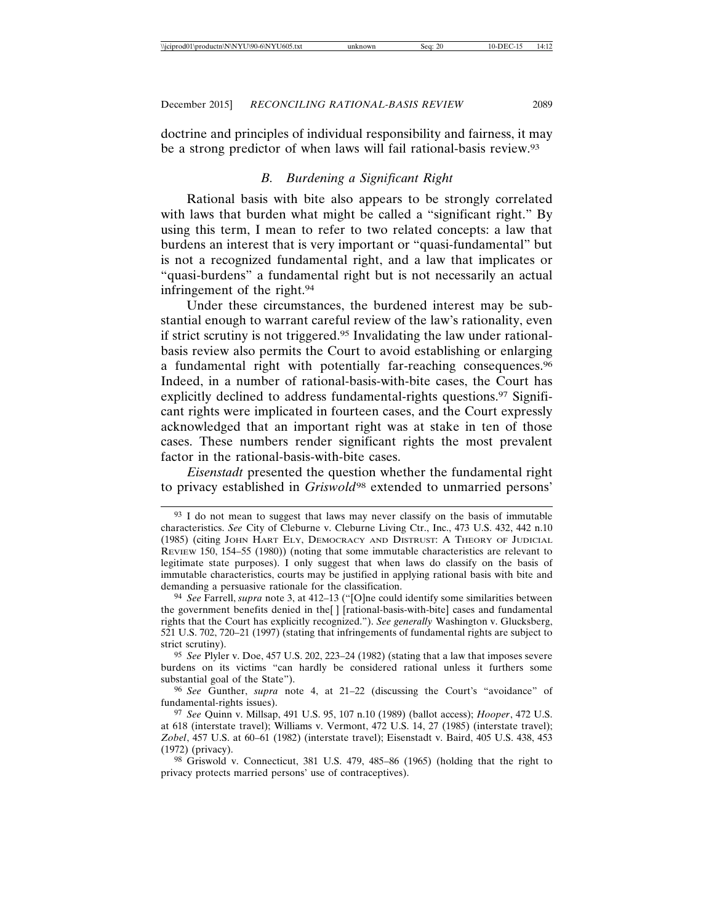doctrine and principles of individual responsibility and fairness, it may be a strong predictor of when laws will fail rational-basis review.93

## *B. Burdening a Significant Right*

Rational basis with bite also appears to be strongly correlated with laws that burden what might be called a "significant right." By using this term, I mean to refer to two related concepts: a law that burdens an interest that is very important or "quasi-fundamental" but is not a recognized fundamental right, and a law that implicates or "quasi-burdens" a fundamental right but is not necessarily an actual infringement of the right.94

Under these circumstances, the burdened interest may be substantial enough to warrant careful review of the law's rationality, even if strict scrutiny is not triggered.95 Invalidating the law under rationalbasis review also permits the Court to avoid establishing or enlarging a fundamental right with potentially far-reaching consequences.96 Indeed, in a number of rational-basis-with-bite cases, the Court has explicitly declined to address fundamental-rights questions.<sup>97</sup> Significant rights were implicated in fourteen cases, and the Court expressly acknowledged that an important right was at stake in ten of those cases. These numbers render significant rights the most prevalent factor in the rational-basis-with-bite cases.

*Eisenstadt* presented the question whether the fundamental right to privacy established in *Griswold*98 extended to unmarried persons'

<sup>93</sup> I do not mean to suggest that laws may never classify on the basis of immutable characteristics. *See* City of Cleburne v. Cleburne Living Ctr., Inc., 473 U.S. 432, 442 n.10 (1985) (citing JOHN HART ELY, DEMOCRACY AND DISTRUST: A THEORY OF JUDICIAL REVIEW 150, 154–55 (1980)) (noting that some immutable characteristics are relevant to legitimate state purposes). I only suggest that when laws do classify on the basis of immutable characteristics, courts may be justified in applying rational basis with bite and demanding a persuasive rationale for the classification.

<sup>94</sup> *See* Farrell, *supra* note 3, at 412–13 ("[O]ne could identify some similarities between the government benefits denied in the[ ] [rational-basis-with-bite] cases and fundamental rights that the Court has explicitly recognized."). *See generally* Washington v. Glucksberg, 521 U.S. 702, 720–21 (1997) (stating that infringements of fundamental rights are subject to strict scrutiny).

<sup>95</sup> *See* Plyler v. Doe, 457 U.S. 202, 223–24 (1982) (stating that a law that imposes severe burdens on its victims "can hardly be considered rational unless it furthers some substantial goal of the State").

<sup>96</sup> *See* Gunther, *supra* note 4, at 21–22 (discussing the Court's "avoidance" of fundamental-rights issues).

<sup>97</sup> *See* Quinn v. Millsap, 491 U.S. 95, 107 n.10 (1989) (ballot access); *Hooper*, 472 U.S. at 618 (interstate travel); Williams v. Vermont, 472 U.S. 14, 27 (1985) (interstate travel); *Zobel*, 457 U.S. at 60–61 (1982) (interstate travel); Eisenstadt v. Baird, 405 U.S. 438, 453 (1972) (privacy).

<sup>98</sup> Griswold v. Connecticut, 381 U.S. 479, 485–86 (1965) (holding that the right to privacy protects married persons' use of contraceptives).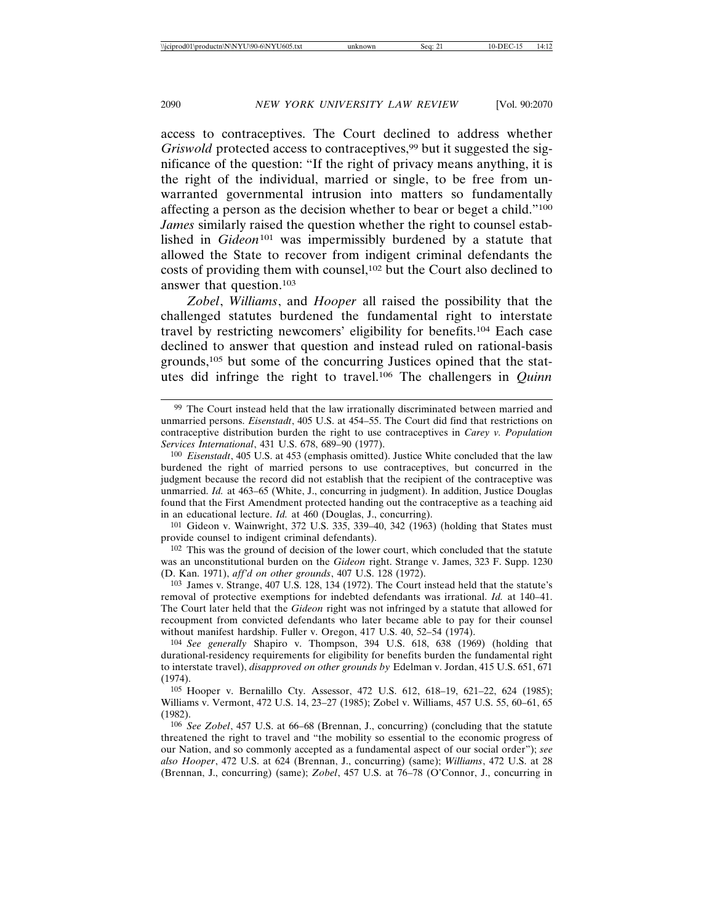access to contraceptives. The Court declined to address whether *Griswold* protected access to contraceptives,<sup>99</sup> but it suggested the significance of the question: "If the right of privacy means anything, it is the right of the individual, married or single, to be free from unwarranted governmental intrusion into matters so fundamentally affecting a person as the decision whether to bear or beget a child."100 *James* similarly raised the question whether the right to counsel established in *Gideon*101 was impermissibly burdened by a statute that allowed the State to recover from indigent criminal defendants the costs of providing them with counsel,102 but the Court also declined to answer that question.103

*Zobel*, *Williams*, and *Hooper* all raised the possibility that the challenged statutes burdened the fundamental right to interstate travel by restricting newcomers' eligibility for benefits.104 Each case declined to answer that question and instead ruled on rational-basis grounds,105 but some of the concurring Justices opined that the statutes did infringe the right to travel.106 The challengers in *Quinn*

101 Gideon v. Wainwright, 372 U.S. 335, 339–40, 342 (1963) (holding that States must provide counsel to indigent criminal defendants).

102 This was the ground of decision of the lower court, which concluded that the statute was an unconstitutional burden on the *Gideon* right. Strange v. James, 323 F. Supp. 1230 (D. Kan. 1971), *aff'd on other grounds*, 407 U.S. 128 (1972).

103 James v. Strange, 407 U.S. 128, 134 (1972). The Court instead held that the statute's removal of protective exemptions for indebted defendants was irrational. *Id.* at 140–41. The Court later held that the *Gideon* right was not infringed by a statute that allowed for recoupment from convicted defendants who later became able to pay for their counsel without manifest hardship. Fuller v. Oregon, 417 U.S. 40, 52–54 (1974).

104 *See generally* Shapiro v. Thompson, 394 U.S. 618, 638 (1969) (holding that durational-residency requirements for eligibility for benefits burden the fundamental right to interstate travel), *disapproved on other grounds by* Edelman v. Jordan, 415 U.S. 651, 671 (1974).

105 Hooper v. Bernalillo Cty. Assessor, 472 U.S. 612, 618–19, 621–22, 624 (1985); Williams v. Vermont, 472 U.S. 14, 23–27 (1985); Zobel v. Williams, 457 U.S. 55, 60–61, 65 (1982).

106 *See Zobel*, 457 U.S. at 66–68 (Brennan, J., concurring) (concluding that the statute threatened the right to travel and "the mobility so essential to the economic progress of our Nation, and so commonly accepted as a fundamental aspect of our social order"); *see also Hooper*, 472 U.S. at 624 (Brennan, J., concurring) (same); *Williams*, 472 U.S. at 28 (Brennan, J., concurring) (same); *Zobel*, 457 U.S. at 76–78 (O'Connor, J., concurring in

<sup>99</sup> The Court instead held that the law irrationally discriminated between married and unmarried persons. *Eisenstadt*, 405 U.S. at 454–55. The Court did find that restrictions on contraceptive distribution burden the right to use contraceptives in *Carey v. Population Services International*, 431 U.S. 678, 689–90 (1977).

<sup>100</sup> *Eisenstadt*, 405 U.S. at 453 (emphasis omitted). Justice White concluded that the law burdened the right of married persons to use contraceptives, but concurred in the judgment because the record did not establish that the recipient of the contraceptive was unmarried. *Id.* at 463–65 (White, J., concurring in judgment). In addition, Justice Douglas found that the First Amendment protected handing out the contraceptive as a teaching aid in an educational lecture. *Id.* at 460 (Douglas, J., concurring).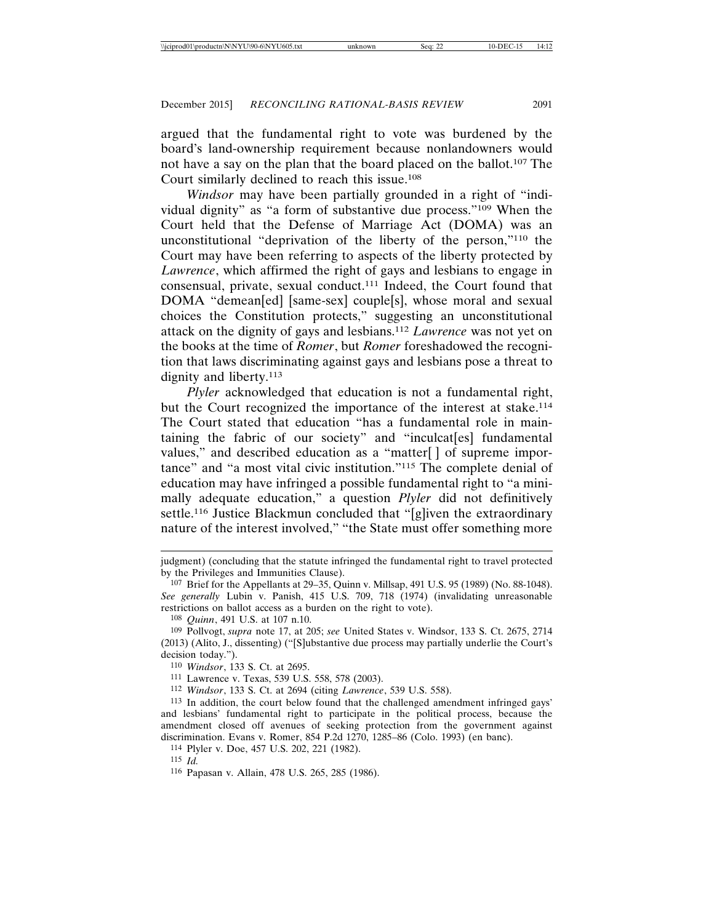argued that the fundamental right to vote was burdened by the board's land-ownership requirement because nonlandowners would not have a say on the plan that the board placed on the ballot.107 The Court similarly declined to reach this issue.108

*Windsor* may have been partially grounded in a right of "individual dignity" as "a form of substantive due process."109 When the Court held that the Defense of Marriage Act (DOMA) was an unconstitutional "deprivation of the liberty of the person,"110 the Court may have been referring to aspects of the liberty protected by *Lawrence*, which affirmed the right of gays and lesbians to engage in consensual, private, sexual conduct.111 Indeed, the Court found that DOMA "demean[ed] [same-sex] couple[s], whose moral and sexual choices the Constitution protects," suggesting an unconstitutional attack on the dignity of gays and lesbians.112 *Lawrence* was not yet on the books at the time of *Romer*, but *Romer* foreshadowed the recognition that laws discriminating against gays and lesbians pose a threat to dignity and liberty.<sup>113</sup>

*Plyler* acknowledged that education is not a fundamental right, but the Court recognized the importance of the interest at stake.114 The Court stated that education "has a fundamental role in maintaining the fabric of our society" and "inculcat[es] fundamental values," and described education as a "matter[ ] of supreme importance" and "a most vital civic institution."115 The complete denial of education may have infringed a possible fundamental right to "a minimally adequate education," a question *Plyler* did not definitively settle.<sup>116</sup> Justice Blackmun concluded that "[g]iven the extraordinary nature of the interest involved," "the State must offer something more

judgment) (concluding that the statute infringed the fundamental right to travel protected by the Privileges and Immunities Clause).

<sup>107</sup> Brief for the Appellants at 29–35, Quinn v. Millsap, 491 U.S. 95 (1989) (No. 88-1048). *See generally* Lubin v. Panish, 415 U.S. 709, 718 (1974) (invalidating unreasonable restrictions on ballot access as a burden on the right to vote).

<sup>108</sup> *Quinn*, 491 U.S. at 107 n.10.

<sup>109</sup> Pollvogt, *supra* note 17, at 205; *see* United States v. Windsor, 133 S. Ct. 2675, 2714 (2013) (Alito, J., dissenting) ("[S]ubstantive due process may partially underlie the Court's decision today.").

<sup>110</sup> *Windsor*, 133 S. Ct. at 2695.

<sup>111</sup> Lawrence v. Texas, 539 U.S. 558, 578 (2003).

<sup>112</sup> *Windsor*, 133 S. Ct. at 2694 (citing *Lawrence*, 539 U.S. 558).

<sup>113</sup> In addition, the court below found that the challenged amendment infringed gays' and lesbians' fundamental right to participate in the political process, because the amendment closed off avenues of seeking protection from the government against discrimination. Evans v. Romer, 854 P.2d 1270, 1285–86 (Colo. 1993) (en banc).

<sup>114</sup> Plyler v. Doe, 457 U.S. 202, 221 (1982).

<sup>115</sup> *Id.*

<sup>116</sup> Papasan v. Allain, 478 U.S. 265, 285 (1986).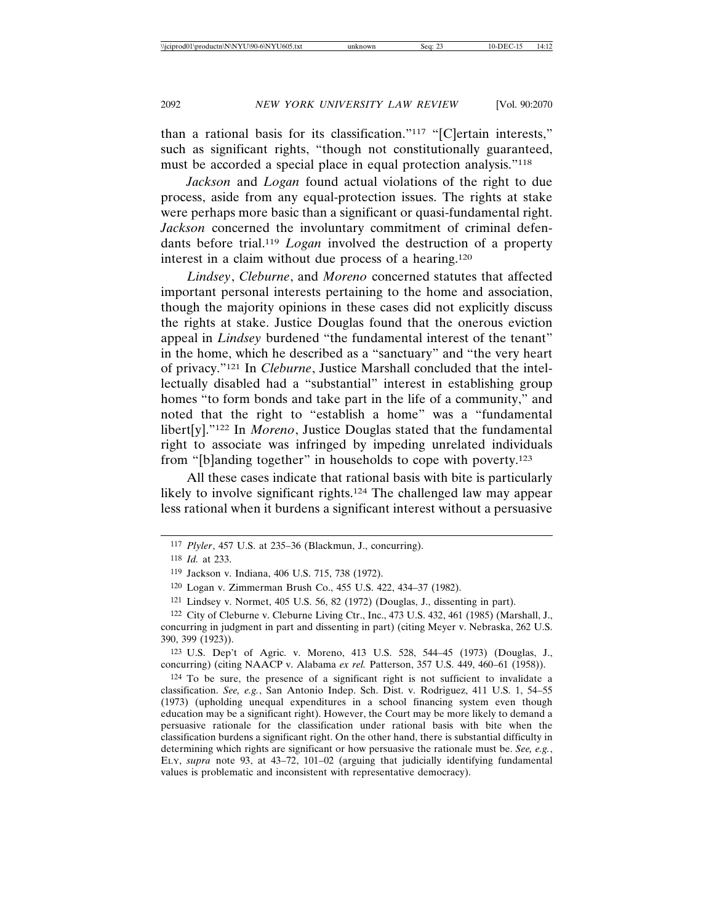than a rational basis for its classification."117 "[C]ertain interests," such as significant rights, "though not constitutionally guaranteed, must be accorded a special place in equal protection analysis."118

*Jackson* and *Logan* found actual violations of the right to due process, aside from any equal-protection issues. The rights at stake were perhaps more basic than a significant or quasi-fundamental right. *Jackson* concerned the involuntary commitment of criminal defendants before trial.119 *Logan* involved the destruction of a property interest in a claim without due process of a hearing.120

*Lindsey*, *Cleburne*, and *Moreno* concerned statutes that affected important personal interests pertaining to the home and association, though the majority opinions in these cases did not explicitly discuss the rights at stake. Justice Douglas found that the onerous eviction appeal in *Lindsey* burdened "the fundamental interest of the tenant" in the home, which he described as a "sanctuary" and "the very heart of privacy."121 In *Cleburne*, Justice Marshall concluded that the intellectually disabled had a "substantial" interest in establishing group homes "to form bonds and take part in the life of a community," and noted that the right to "establish a home" was a "fundamental libert[y]."122 In *Moreno*, Justice Douglas stated that the fundamental right to associate was infringed by impeding unrelated individuals from "[b]anding together" in households to cope with poverty.123

All these cases indicate that rational basis with bite is particularly likely to involve significant rights.<sup>124</sup> The challenged law may appear less rational when it burdens a significant interest without a persuasive

<sup>117</sup> *Plyler*, 457 U.S. at 235–36 (Blackmun, J., concurring).

<sup>118</sup> *Id.* at 233.

<sup>119</sup> Jackson v. Indiana, 406 U.S. 715, 738 (1972).

<sup>120</sup> Logan v. Zimmerman Brush Co., 455 U.S. 422, 434–37 (1982).

<sup>121</sup> Lindsey v. Normet, 405 U.S. 56, 82 (1972) (Douglas, J., dissenting in part).

<sup>122</sup> City of Cleburne v. Cleburne Living Ctr., Inc., 473 U.S. 432, 461 (1985) (Marshall, J., concurring in judgment in part and dissenting in part) (citing Meyer v. Nebraska, 262 U.S. 390, 399 (1923)).

<sup>123</sup> U.S. Dep't of Agric. v. Moreno, 413 U.S. 528, 544–45 (1973) (Douglas, J., concurring) (citing NAACP v. Alabama *ex rel.* Patterson, 357 U.S. 449, 460–61 (1958)).

<sup>124</sup> To be sure, the presence of a significant right is not sufficient to invalidate a classification. *See, e.g.*, San Antonio Indep. Sch. Dist. v. Rodriguez, 411 U.S. 1, 54–55 (1973) (upholding unequal expenditures in a school financing system even though education may be a significant right). However, the Court may be more likely to demand a persuasive rationale for the classification under rational basis with bite when the classification burdens a significant right. On the other hand, there is substantial difficulty in determining which rights are significant or how persuasive the rationale must be. *See, e.g.*, ELY, *supra* note 93, at 43–72, 101–02 (arguing that judicially identifying fundamental values is problematic and inconsistent with representative democracy).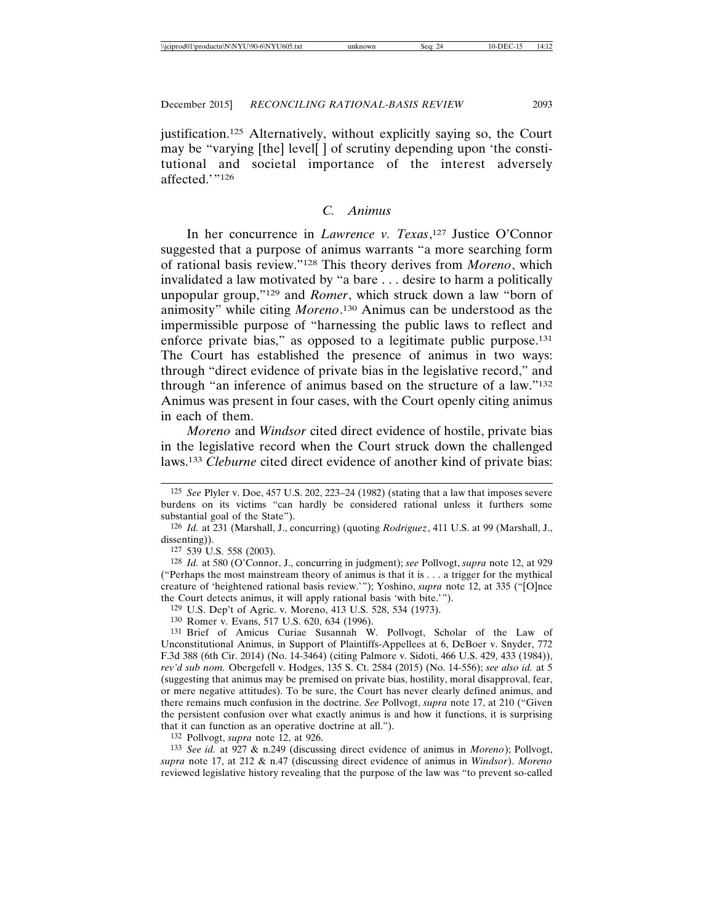justification.125 Alternatively, without explicitly saying so, the Court may be "varying [the] level[ ] of scrutiny depending upon 'the constitutional and societal importance of the interest adversely affected.'"126

## *C. Animus*

In her concurrence in *Lawrence v. Texas*, 127 Justice O'Connor suggested that a purpose of animus warrants "a more searching form of rational basis review."128 This theory derives from *Moreno*, which invalidated a law motivated by "a bare . . . desire to harm a politically unpopular group,"129 and *Romer*, which struck down a law "born of animosity" while citing *Moreno*. 130 Animus can be understood as the impermissible purpose of "harnessing the public laws to reflect and enforce private bias," as opposed to a legitimate public purpose.131 The Court has established the presence of animus in two ways: through "direct evidence of private bias in the legislative record," and through "an inference of animus based on the structure of a law."132 Animus was present in four cases, with the Court openly citing animus in each of them.

*Moreno* and *Windsor* cited direct evidence of hostile, private bias in the legislative record when the Court struck down the challenged laws.133 *Cleburne* cited direct evidence of another kind of private bias:

132 Pollvogt, *supra* note 12, at 926.

133 *See id.* at 927 & n.249 (discussing direct evidence of animus in *Moreno*); Pollvogt, *supra* note 17, at 212 & n.47 (discussing direct evidence of animus in *Windsor*). *Moreno* reviewed legislative history revealing that the purpose of the law was "to prevent so-called

<sup>125</sup> *See* Plyler v. Doe, 457 U.S. 202, 223–24 (1982) (stating that a law that imposes severe burdens on its victims "can hardly be considered rational unless it furthers some substantial goal of the State").

<sup>126</sup> *Id.* at 231 (Marshall, J., concurring) (quoting *Rodriguez*, 411 U.S. at 99 (Marshall, J., dissenting)).

<sup>127</sup> 539 U.S. 558 (2003).

<sup>128</sup> *Id.* at 580 (O'Connor, J., concurring in judgment); *see* Pollvogt, *supra* note 12, at 929 ("Perhaps the most mainstream theory of animus is that it is . . . a trigger for the mythical creature of 'heightened rational basis review.'"); Yoshino, *supra* note 12, at 335 ("[O]nce the Court detects animus, it will apply rational basis 'with bite.'").

<sup>129</sup> U.S. Dep't of Agric. v. Moreno, 413 U.S. 528, 534 (1973).

<sup>130</sup> Romer v. Evans, 517 U.S. 620, 634 (1996).

<sup>131</sup> Brief of Amicus Curiae Susannah W. Pollvogt, Scholar of the Law of Unconstitutional Animus, in Support of Plaintiffs-Appellees at 6, DeBoer v. Snyder, 772 F.3d 388 (6th Cir. 2014) (No. 14-3464) (citing Palmore v. Sidoti, 466 U.S. 429, 433 (1984)), *rev'd sub nom.* Obergefell v. Hodges, 135 S. Ct. 2584 (2015) (No. 14-556); *see also id.* at 5 (suggesting that animus may be premised on private bias, hostility, moral disapproval, fear, or mere negative attitudes). To be sure, the Court has never clearly defined animus, and there remains much confusion in the doctrine. *See* Pollvogt, *supra* note 17, at 210 ("Given the persistent confusion over what exactly animus is and how it functions, it is surprising that it can function as an operative doctrine at all.").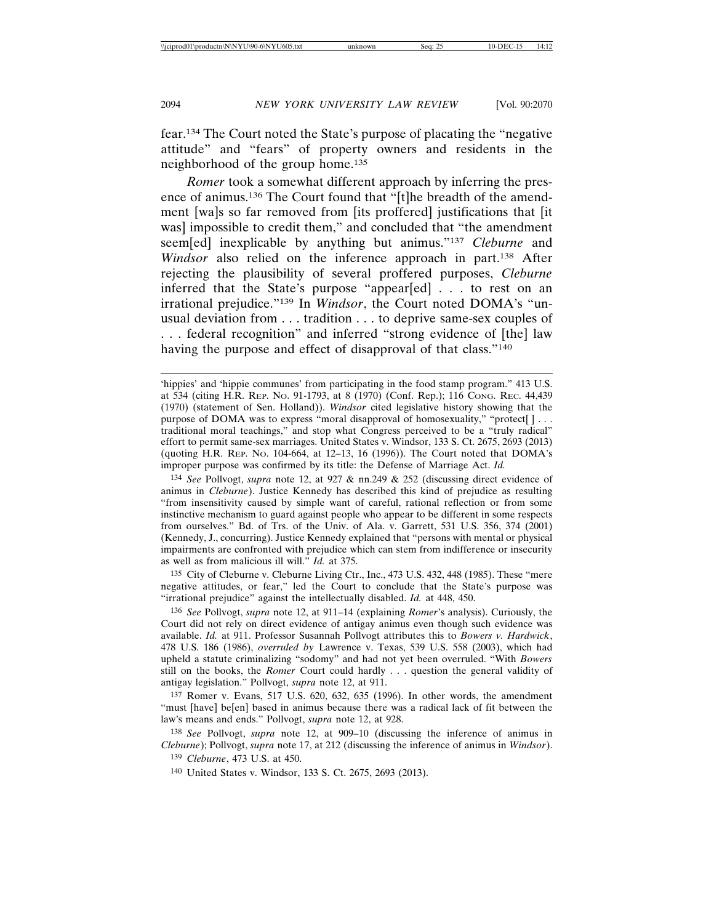fear.134 The Court noted the State's purpose of placating the "negative attitude" and "fears" of property owners and residents in the neighborhood of the group home.135

*Romer* took a somewhat different approach by inferring the presence of animus.136 The Court found that "[t]he breadth of the amendment [wa]s so far removed from [its proffered] justifications that [it was] impossible to credit them," and concluded that "the amendment seem[ed] inexplicable by anything but animus."137 *Cleburne* and *Windsor* also relied on the inference approach in part.138 After rejecting the plausibility of several proffered purposes, *Cleburne* inferred that the State's purpose "appear[ed] . . . to rest on an irrational prejudice."139 In *Windsor*, the Court noted DOMA's "unusual deviation from . . . tradition . . . to deprive same-sex couples of . . . federal recognition" and inferred "strong evidence of [the] law having the purpose and effect of disapproval of that class."<sup>140</sup>

134 *See* Pollvogt, *supra* note 12, at 927 & nn.249 & 252 (discussing direct evidence of animus in *Cleburne*). Justice Kennedy has described this kind of prejudice as resulting "from insensitivity caused by simple want of careful, rational reflection or from some instinctive mechanism to guard against people who appear to be different in some respects from ourselves." Bd. of Trs. of the Univ. of Ala. v. Garrett, 531 U.S. 356, 374 (2001) (Kennedy, J., concurring). Justice Kennedy explained that "persons with mental or physical impairments are confronted with prejudice which can stem from indifference or insecurity as well as from malicious ill will." *Id.* at 375.

135 City of Cleburne v. Cleburne Living Ctr., Inc., 473 U.S. 432, 448 (1985). These "mere negative attitudes, or fear," led the Court to conclude that the State's purpose was "irrational prejudice" against the intellectually disabled. *Id.* at 448, 450.

136 *See* Pollvogt, *supra* note 12, at 911–14 (explaining *Romer*'s analysis). Curiously, the Court did not rely on direct evidence of antigay animus even though such evidence was available. *Id.* at 911. Professor Susannah Pollvogt attributes this to *Bowers v. Hardwick*, 478 U.S. 186 (1986), *overruled by* Lawrence v. Texas, 539 U.S. 558 (2003), which had upheld a statute criminalizing "sodomy" and had not yet been overruled. "With *Bowers* still on the books, the *Romer* Court could hardly . . . question the general validity of antigay legislation." Pollvogt, *supra* note 12, at 911.

137 Romer v. Evans, 517 U.S. 620, 632, 635 (1996). In other words, the amendment "must [have] be[en] based in animus because there was a radical lack of fit between the law's means and ends." Pollvogt, *supra* note 12, at 928.

138 *See* Pollvogt, *supra* note 12, at 909–10 (discussing the inference of animus in *Cleburne*); Pollvogt, *supra* note 17, at 212 (discussing the inference of animus in *Windsor*).

139 *Cleburne*, 473 U.S. at 450.

140 United States v. Windsor, 133 S. Ct. 2675, 2693 (2013).

<sup>&#</sup>x27;hippies' and 'hippie communes' from participating in the food stamp program." 413 U.S. at 534 (citing H.R. REP. NO. 91-1793, at 8 (1970) (Conf. Rep.); 116 CONG. REC. 44,439 (1970) (statement of Sen. Holland)). *Windsor* cited legislative history showing that the purpose of DOMA was to express "moral disapproval of homosexuality," "protect[]... traditional moral teachings," and stop what Congress perceived to be a "truly radical" effort to permit same-sex marriages. United States v. Windsor, 133 S. Ct. 2675, 2693 (2013) (quoting H.R. REP. NO. 104-664, at 12–13, 16 (1996)). The Court noted that DOMA's improper purpose was confirmed by its title: the Defense of Marriage Act. *Id.*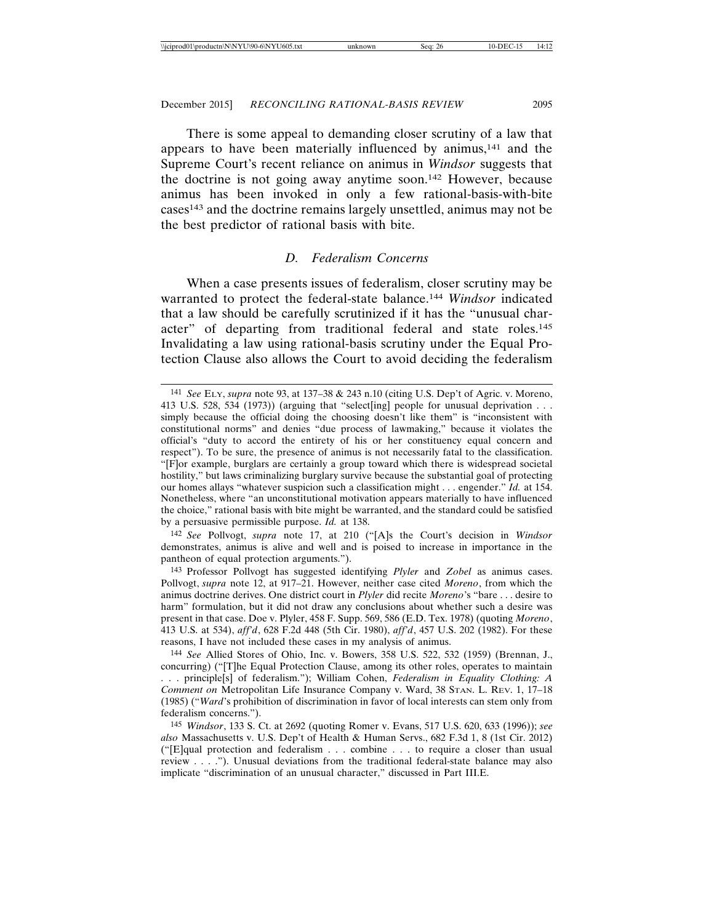There is some appeal to demanding closer scrutiny of a law that appears to have been materially influenced by animus,141 and the Supreme Court's recent reliance on animus in *Windsor* suggests that the doctrine is not going away anytime soon.142 However, because animus has been invoked in only a few rational-basis-with-bite cases143 and the doctrine remains largely unsettled, animus may not be the best predictor of rational basis with bite.

### *D. Federalism Concerns*

When a case presents issues of federalism, closer scrutiny may be warranted to protect the federal-state balance.144 *Windsor* indicated that a law should be carefully scrutinized if it has the "unusual character" of departing from traditional federal and state roles.145 Invalidating a law using rational-basis scrutiny under the Equal Protection Clause also allows the Court to avoid deciding the federalism

142 *See* Pollvogt, *supra* note 17, at 210 ("[A]s the Court's decision in *Windsor* demonstrates, animus is alive and well and is poised to increase in importance in the pantheon of equal protection arguments.").

143 Professor Pollvogt has suggested identifying *Plyler* and *Zobel* as animus cases. Pollvogt, *supra* note 12, at 917–21. However, neither case cited *Moreno*, from which the animus doctrine derives. One district court in *Plyler* did recite *Moreno*'s "bare . . . desire to harm" formulation, but it did not draw any conclusions about whether such a desire was present in that case. Doe v. Plyler, 458 F. Supp. 569, 586 (E.D. Tex. 1978) (quoting *Moreno*, 413 U.S. at 534), *aff'd*, 628 F.2d 448 (5th Cir. 1980), *aff'd*, 457 U.S. 202 (1982). For these reasons, I have not included these cases in my analysis of animus.

<sup>141</sup> *See* ELY, *supra* note 93, at 137–38 & 243 n.10 (citing U.S. Dep't of Agric. v. Moreno, 413 U.S. 528, 534 (1973)) (arguing that "select[ing] people for unusual deprivation . . . simply because the official doing the choosing doesn't like them" is "inconsistent with constitutional norms" and denies "due process of lawmaking," because it violates the official's "duty to accord the entirety of his or her constituency equal concern and respect"). To be sure, the presence of animus is not necessarily fatal to the classification. "[F]or example, burglars are certainly a group toward which there is widespread societal hostility," but laws criminalizing burglary survive because the substantial goal of protecting our homes allays "whatever suspicion such a classification might . . . engender." *Id.* at 154. Nonetheless, where "an unconstitutional motivation appears materially to have influenced the choice," rational basis with bite might be warranted, and the standard could be satisfied by a persuasive permissible purpose. *Id.* at 138.

<sup>144</sup> *See* Allied Stores of Ohio, Inc. v. Bowers, 358 U.S. 522, 532 (1959) (Brennan, J., concurring) ("[T]he Equal Protection Clause, among its other roles, operates to maintain . . . principle[s] of federalism."); William Cohen, *Federalism in Equality Clothing: A Comment on* Metropolitan Life Insurance Company v. Ward, 38 STAN. L. REV. 1, 17–18 (1985) ("*Ward*'s prohibition of discrimination in favor of local interests can stem only from federalism concerns.").

<sup>145</sup> *Windsor*, 133 S. Ct. at 2692 (quoting Romer v. Evans, 517 U.S. 620, 633 (1996)); *see also* Massachusetts v. U.S. Dep't of Health & Human Servs., 682 F.3d 1, 8 (1st Cir. 2012) ("[E]qual protection and federalism . . . combine . . . to require a closer than usual review . . . ."). Unusual deviations from the traditional federal-state balance may also implicate "discrimination of an unusual character," discussed in Part III.E.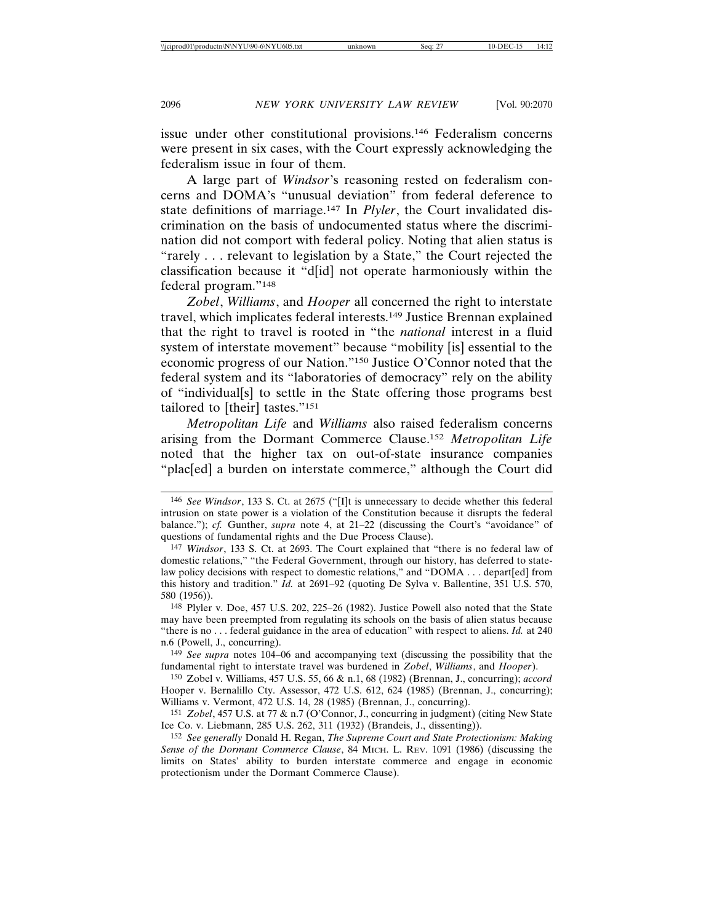issue under other constitutional provisions.146 Federalism concerns were present in six cases, with the Court expressly acknowledging the federalism issue in four of them.

A large part of *Windsor*'s reasoning rested on federalism concerns and DOMA's "unusual deviation" from federal deference to state definitions of marriage.147 In *Plyler*, the Court invalidated discrimination on the basis of undocumented status where the discrimination did not comport with federal policy. Noting that alien status is "rarely . . . relevant to legislation by a State," the Court rejected the classification because it "d[id] not operate harmoniously within the federal program."148

*Zobel*, *Williams*, and *Hooper* all concerned the right to interstate travel, which implicates federal interests.149 Justice Brennan explained that the right to travel is rooted in "the *national* interest in a fluid system of interstate movement" because "mobility [is] essential to the economic progress of our Nation."150 Justice O'Connor noted that the federal system and its "laboratories of democracy" rely on the ability of "individual[s] to settle in the State offering those programs best tailored to [their] tastes."151

*Metropolitan Life* and *Williams* also raised federalism concerns arising from the Dormant Commerce Clause.152 *Metropolitan Life* noted that the higher tax on out-of-state insurance companies "plac[ed] a burden on interstate commerce," although the Court did

149 *See supra* notes 104–06 and accompanying text (discussing the possibility that the fundamental right to interstate travel was burdened in *Zobel*, *Williams*, and *Hooper*).

150 Zobel v. Williams, 457 U.S. 55, 66 & n.1, 68 (1982) (Brennan, J., concurring); *accord* Hooper v. Bernalillo Cty. Assessor, 472 U.S. 612, 624 (1985) (Brennan, J., concurring); Williams v. Vermont, 472 U.S. 14, 28 (1985) (Brennan, J., concurring).

151 *Zobel*, 457 U.S. at 77 & n.7 (O'Connor, J., concurring in judgment) (citing New State Ice Co. v. Liebmann, 285 U.S. 262, 311 (1932) (Brandeis, J., dissenting)).

<sup>146</sup> *See Windsor*, 133 S. Ct. at 2675 ("[I]t is unnecessary to decide whether this federal intrusion on state power is a violation of the Constitution because it disrupts the federal balance."); *cf.* Gunther, *supra* note 4, at 21–22 (discussing the Court's "avoidance" of questions of fundamental rights and the Due Process Clause).

<sup>147</sup> *Windsor*, 133 S. Ct. at 2693. The Court explained that "there is no federal law of domestic relations," "the Federal Government, through our history, has deferred to statelaw policy decisions with respect to domestic relations," and "DOMA . . . depart[ed] from this history and tradition." *Id.* at 2691–92 (quoting De Sylva v. Ballentine, 351 U.S. 570, 580 (1956)).

<sup>148</sup> Plyler v. Doe, 457 U.S. 202, 225–26 (1982). Justice Powell also noted that the State may have been preempted from regulating its schools on the basis of alien status because "there is no . . . federal guidance in the area of education" with respect to aliens. *Id.* at 240 n.6 (Powell, J., concurring).

<sup>152</sup> *See generally* Donald H. Regan, *The Supreme Court and State Protectionism: Making Sense of the Dormant Commerce Clause*, 84 MICH. L. REV. 1091 (1986) (discussing the limits on States' ability to burden interstate commerce and engage in economic protectionism under the Dormant Commerce Clause).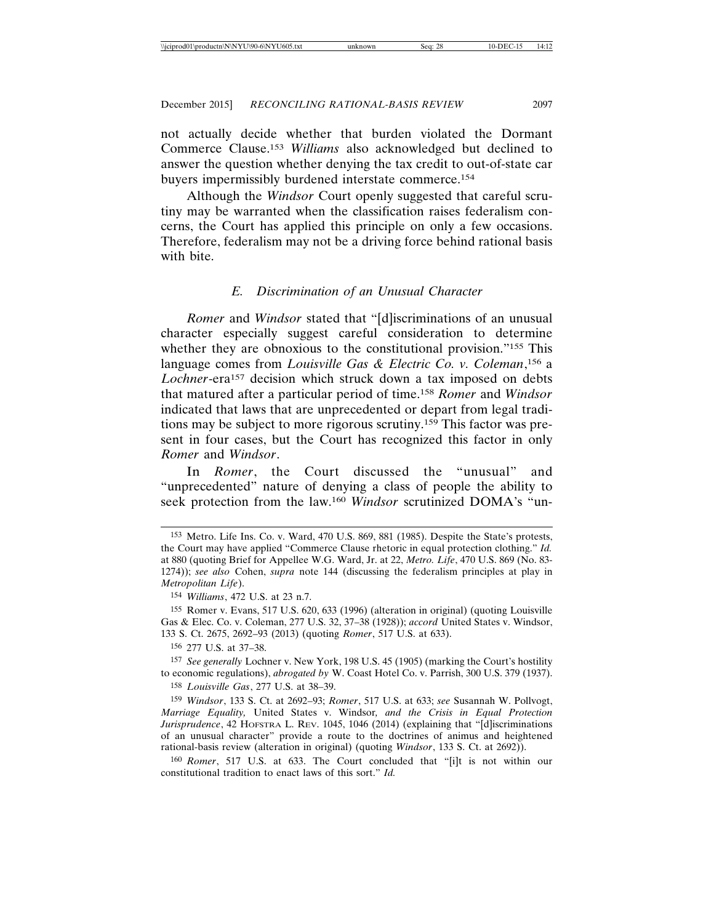not actually decide whether that burden violated the Dormant Commerce Clause.153 *Williams* also acknowledged but declined to answer the question whether denying the tax credit to out-of-state car buyers impermissibly burdened interstate commerce.154

Although the *Windsor* Court openly suggested that careful scrutiny may be warranted when the classification raises federalism concerns, the Court has applied this principle on only a few occasions. Therefore, federalism may not be a driving force behind rational basis with bite.

### *E. Discrimination of an Unusual Character*

*Romer* and *Windsor* stated that "[d]iscriminations of an unusual character especially suggest careful consideration to determine whether they are obnoxious to the constitutional provision."<sup>155</sup> This language comes from *Louisville Gas & Electric Co. v. Coleman*, 156 a Lochner-era<sup>157</sup> decision which struck down a tax imposed on debts that matured after a particular period of time.158 *Romer* and *Windsor* indicated that laws that are unprecedented or depart from legal traditions may be subject to more rigorous scrutiny.159 This factor was present in four cases, but the Court has recognized this factor in only *Romer* and *Windsor*.

In *Romer*, the Court discussed the "unusual" and "unprecedented" nature of denying a class of people the ability to seek protection from the law.160 *Windsor* scrutinized DOMA's "un-

155 Romer v. Evans, 517 U.S. 620, 633 (1996) (alteration in original) (quoting Louisville Gas & Elec. Co. v. Coleman, 277 U.S. 32, 37–38 (1928)); *accord* United States v. Windsor, 133 S. Ct. 2675, 2692–93 (2013) (quoting *Romer*, 517 U.S. at 633).

156 277 U.S. at 37–38.

157 *See generally* Lochner v. New York, 198 U.S. 45 (1905) (marking the Court's hostility to economic regulations), *abrogated by* W. Coast Hotel Co. v. Parrish, 300 U.S. 379 (1937). 158 *Louisville Gas*, 277 U.S. at 38–39.

159 *Windsor*, 133 S. Ct. at 2692–93; *Romer*, 517 U.S. at 633; *see* Susannah W. Pollvogt, *Marriage Equality,* United States v. Windsor*, and the Crisis in Equal Protection Jurisprudence*, 42 HOFSTRA L. REV. 1045, 1046 (2014) (explaining that "[d]iscriminations of an unusual character" provide a route to the doctrines of animus and heightened rational-basis review (alteration in original) (quoting *Windsor*, 133 S. Ct. at 2692)).

160 *Romer*, 517 U.S. at 633. The Court concluded that "[i]t is not within our constitutional tradition to enact laws of this sort." *Id.*

<sup>153</sup> Metro. Life Ins. Co. v. Ward, 470 U.S. 869, 881 (1985). Despite the State's protests, the Court may have applied "Commerce Clause rhetoric in equal protection clothing." *Id.* at 880 (quoting Brief for Appellee W.G. Ward, Jr. at 22, *Metro. Life*, 470 U.S. 869 (No. 83- 1274)); *see also* Cohen, *supra* note 144 (discussing the federalism principles at play in *Metropolitan Life*).

<sup>154</sup> *Williams*, 472 U.S. at 23 n.7.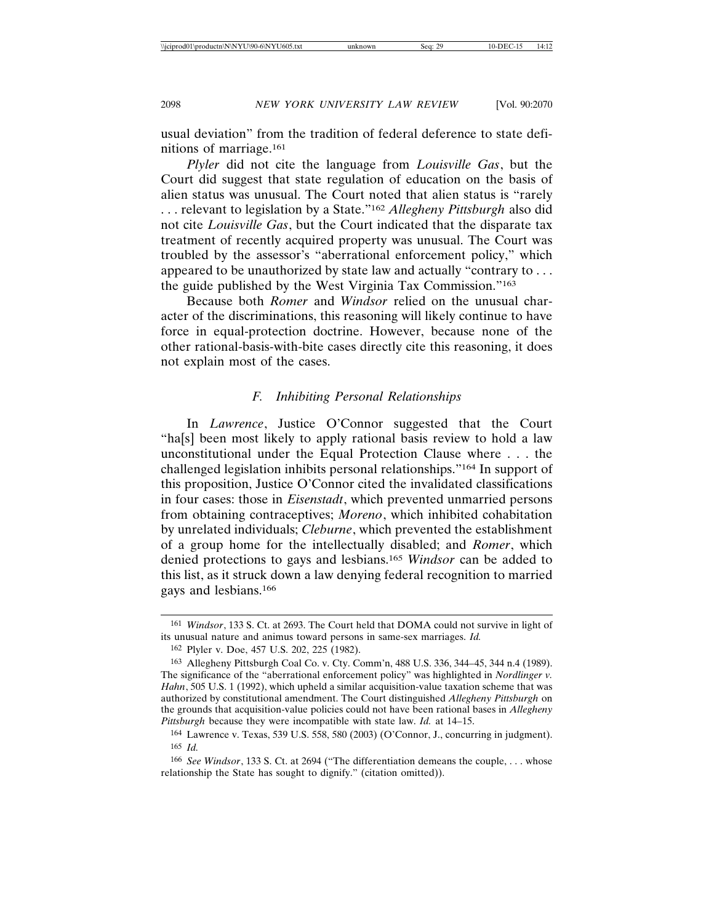usual deviation" from the tradition of federal deference to state definitions of marriage.161

*Plyler* did not cite the language from *Louisville Gas*, but the Court did suggest that state regulation of education on the basis of alien status was unusual. The Court noted that alien status is "rarely . . . relevant to legislation by a State."162 *Allegheny Pittsburgh* also did not cite *Louisville Gas*, but the Court indicated that the disparate tax treatment of recently acquired property was unusual. The Court was troubled by the assessor's "aberrational enforcement policy," which appeared to be unauthorized by state law and actually "contrary to . . . the guide published by the West Virginia Tax Commission."163

Because both *Romer* and *Windsor* relied on the unusual character of the discriminations, this reasoning will likely continue to have force in equal-protection doctrine. However, because none of the other rational-basis-with-bite cases directly cite this reasoning, it does not explain most of the cases.

## *F. Inhibiting Personal Relationships*

In *Lawrence*, Justice O'Connor suggested that the Court "ha[s] been most likely to apply rational basis review to hold a law unconstitutional under the Equal Protection Clause where . . . the challenged legislation inhibits personal relationships."164 In support of this proposition, Justice O'Connor cited the invalidated classifications in four cases: those in *Eisenstadt*, which prevented unmarried persons from obtaining contraceptives; *Moreno*, which inhibited cohabitation by unrelated individuals; *Cleburne*, which prevented the establishment of a group home for the intellectually disabled; and *Romer*, which denied protections to gays and lesbians.165 *Windsor* can be added to this list, as it struck down a law denying federal recognition to married gays and lesbians.166

<sup>161</sup> *Windsor*, 133 S. Ct. at 2693. The Court held that DOMA could not survive in light of its unusual nature and animus toward persons in same-sex marriages. *Id.*

<sup>162</sup> Plyler v. Doe, 457 U.S. 202, 225 (1982).

<sup>163</sup> Allegheny Pittsburgh Coal Co. v. Cty. Comm'n, 488 U.S. 336, 344–45, 344 n.4 (1989). The significance of the "aberrational enforcement policy" was highlighted in *Nordlinger v. Hahn*, 505 U.S. 1 (1992), which upheld a similar acquisition-value taxation scheme that was authorized by constitutional amendment. The Court distinguished *Allegheny Pittsburgh* on the grounds that acquisition-value policies could not have been rational bases in *Allegheny Pittsburgh* because they were incompatible with state law. *Id.* at 14–15.

<sup>164</sup> Lawrence v. Texas, 539 U.S. 558, 580 (2003) (O'Connor, J., concurring in judgment). 165 *Id.*

<sup>166</sup> *See Windsor*, 133 S. Ct. at 2694 ("The differentiation demeans the couple, . . . whose relationship the State has sought to dignify." (citation omitted)).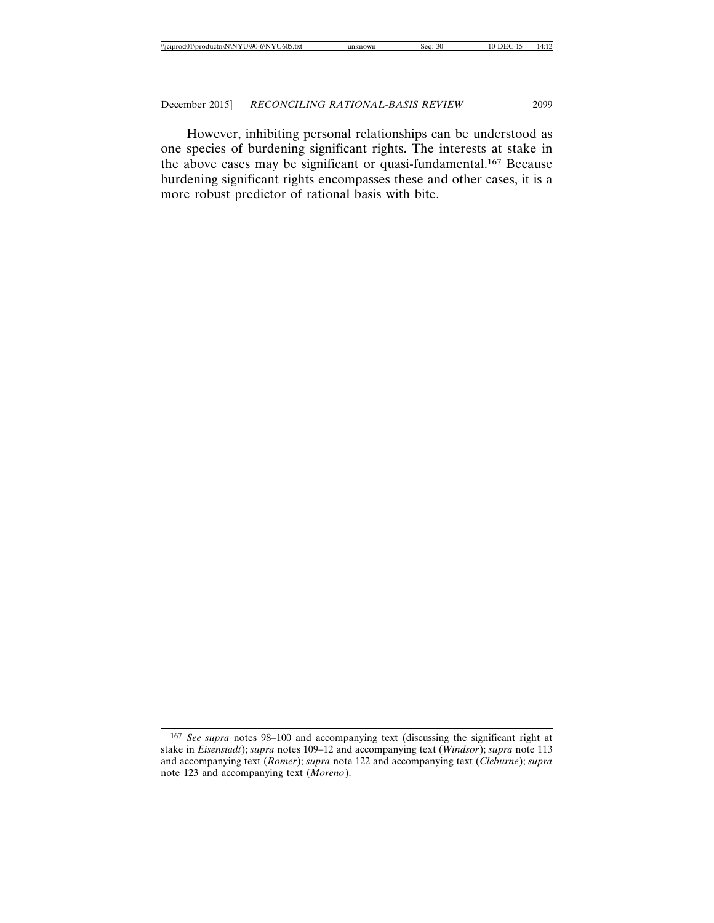However, inhibiting personal relationships can be understood as one species of burdening significant rights. The interests at stake in the above cases may be significant or quasi-fundamental.167 Because burdening significant rights encompasses these and other cases, it is a more robust predictor of rational basis with bite.

<sup>167</sup> *See supra* notes 98–100 and accompanying text (discussing the significant right at stake in *Eisenstadt*); *supra* notes 109–12 and accompanying text (*Windsor*); *supra* note 113 and accompanying text (*Romer*); *supra* note 122 and accompanying text (*Cleburne*); *supra* note 123 and accompanying text (*Moreno*).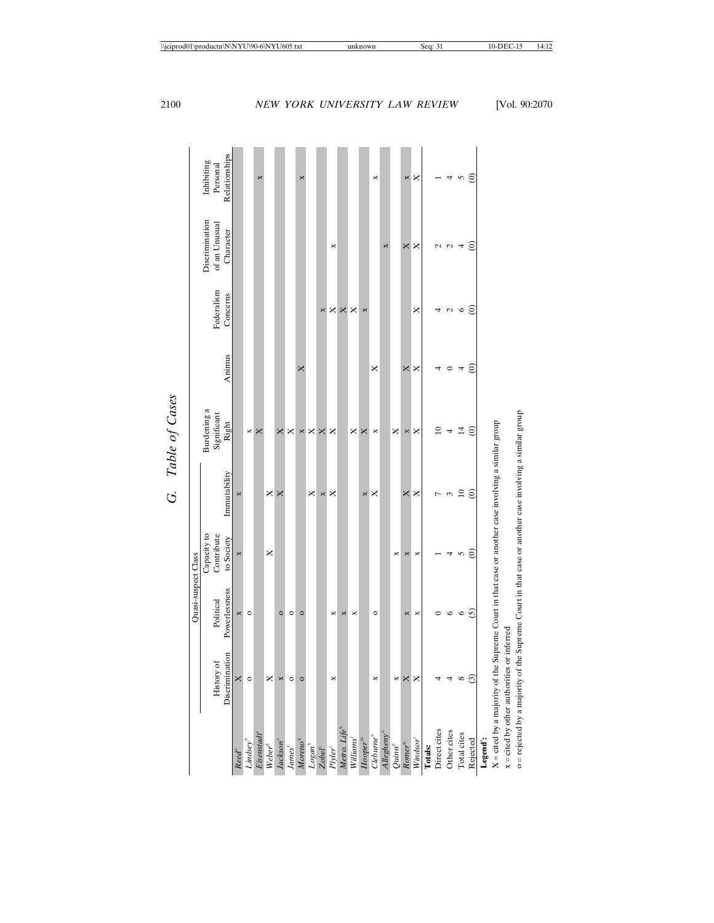|                                  |                | Quasi-suspect Class                                                      |               |                 |                |               |                 |                |               |
|----------------------------------|----------------|--------------------------------------------------------------------------|---------------|-----------------|----------------|---------------|-----------------|----------------|---------------|
|                                  |                |                                                                          | Capacity to   |                 | Burdening a    |               |                 | Discrimination | Inhibiting    |
|                                  | History of     | Political                                                                | Contribute    |                 | Significant    |               | Federalism      | of an Unusual  | Personal      |
|                                  | Discrimination | Powerlessness                                                            | to Society    | Immutability    | Right          | Animus        | Concerns        | Character      | Relationships |
| Reed <sup>ª</sup>                | ×              | ×                                                                        | ×             |                 |                |               |                 |                |               |
| Lindsey <sup>b</sup>             | $\circ$        | $\circ$                                                                  |               |                 | ×              |               |                 |                |               |
| Eisenstadt <sup>e</sup>          |                |                                                                          |               |                 | ×              |               |                 |                | ×             |
| Weber <sup>d</sup>               | ×              |                                                                          | ×             | ×               |                |               |                 |                |               |
| Jackson <sup>e</sup>             | ×              | $\circ$                                                                  |               | ×               | ×              |               |                 |                |               |
| James <sup>1</sup>               | $\circ$        | $\circ$                                                                  |               |                 | ×              |               |                 |                |               |
| Moreno <sup>s</sup>              | $\circ$        | $\circ$                                                                  |               |                 | ×              | ×             |                 |                | ×             |
| $Logan^h$                        |                |                                                                          |               | ×               | ×              |               |                 |                |               |
| Zobel <sup>"</sup>               |                |                                                                          |               | ×               | ×              |               | ×               |                |               |
| Plyler <sup>3</sup>              | ×              | ×                                                                        |               | ×               | ×              |               | ×               | ×              |               |
| Metro. Life <sup>k</sup>         |                | ×                                                                        |               |                 |                |               | X               |                |               |
| Williams <sup>1</sup>            |                | ×                                                                        |               |                 | ×              |               | ×               |                |               |
| $Hooper^m$                       |                |                                                                          |               | ×               | ×              |               | ×               |                |               |
| $Cheburne$ <sup>n</sup>          | ×              | $\circ$                                                                  |               | ×               | ×              | ×             |                 |                | ×             |
| Allegheny <sup>®</sup>           |                |                                                                          |               |                 |                |               |                 | ×              |               |
| Quinn <sup>p</sup>               | ×              |                                                                          | ×             |                 | ×              |               |                 |                |               |
| Romer <sup>q</sup>               | ×              | ×                                                                        | ×             | ×               | ×              | X             |                 | X              | ×             |
| Windsor <sup>r</sup>             | ×              | ×                                                                        | ×             | ×               | ×              | ×             | ×               | ×              | ×             |
| <b>Totals:</b>                   |                |                                                                          |               |                 |                |               |                 |                |               |
| Direct cites                     |                | ⊂                                                                        |               | h               | $\approx$      |               |                 | 2              |               |
| Other cites                      |                | $\circ$                                                                  | 4             | ε               | 4              | ⊂             | $\mathcal{L}$   | $\mathcal{L}$  | 4             |
| Total cites                      | ${}^{\circ}$   | $\circ$                                                                  | 5             | $\approx$       | $\overline{4}$ | 4             | $\circ$         | 4              | 5             |
| Rejected                         | $\widehat{c}$  | $\overline{5}$                                                           | $\widehat{e}$ | $\widehat{\in}$ | $\widehat{e}$  | $\widehat{c}$ | $\widehat{\in}$ | $\widehat{c}$  | ê             |
| Legend':                         |                |                                                                          |               |                 |                |               |                 |                |               |
| $X =$ cited by a majority of the |                | Supreme Court in that case or another case involving a similar group     |               |                 |                |               |                 |                |               |
| $x =$ cited by other authorities |                | or inferred                                                              |               |                 |                |               |                 |                |               |
| o = rejected by a majority of    |                | the Supreme Court in that case or another case involving a similar group |               |                 |                |               |                 |                |               |

G. Table of Cases *G. Table of Cases*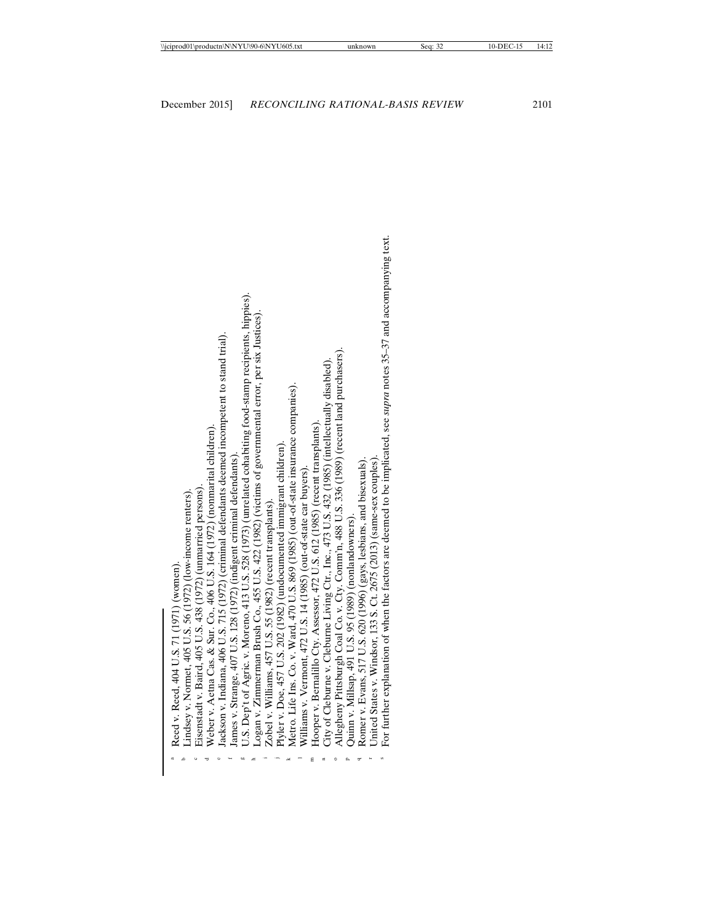| i                        |
|--------------------------|
|                          |
| Ī<br>ı<br>ļ              |
| $\overline{\phantom{a}}$ |
| č<br>I                   |
| ć                        |

- indsey v. Normet,  $405$  U.S.  $56$  (1972) (low-income renters).
- a Reed v. Reed, 404 U.S. 71 (1971) (women).<br>
<sup>b</sup> Lindsey v. Normet, 405 U.S. 56 (1972) (low-income renters).<br>
<sup>c</sup> Eisenstadt v. Baird, 405 U.S. 438 (1972) (unmarried persons).<br>
d Weber v. Aetna Cas. & Sur. Co., 406 U.S. 1 Eisenstadt v. Baird, 405 U.S. 438 (1972) (unmarried persons)
- Weber v. Aetna Cas. & Sur. Co., 406 U.S. 164 (1972) (nonmarital children) Cas. & Sur.
- ackson v. Indiana, 406 U.S. 715 (1972) (criminal defendants deemed incompetent to stand trial).
	- James v. Strange, 407 U.S. 128 (1972) (indigent criminal defendants).
- " Weber v. Aetna Cas. & Sur. Co., 406 U.S. 164 (1972) (nomnarital children).<br>" Jackson v. Indiana, 406 U.S. 715 (1972) (criminal defendants deemed incompetent to stand trial).<br>" James v. Strange, 407 U.S. 128 (1972) (indig U.S. Dep't of Agric. v. Moreno, 413 U.S. 528 (1973) (unrelated cohabiting food-stamp recipients, hippies).
	- Logan v. Zimmerman Brush Co., 455 U.S. 422 (1982) (victims of governmental error, per six Justices)
		- Zobel v. Williams, 457 U.S. 55 (1982) (recent transplants).
- Plyler v. Doe, 457 U.S. 202 (1982) (undocumented immigrant children).
	- " Logan v. Zimmerman Brush Co., 455 U.S. 422 (1982) (victims of governmental error, per six Justices).<br>
	<sup>1</sup> Zobel v. Williams, 457 U.S. 55 (1982) (recent transplants).<br>
	<sup>1</sup> Plyler v. Doe, 457 U.S. 202 (1982) (undocumented Metro. Life Ins. Co. v. Ward, 470 U.S. 869 (1985) (out-of-state insurance companies)
		- Williams v. Vermont, 472 U.S. 14 (1985) (out-of-state car buyers).  $\epsilon$
- **Hooper v. Bernalillo Cty. Assessor, 472 U.S. 612 (1985) (recent transplants).** newspares Hooper v. Bernalillo Cty. Assessor, 472 U.S. 612 (1985) (recent transplants)
- City of Cleburne v. Cleburne Living Ctr., Inc., 473 U.S. 432 (1985) (intellectually disabled).  $\blacksquare$
- Allegheny Pittsburgh Coal Co. v. Cty. Comm'n, 488 U.S. 336 (1989) (recent land purchasers). City of Cleburne v. Cleburne Living Ctr., Inc., 473 U.S. 432 (1985) (intellectually disabled).<br>© Allegheny Pittsburgh Coal Co. v. Cty. Comm'n, 488 U.S. 336 (1989) (recent land purchasers Co. v. Cty.
	- Quinn v. Millsap, 491 U.S. 95 (1989) (nonlandowners).
- Romer v. Evans, 517 U.S. 620 (1996) (gays, lesbians, and bisexuals)
- United States v. Windsor, 133 S. Ct. 2675 (2013) (same-sex couples).
- ° Allegheny Pittsburgh Coal Co. v. Cty. Comm'n, 488 U.S. 336 (1989) (recent land purchasers).<br><sup>P</sup> Quinn v. Millsap, 491 U.S. 95 (1989) (nonlandowners).<br><sup>4</sup> Romer v. Evans, 517 U.S. 620 (1996) (gays, lesbians, and bisexuals or further explanation of when the factors are deemed to be implicated, see supra notes 35-37 and accompanying text.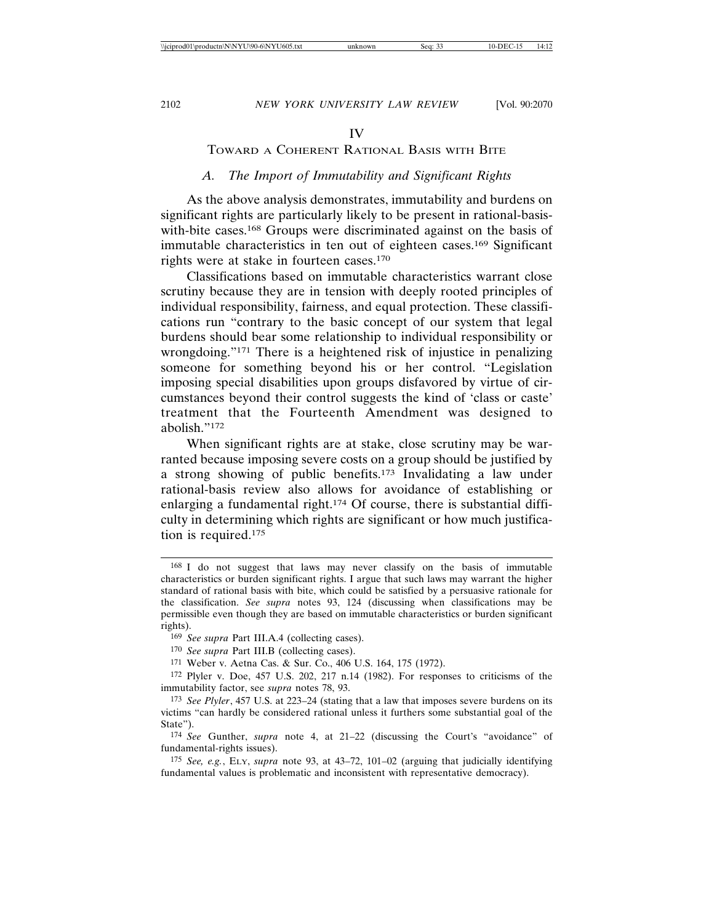#### IV

## TOWARD A COHERENT RATIONAL BASIS WITH BITE

## *A. The Import of Immutability and Significant Rights*

As the above analysis demonstrates, immutability and burdens on significant rights are particularly likely to be present in rational-basiswith-bite cases.<sup>168</sup> Groups were discriminated against on the basis of immutable characteristics in ten out of eighteen cases.169 Significant rights were at stake in fourteen cases.170

Classifications based on immutable characteristics warrant close scrutiny because they are in tension with deeply rooted principles of individual responsibility, fairness, and equal protection. These classifications run "contrary to the basic concept of our system that legal burdens should bear some relationship to individual responsibility or wrongdoing."171 There is a heightened risk of injustice in penalizing someone for something beyond his or her control. "Legislation imposing special disabilities upon groups disfavored by virtue of circumstances beyond their control suggests the kind of 'class or caste' treatment that the Fourteenth Amendment was designed to abolish."172

When significant rights are at stake, close scrutiny may be warranted because imposing severe costs on a group should be justified by a strong showing of public benefits.173 Invalidating a law under rational-basis review also allows for avoidance of establishing or enlarging a fundamental right.174 Of course, there is substantial difficulty in determining which rights are significant or how much justification is required.175

<sup>168</sup> I do not suggest that laws may never classify on the basis of immutable characteristics or burden significant rights. I argue that such laws may warrant the higher standard of rational basis with bite, which could be satisfied by a persuasive rationale for the classification. *See supra* notes 93, 124 (discussing when classifications may be permissible even though they are based on immutable characteristics or burden significant rights).

<sup>169</sup> *See supra* Part III.A.4 (collecting cases).

<sup>170</sup> *See supra* Part III.B (collecting cases).

<sup>171</sup> Weber v. Aetna Cas. & Sur. Co., 406 U.S. 164, 175 (1972).

<sup>172</sup> Plyler v. Doe, 457 U.S. 202, 217 n.14 (1982). For responses to criticisms of the immutability factor, see *supra* notes 78, 93.

<sup>173</sup> *See Plyler*, 457 U.S. at 223–24 (stating that a law that imposes severe burdens on its victims "can hardly be considered rational unless it furthers some substantial goal of the State").

<sup>174</sup> *See* Gunther, *supra* note 4, at 21–22 (discussing the Court's "avoidance" of fundamental-rights issues).

<sup>175</sup> *See, e.g.*, ELY, *supra* note 93, at 43–72, 101–02 (arguing that judicially identifying fundamental values is problematic and inconsistent with representative democracy).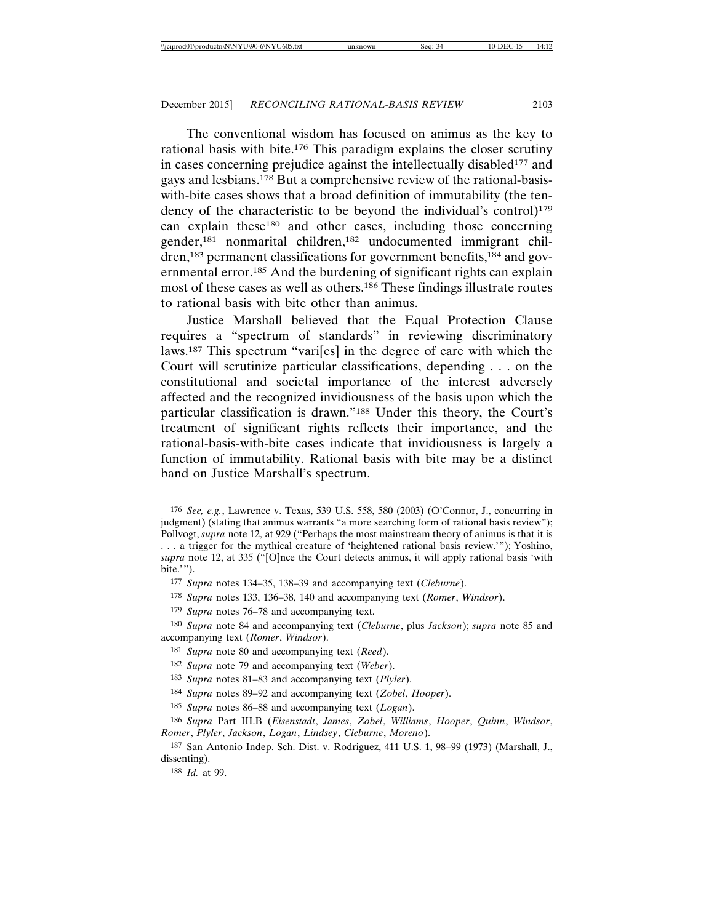The conventional wisdom has focused on animus as the key to rational basis with bite.176 This paradigm explains the closer scrutiny in cases concerning prejudice against the intellectually disabled<sup>177</sup> and gays and lesbians.178 But a comprehensive review of the rational-basiswith-bite cases shows that a broad definition of immutability (the tendency of the characteristic to be beyond the individual's control)<sup>179</sup> can explain these180 and other cases, including those concerning gender,181 nonmarital children,182 undocumented immigrant children,183 permanent classifications for government benefits,184 and governmental error.185 And the burdening of significant rights can explain most of these cases as well as others.186 These findings illustrate routes to rational basis with bite other than animus.

Justice Marshall believed that the Equal Protection Clause requires a "spectrum of standards" in reviewing discriminatory laws.187 This spectrum "vari[es] in the degree of care with which the Court will scrutinize particular classifications, depending . . . on the constitutional and societal importance of the interest adversely affected and the recognized invidiousness of the basis upon which the particular classification is drawn."188 Under this theory, the Court's treatment of significant rights reflects their importance, and the rational-basis-with-bite cases indicate that invidiousness is largely a function of immutability. Rational basis with bite may be a distinct band on Justice Marshall's spectrum.

<sup>176</sup> *See, e.g.*, Lawrence v. Texas, 539 U.S. 558, 580 (2003) (O'Connor, J., concurring in judgment) (stating that animus warrants "a more searching form of rational basis review"); Pollvogt, *supra* note 12, at 929 ("Perhaps the most mainstream theory of animus is that it is . . . a trigger for the mythical creature of 'heightened rational basis review.'"); Yoshino, *supra* note 12, at 335 ("[O]nce the Court detects animus, it will apply rational basis 'with bite.'").

<sup>177</sup> *Supra* notes 134–35, 138–39 and accompanying text (*Cleburne*).

<sup>178</sup> *Supra* notes 133, 136–38, 140 and accompanying text (*Romer*, *Windsor*).

<sup>179</sup> *Supra* notes 76–78 and accompanying text.

<sup>180</sup> *Supra* note 84 and accompanying text (*Cleburne*, plus *Jackson*); *supra* note 85 and accompanying text (*Romer*, *Windsor*).

<sup>181</sup> *Supra* note 80 and accompanying text (*Reed*).

<sup>182</sup> *Supra* note 79 and accompanying text (*Weber*).

<sup>183</sup> *Supra* notes 81–83 and accompanying text (*Plyler*).

<sup>184</sup> *Supra* notes 89–92 and accompanying text (*Zobel*, *Hooper*).

<sup>185</sup> *Supra* notes 86–88 and accompanying text (*Logan*).

<sup>186</sup> *Supra* Part III.B (*Eisenstadt*, *James*, *Zobel*, *Williams*, *Hooper*, *Quinn*, *Windsor*, *Romer*, *Plyler*, *Jackson*, *Logan*, *Lindsey*, *Cleburne*, *Moreno*).

<sup>187</sup> San Antonio Indep. Sch. Dist. v. Rodriguez, 411 U.S. 1, 98–99 (1973) (Marshall, J., dissenting).

<sup>188</sup> *Id.* at 99.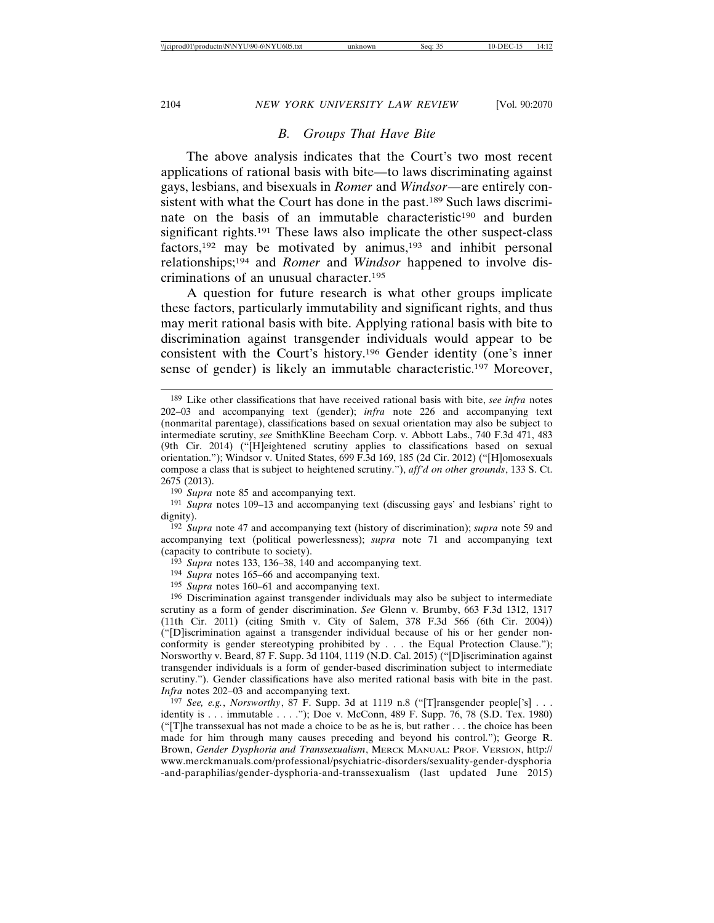#### *B. Groups That Have Bite*

The above analysis indicates that the Court's two most recent applications of rational basis with bite—to laws discriminating against gays, lesbians, and bisexuals in *Romer* and *Windsor*—are entirely consistent with what the Court has done in the past.<sup>189</sup> Such laws discriminate on the basis of an immutable characteristic<sup>190</sup> and burden significant rights.191 These laws also implicate the other suspect-class factors,<sup>192</sup> may be motivated by animus,<sup>193</sup> and inhibit personal relationships;194 and *Romer* and *Windsor* happened to involve discriminations of an unusual character.195

A question for future research is what other groups implicate these factors, particularly immutability and significant rights, and thus may merit rational basis with bite. Applying rational basis with bite to discrimination against transgender individuals would appear to be consistent with the Court's history.196 Gender identity (one's inner sense of gender) is likely an immutable characteristic.197 Moreover,

192 *Supra* note 47 and accompanying text (history of discrimination); *supra* note 59 and accompanying text (political powerlessness); *supra* note 71 and accompanying text (capacity to contribute to society).

193 *Supra* notes 133, 136–38, 140 and accompanying text.

- 194 *Supra* notes 165–66 and accompanying text.
- 195 *Supra* notes 160–61 and accompanying text.

196 Discrimination against transgender individuals may also be subject to intermediate scrutiny as a form of gender discrimination. *See* Glenn v. Brumby, 663 F.3d 1312, 1317 (11th Cir. 2011) (citing Smith v. City of Salem, 378 F.3d 566 (6th Cir. 2004)) ("[D]iscrimination against a transgender individual because of his or her gender nonconformity is gender stereotyping prohibited by . . . the Equal Protection Clause."); Norsworthy v. Beard, 87 F. Supp. 3d 1104, 1119 (N.D. Cal. 2015) ("[D]iscrimination against transgender individuals is a form of gender-based discrimination subject to intermediate scrutiny."). Gender classifications have also merited rational basis with bite in the past. *Infra* notes 202–03 and accompanying text.

197 *See, e.g.*, *Norsworthy*, 87 F. Supp. 3d at 1119 n.8 ("[T]ransgender people['s] . . . identity is . . . immutable . . . ."); Doe v. McConn, 489 F. Supp. 76, 78 (S.D. Tex. 1980) ("[T]he transsexual has not made a choice to be as he is, but rather . . . the choice has been made for him through many causes preceding and beyond his control."); George R. Brown, *Gender Dysphoria and Transsexualism*, MERCK MANUAL: PROF. VERSION, http:// www.merckmanuals.com/professional/psychiatric-disorders/sexuality-gender-dysphoria -and-paraphilias/gender-dysphoria-and-transsexualism (last updated June 2015)

<sup>189</sup> Like other classifications that have received rational basis with bite, *see infra* notes 202–03 and accompanying text (gender); *infra* note 226 and accompanying text (nonmarital parentage), classifications based on sexual orientation may also be subject to intermediate scrutiny, *see* SmithKline Beecham Corp. v. Abbott Labs., 740 F.3d 471, 483 (9th Cir. 2014) ("[H]eightened scrutiny applies to classifications based on sexual orientation."); Windsor v. United States, 699 F.3d 169, 185 (2d Cir. 2012) ("[H]omosexuals compose a class that is subject to heightened scrutiny."), *aff'd on other grounds*, 133 S. Ct. 2675 (2013).

<sup>190</sup> *Supra* note 85 and accompanying text.

<sup>191</sup> *Supra* notes 109–13 and accompanying text (discussing gays' and lesbians' right to dignity).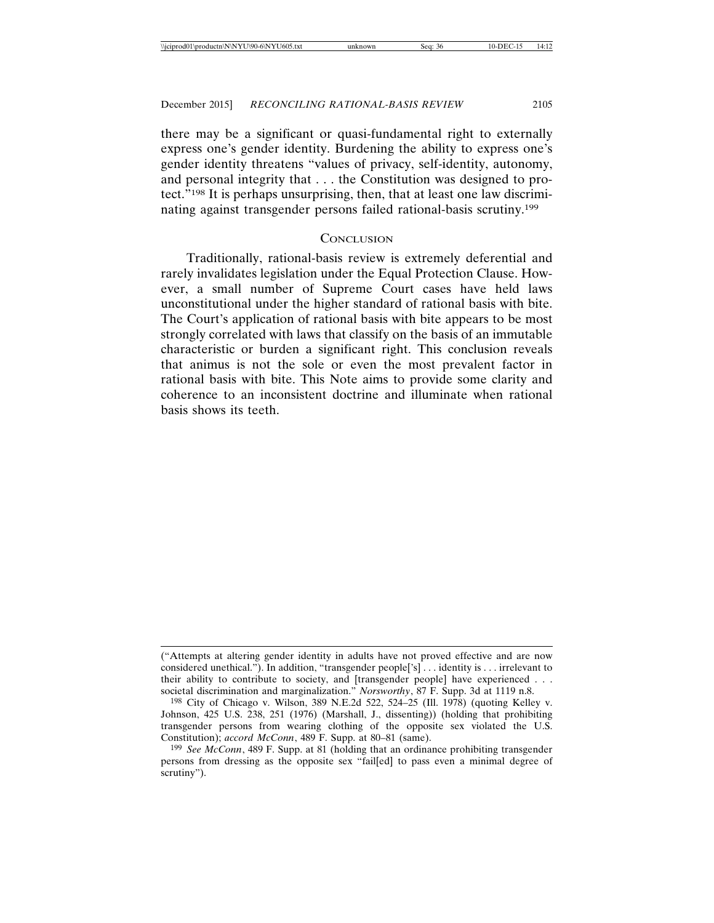there may be a significant or quasi-fundamental right to externally express one's gender identity. Burdening the ability to express one's gender identity threatens "values of privacy, self-identity, autonomy, and personal integrity that . . . the Constitution was designed to protect."198 It is perhaps unsurprising, then, that at least one law discriminating against transgender persons failed rational-basis scrutiny.199

### **CONCLUSION**

Traditionally, rational-basis review is extremely deferential and rarely invalidates legislation under the Equal Protection Clause. However, a small number of Supreme Court cases have held laws unconstitutional under the higher standard of rational basis with bite. The Court's application of rational basis with bite appears to be most strongly correlated with laws that classify on the basis of an immutable characteristic or burden a significant right. This conclusion reveals that animus is not the sole or even the most prevalent factor in rational basis with bite. This Note aims to provide some clarity and coherence to an inconsistent doctrine and illuminate when rational basis shows its teeth.

<sup>(&</sup>quot;Attempts at altering gender identity in adults have not proved effective and are now considered unethical."). In addition, "transgender people['s] . . . identity is . . . irrelevant to their ability to contribute to society, and [transgender people] have experienced . . . societal discrimination and marginalization." *Norsworthy*, 87 F. Supp. 3d at 1119 n.8.

<sup>198</sup> City of Chicago v. Wilson, 389 N.E.2d 522, 524–25 (Ill. 1978) (quoting Kelley v. Johnson, 425 U.S. 238, 251 (1976) (Marshall, J., dissenting)) (holding that prohibiting transgender persons from wearing clothing of the opposite sex violated the U.S. Constitution); *accord McConn*, 489 F. Supp. at 80–81 (same).

<sup>199</sup> *See McConn*, 489 F. Supp. at 81 (holding that an ordinance prohibiting transgender persons from dressing as the opposite sex "fail[ed] to pass even a minimal degree of scrutiny").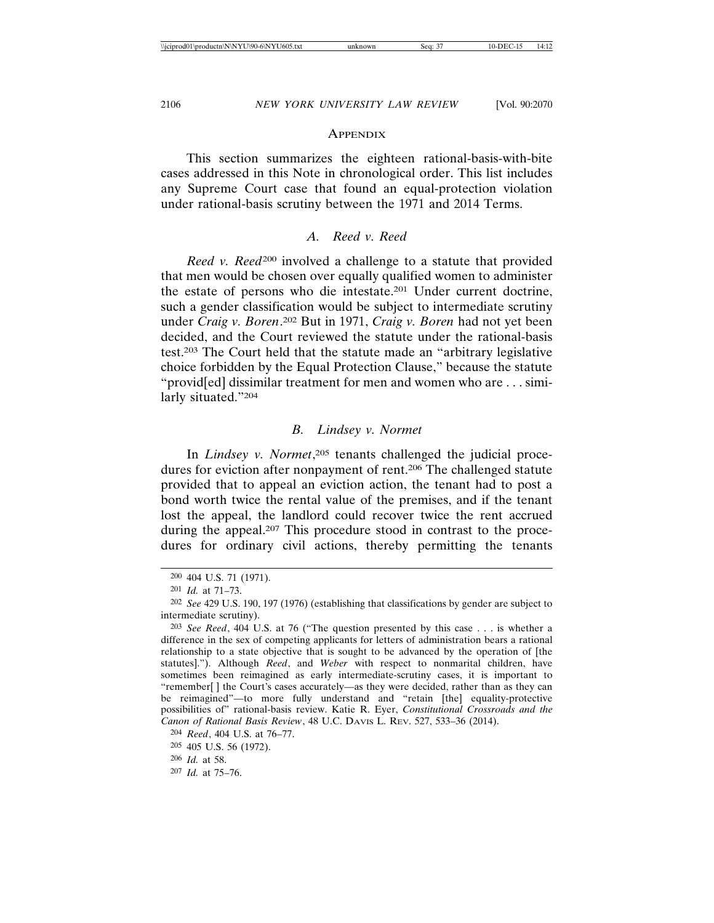#### **APPENDIX**

This section summarizes the eighteen rational-basis-with-bite cases addressed in this Note in chronological order. This list includes any Supreme Court case that found an equal-protection violation under rational-basis scrutiny between the 1971 and 2014 Terms.

## *A. Reed v. Reed*

*Reed v. Reed*<sup>200</sup> involved a challenge to a statute that provided that men would be chosen over equally qualified women to administer the estate of persons who die intestate.201 Under current doctrine, such a gender classification would be subject to intermediate scrutiny under *Craig v. Boren*. 202 But in 1971, *Craig v. Boren* had not yet been decided, and the Court reviewed the statute under the rational-basis test.203 The Court held that the statute made an "arbitrary legislative choice forbidden by the Equal Protection Clause," because the statute "provid[ed] dissimilar treatment for men and women who are . . . similarly situated."204

### *B. Lindsey v. Normet*

In *Lindsey v. Normet*, 205 tenants challenged the judicial procedures for eviction after nonpayment of rent.206 The challenged statute provided that to appeal an eviction action, the tenant had to post a bond worth twice the rental value of the premises, and if the tenant lost the appeal, the landlord could recover twice the rent accrued during the appeal.207 This procedure stood in contrast to the procedures for ordinary civil actions, thereby permitting the tenants

<sup>200</sup> 404 U.S. 71 (1971).

<sup>201</sup> *Id.* at 71–73.

<sup>202</sup> *See* 429 U.S. 190, 197 (1976) (establishing that classifications by gender are subject to intermediate scrutiny).

<sup>203</sup> *See Reed*, 404 U.S. at 76 ("The question presented by this case . . . is whether a difference in the sex of competing applicants for letters of administration bears a rational relationship to a state objective that is sought to be advanced by the operation of [the statutes]."). Although *Reed*, and *Weber* with respect to nonmarital children, have sometimes been reimagined as early intermediate-scrutiny cases, it is important to "remember[ ] the Court's cases accurately—as they were decided, rather than as they can be reimagined"—to more fully understand and "retain [the] equality-protective possibilities of" rational-basis review. Katie R. Eyer, *Constitutional Crossroads and the Canon of Rational Basis Review*, 48 U.C. DAVIS L. REV. 527, 533–36 (2014).

<sup>204</sup> *Reed*, 404 U.S. at 76–77.

<sup>205</sup> 405 U.S. 56 (1972).

<sup>206</sup> *Id.* at 58.

<sup>207</sup> *Id.* at 75–76.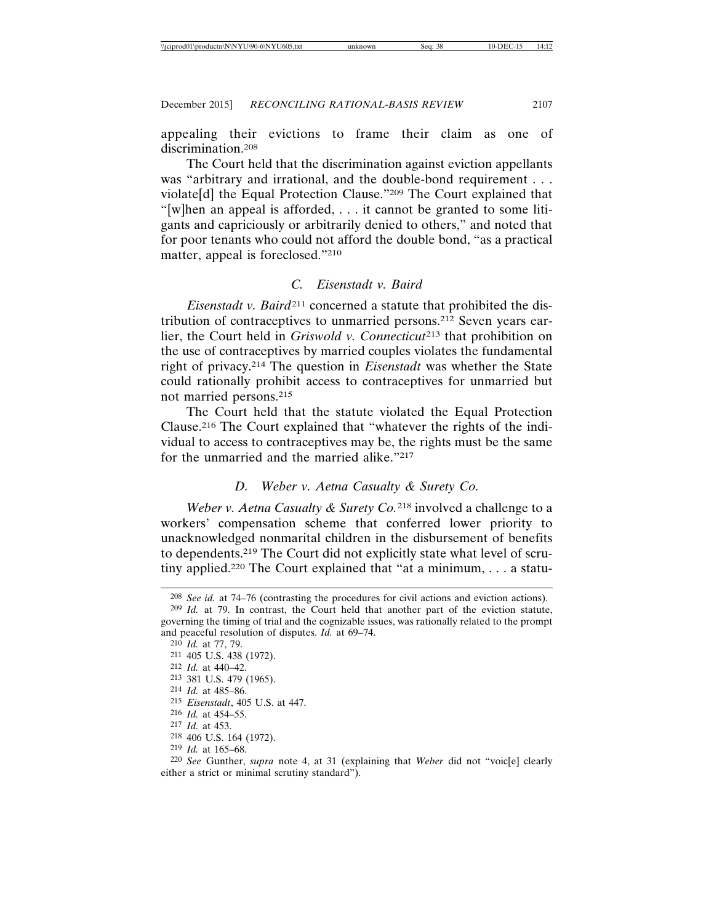appealing their evictions to frame their claim as one of discrimination.208

The Court held that the discrimination against eviction appellants was "arbitrary and irrational, and the double-bond requirement . . . violate[d] the Equal Protection Clause."209 The Court explained that "[w]hen an appeal is afforded, . . . it cannot be granted to some litigants and capriciously or arbitrarily denied to others," and noted that for poor tenants who could not afford the double bond, "as a practical matter, appeal is foreclosed."210

## *C. Eisenstadt v. Baird*

*Eisenstadt v. Baird*211 concerned a statute that prohibited the distribution of contraceptives to unmarried persons.212 Seven years earlier, the Court held in *Griswold v. Connecticut*<sup>213</sup> that prohibition on the use of contraceptives by married couples violates the fundamental right of privacy.214 The question in *Eisenstadt* was whether the State could rationally prohibit access to contraceptives for unmarried but not married persons.215

The Court held that the statute violated the Equal Protection Clause.216 The Court explained that "whatever the rights of the individual to access to contraceptives may be, the rights must be the same for the unmarried and the married alike."217

## *D. Weber v. Aetna Casualty & Surety Co.*

*Weber v. Aetna Casualty & Surety Co.*218 involved a challenge to a workers' compensation scheme that conferred lower priority to unacknowledged nonmarital children in the disbursement of benefits to dependents.219 The Court did not explicitly state what level of scrutiny applied.220 The Court explained that "at a minimum, . . . a statu-

218 406 U.S. 164 (1972).

220 *See* Gunther, *supra* note 4, at 31 (explaining that *Weber* did not "voic[e] clearly either a strict or minimal scrutiny standard").

<sup>208</sup> *See id.* at 74–76 (contrasting the procedures for civil actions and eviction actions).

<sup>209</sup> *Id.* at 79. In contrast, the Court held that another part of the eviction statute, governing the timing of trial and the cognizable issues, was rationally related to the prompt and peaceful resolution of disputes. *Id.* at 69–74.

<sup>210</sup> *Id.* at 77, 79.

<sup>211</sup> 405 U.S. 438 (1972).

<sup>212</sup> *Id.* at 440–42.

<sup>213</sup> 381 U.S. 479 (1965).

<sup>214</sup> *Id.* at 485–86.

<sup>215</sup> *Eisenstadt*, 405 U.S. at 447.

<sup>216</sup> *Id.* at 454–55.

<sup>217</sup> *Id.* at 453.

<sup>219</sup> *Id.* at 165–68.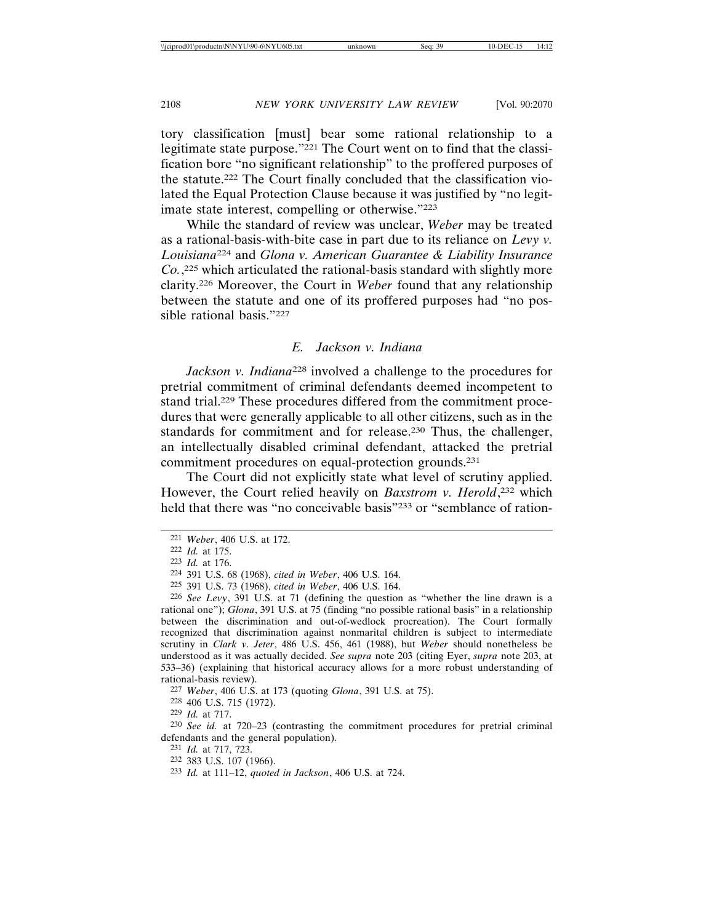tory classification [must] bear some rational relationship to a legitimate state purpose."221 The Court went on to find that the classification bore "no significant relationship" to the proffered purposes of the statute.222 The Court finally concluded that the classification violated the Equal Protection Clause because it was justified by "no legitimate state interest, compelling or otherwise."223

While the standard of review was unclear, *Weber* may be treated as a rational-basis-with-bite case in part due to its reliance on *Levy v. Louisiana*224 and *Glona v. American Guarantee & Liability Insurance Co.*, 225 which articulated the rational-basis standard with slightly more clarity.226 Moreover, the Court in *Weber* found that any relationship between the statute and one of its proffered purposes had "no possible rational basis."227

### *E. Jackson v. Indiana*

*Jackson v. Indiana*228 involved a challenge to the procedures for pretrial commitment of criminal defendants deemed incompetent to stand trial.229 These procedures differed from the commitment procedures that were generally applicable to all other citizens, such as in the standards for commitment and for release.230 Thus, the challenger, an intellectually disabled criminal defendant, attacked the pretrial commitment procedures on equal-protection grounds.231

The Court did not explicitly state what level of scrutiny applied. However, the Court relied heavily on *Baxstrom v. Herold*, 232 which held that there was "no conceivable basis"<sup>233</sup> or "semblance of ration-

225 391 U.S. 73 (1968), *cited in Weber*, 406 U.S. 164.

<sup>221</sup> *Weber*, 406 U.S. at 172.

<sup>222</sup> *Id.* at 175.

<sup>223</sup> *Id.* at 176.

<sup>224</sup> 391 U.S. 68 (1968), *cited in Weber*, 406 U.S. 164.

<sup>226</sup> *See Levy*, 391 U.S. at 71 (defining the question as "whether the line drawn is a rational one"); *Glona*, 391 U.S. at 75 (finding "no possible rational basis" in a relationship between the discrimination and out-of-wedlock procreation). The Court formally recognized that discrimination against nonmarital children is subject to intermediate scrutiny in *Clark v. Jeter*, 486 U.S. 456, 461 (1988), but *Weber* should nonetheless be understood as it was actually decided. *See supra* note 203 (citing Eyer, *supra* note 203, at 533–36) (explaining that historical accuracy allows for a more robust understanding of rational-basis review).

<sup>227</sup> *Weber*, 406 U.S. at 173 (quoting *Glona*, 391 U.S. at 75).

<sup>228</sup> 406 U.S. 715 (1972).

<sup>229</sup> *Id.* at 717.

<sup>230</sup> *See id.* at 720–23 (contrasting the commitment procedures for pretrial criminal defendants and the general population).

<sup>231</sup> *Id.* at 717, 723.

<sup>232</sup> 383 U.S. 107 (1966).

<sup>233</sup> *Id.* at 111–12, *quoted in Jackson*, 406 U.S. at 724.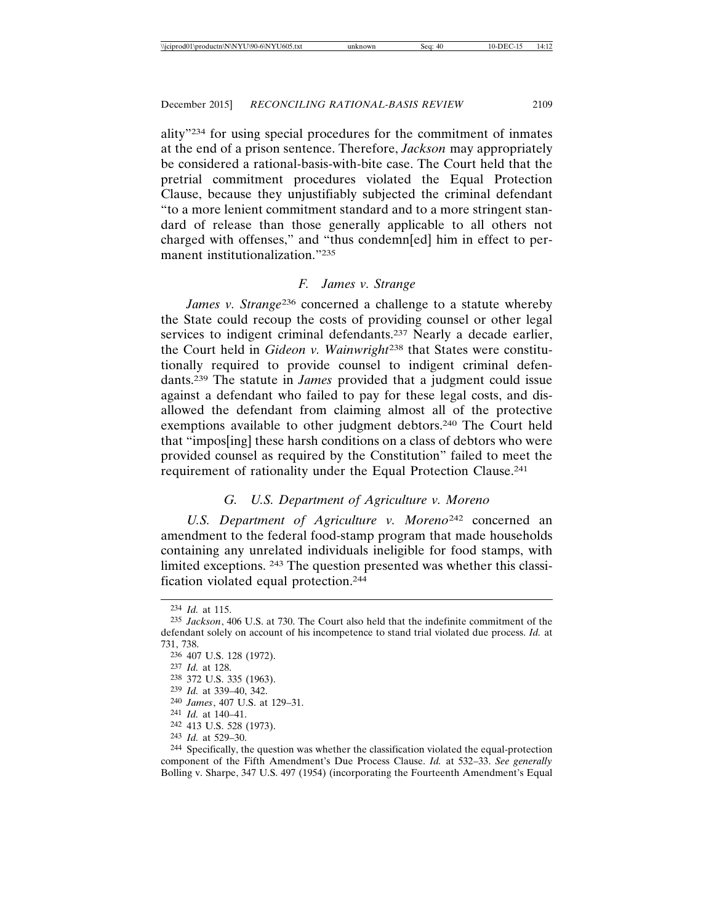ality"234 for using special procedures for the commitment of inmates at the end of a prison sentence. Therefore, *Jackson* may appropriately be considered a rational-basis-with-bite case. The Court held that the pretrial commitment procedures violated the Equal Protection Clause, because they unjustifiably subjected the criminal defendant "to a more lenient commitment standard and to a more stringent standard of release than those generally applicable to all others not charged with offenses," and "thus condemn[ed] him in effect to permanent institutionalization."235

### *F. James v. Strange*

*James v. Strange*236 concerned a challenge to a statute whereby the State could recoup the costs of providing counsel or other legal services to indigent criminal defendants.<sup>237</sup> Nearly a decade earlier, the Court held in *Gideon v. Wainwright*238 that States were constitutionally required to provide counsel to indigent criminal defendants.239 The statute in *James* provided that a judgment could issue against a defendant who failed to pay for these legal costs, and disallowed the defendant from claiming almost all of the protective exemptions available to other judgment debtors.240 The Court held that "impos[ing] these harsh conditions on a class of debtors who were provided counsel as required by the Constitution" failed to meet the requirement of rationality under the Equal Protection Clause.241

## *G. U.S. Department of Agriculture v. Moreno*

*U.S. Department of Agriculture v. Moreno*242 concerned an amendment to the federal food-stamp program that made households containing any unrelated individuals ineligible for food stamps, with limited exceptions. 243 The question presented was whether this classification violated equal protection.244

240 *James*, 407 U.S. at 129–31.

- 242 413 U.S. 528 (1973).
- 243 *Id.* at 529–30.

<sup>234</sup> *Id.* at 115.

<sup>235</sup> *Jackson*, 406 U.S. at 730. The Court also held that the indefinite commitment of the defendant solely on account of his incompetence to stand trial violated due process. *Id.* at 731, 738.

<sup>236</sup> 407 U.S. 128 (1972).

<sup>237</sup> *Id.* at 128.

<sup>238</sup> 372 U.S. 335 (1963).

<sup>239</sup> *Id.* at 339–40, 342.

<sup>241</sup> *Id.* at 140–41.

<sup>244</sup> Specifically, the question was whether the classification violated the equal-protection component of the Fifth Amendment's Due Process Clause. *Id.* at 532–33. *See generally* Bolling v. Sharpe, 347 U.S. 497 (1954) (incorporating the Fourteenth Amendment's Equal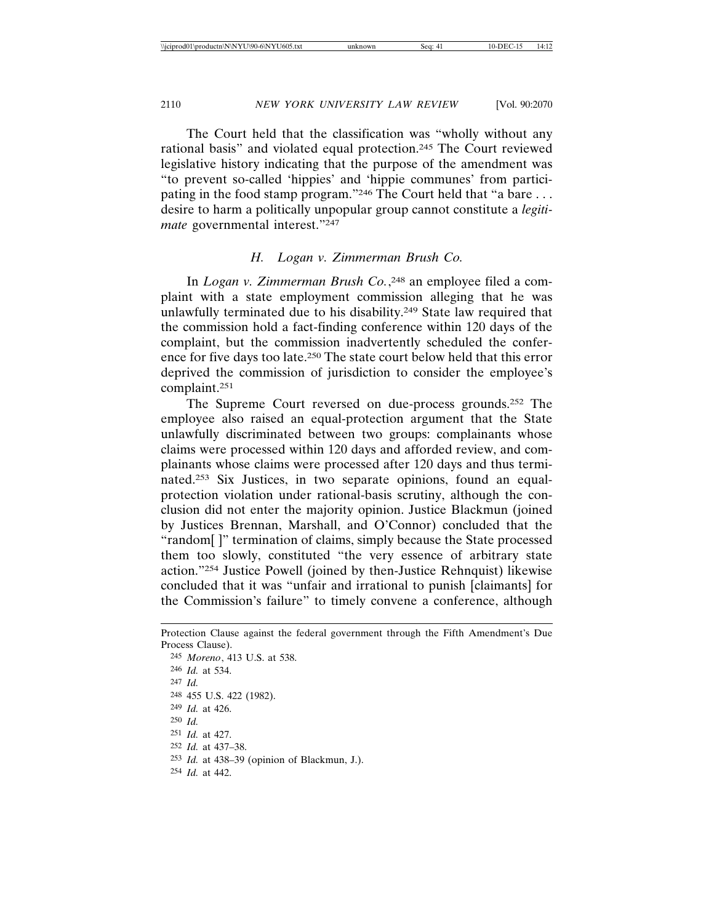The Court held that the classification was "wholly without any rational basis" and violated equal protection.245 The Court reviewed legislative history indicating that the purpose of the amendment was "to prevent so-called 'hippies' and 'hippie communes' from participating in the food stamp program."<sup>246</sup> The Court held that "a bare ... desire to harm a politically unpopular group cannot constitute a *legitimate* governmental interest."247

## *H. Logan v. Zimmerman Brush Co.*

In *Logan v. Zimmerman Brush Co.*, 248 an employee filed a complaint with a state employment commission alleging that he was unlawfully terminated due to his disability.249 State law required that the commission hold a fact-finding conference within 120 days of the complaint, but the commission inadvertently scheduled the conference for five days too late.250 The state court below held that this error deprived the commission of jurisdiction to consider the employee's complaint.251

The Supreme Court reversed on due-process grounds.252 The employee also raised an equal-protection argument that the State unlawfully discriminated between two groups: complainants whose claims were processed within 120 days and afforded review, and complainants whose claims were processed after 120 days and thus terminated.253 Six Justices, in two separate opinions, found an equalprotection violation under rational-basis scrutiny, although the conclusion did not enter the majority opinion. Justice Blackmun (joined by Justices Brennan, Marshall, and O'Connor) concluded that the "random[ ]" termination of claims, simply because the State processed them too slowly, constituted "the very essence of arbitrary state action."254 Justice Powell (joined by then-Justice Rehnquist) likewise concluded that it was "unfair and irrational to punish [claimants] for the Commission's failure" to timely convene a conference, although

Protection Clause against the federal government through the Fifth Amendment's Due Process Clause). 245 *Moreno*, 413 U.S. at 538. 246 *Id.* at 534. 247 *Id.* 248 455 U.S. 422 (1982). 249 *Id.* at 426.

250 *Id. Id.* at 427. *Id.* at 437–38. *Id.* at 438–39 (opinion of Blackmun, J.).

254 *Id.* at 442.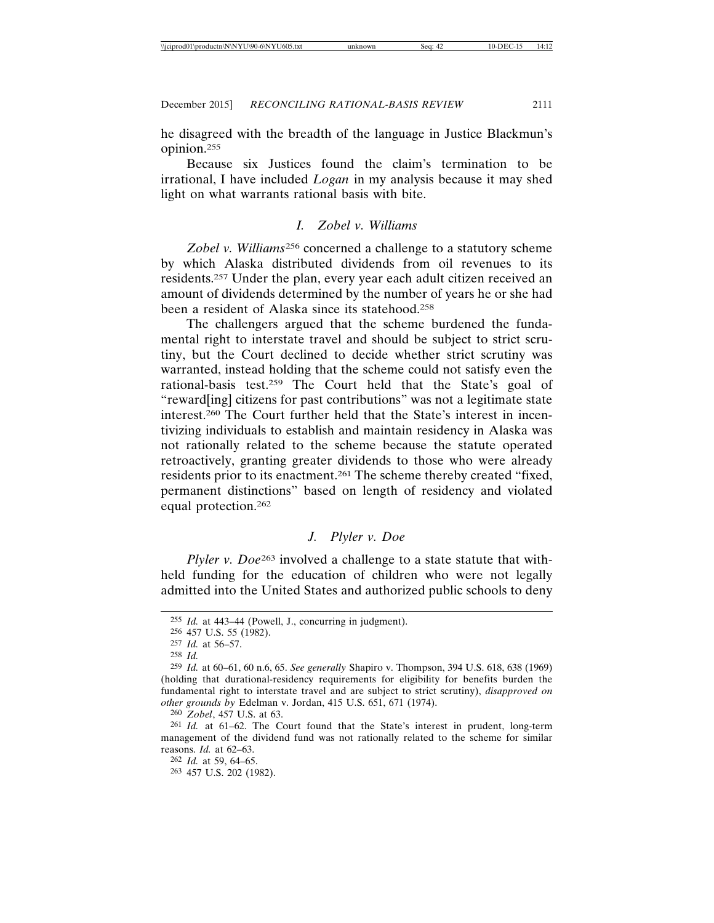he disagreed with the breadth of the language in Justice Blackmun's opinion.255

Because six Justices found the claim's termination to be irrational, I have included *Logan* in my analysis because it may shed light on what warrants rational basis with bite.

### *I. Zobel v. Williams*

*Zobel v. Williams*256 concerned a challenge to a statutory scheme by which Alaska distributed dividends from oil revenues to its residents.257 Under the plan, every year each adult citizen received an amount of dividends determined by the number of years he or she had been a resident of Alaska since its statehood.<sup>258</sup>

The challengers argued that the scheme burdened the fundamental right to interstate travel and should be subject to strict scrutiny, but the Court declined to decide whether strict scrutiny was warranted, instead holding that the scheme could not satisfy even the rational-basis test.259 The Court held that the State's goal of "reward[ing] citizens for past contributions" was not a legitimate state interest.260 The Court further held that the State's interest in incentivizing individuals to establish and maintain residency in Alaska was not rationally related to the scheme because the statute operated retroactively, granting greater dividends to those who were already residents prior to its enactment.261 The scheme thereby created "fixed, permanent distinctions" based on length of residency and violated equal protection.262

## *J. Plyler v. Doe*

*Plyler v. Doe*<sup>263</sup> involved a challenge to a state statute that withheld funding for the education of children who were not legally admitted into the United States and authorized public schools to deny

<sup>255</sup> *Id.* at 443–44 (Powell, J., concurring in judgment).

<sup>256</sup> 457 U.S. 55 (1982).

<sup>257</sup> *Id.* at 56–57.

<sup>258</sup> *Id.*

<sup>259</sup> *Id.* at 60–61, 60 n.6, 65. *See generally* Shapiro v. Thompson, 394 U.S. 618, 638 (1969) (holding that durational-residency requirements for eligibility for benefits burden the fundamental right to interstate travel and are subject to strict scrutiny), *disapproved on other grounds by* Edelman v. Jordan, 415 U.S. 651, 671 (1974).

<sup>260</sup> *Zobel*, 457 U.S. at 63.

<sup>261</sup> *Id.* at 61–62. The Court found that the State's interest in prudent, long-term management of the dividend fund was not rationally related to the scheme for similar reasons. *Id.* at 62–63.

<sup>262</sup> *Id.* at 59, 64–65. 263 457 U.S. 202 (1982).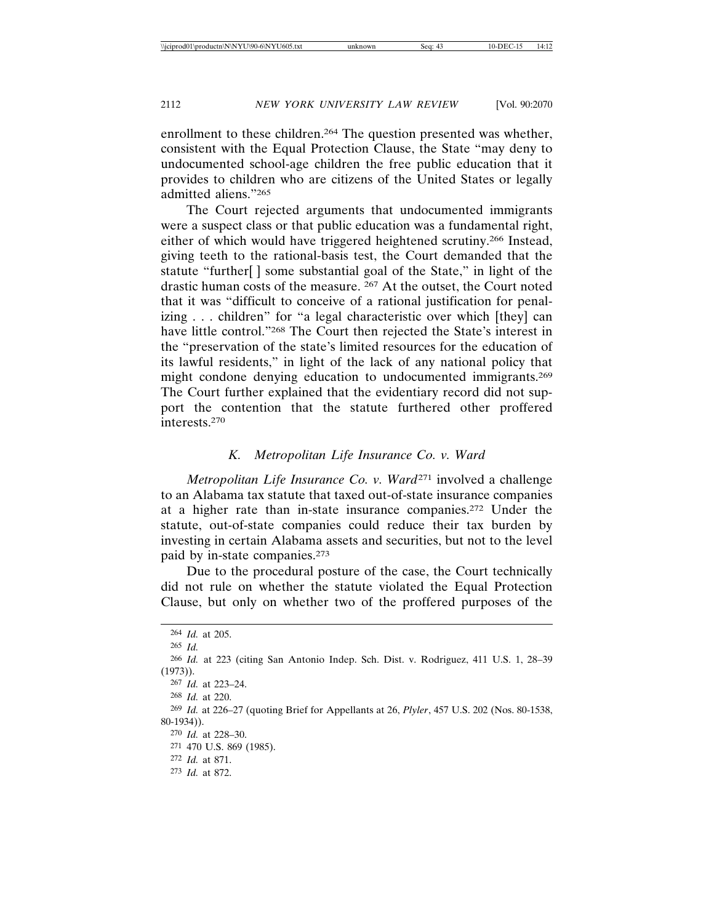enrollment to these children.<sup>264</sup> The question presented was whether, consistent with the Equal Protection Clause, the State "may deny to undocumented school-age children the free public education that it provides to children who are citizens of the United States or legally admitted aliens."265

The Court rejected arguments that undocumented immigrants were a suspect class or that public education was a fundamental right, either of which would have triggered heightened scrutiny.266 Instead, giving teeth to the rational-basis test, the Court demanded that the statute "further[ ] some substantial goal of the State," in light of the drastic human costs of the measure. 267 At the outset, the Court noted that it was "difficult to conceive of a rational justification for penalizing . . . children" for "a legal characteristic over which [they] can have little control."268 The Court then rejected the State's interest in the "preservation of the state's limited resources for the education of its lawful residents," in light of the lack of any national policy that might condone denying education to undocumented immigrants.269 The Court further explained that the evidentiary record did not support the contention that the statute furthered other proffered interests.270

### *K. Metropolitan Life Insurance Co. v. Ward*

*Metropolitan Life Insurance Co. v. Ward*271 involved a challenge to an Alabama tax statute that taxed out-of-state insurance companies at a higher rate than in-state insurance companies.272 Under the statute, out-of-state companies could reduce their tax burden by investing in certain Alabama assets and securities, but not to the level paid by in-state companies.273

Due to the procedural posture of the case, the Court technically did not rule on whether the statute violated the Equal Protection Clause, but only on whether two of the proffered purposes of the

 *Id.* at 205. 265 *Id. Id.* at 223 (citing San Antonio Indep. Sch. Dist. v. Rodriguez, 411 U.S. 1, 28–39 (1973)). *Id.* at 223–24. *Id.* at 220. *Id.* at 226–27 (quoting Brief for Appellants at 26, *Plyler*, 457 U.S. 202 (Nos. 80-1538, 80-1934)). *Id.* at 228–30. 470 U.S. 869 (1985). *Id.* at 871. *Id.* at 872.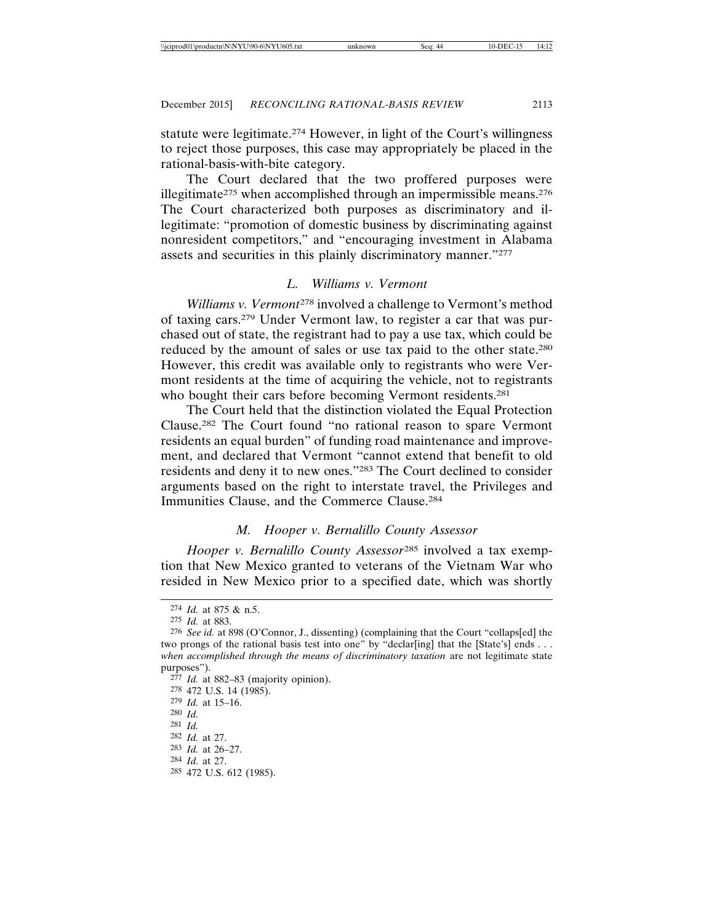statute were legitimate.274 However, in light of the Court's willingness to reject those purposes, this case may appropriately be placed in the rational-basis-with-bite category.

The Court declared that the two proffered purposes were illegitimate<sup>275</sup> when accomplished through an impermissible means.<sup>276</sup> The Court characterized both purposes as discriminatory and illegitimate: "promotion of domestic business by discriminating against nonresident competitors," and "encouraging investment in Alabama assets and securities in this plainly discriminatory manner."277

## *L. Williams v. Vermont*

*Williams v. Vermont*<sup>278</sup> involved a challenge to Vermont's method of taxing cars.279 Under Vermont law, to register a car that was purchased out of state, the registrant had to pay a use tax, which could be reduced by the amount of sales or use tax paid to the other state.280 However, this credit was available only to registrants who were Vermont residents at the time of acquiring the vehicle, not to registrants who bought their cars before becoming Vermont residents.<sup>281</sup>

The Court held that the distinction violated the Equal Protection Clause.282 The Court found "no rational reason to spare Vermont residents an equal burden" of funding road maintenance and improvement, and declared that Vermont "cannot extend that benefit to old residents and deny it to new ones."283 The Court declined to consider arguments based on the right to interstate travel, the Privileges and Immunities Clause, and the Commerce Clause.284

## *M. Hooper v. Bernalillo County Assessor*

*Hooper v. Bernalillo County Assessor*285 involved a tax exemption that New Mexico granted to veterans of the Vietnam War who resided in New Mexico prior to a specified date, which was shortly

- 279 *Id.* at 15–16.
- 280 *Id.* 281 *Id.*
- 282 *Id.* at 27.

- 284 *Id.* at 27.
- 285 472 U.S. 612 (1985).

<sup>274</sup> *Id.* at 875 & n.5.

<sup>275</sup> *Id.* at 883.

<sup>276</sup> *See id.* at 898 (O'Connor, J., dissenting) (complaining that the Court "collaps[ed] the two prongs of the rational basis test into one" by "declar[ing] that the [State's] ends  $\dots$ *when accomplished through the means of discriminatory taxation* are not legitimate state purposes").

<sup>277</sup> *Id.* at 882–83 (majority opinion).

<sup>278</sup> 472 U.S. 14 (1985).

<sup>283</sup> *Id.* at 26–27.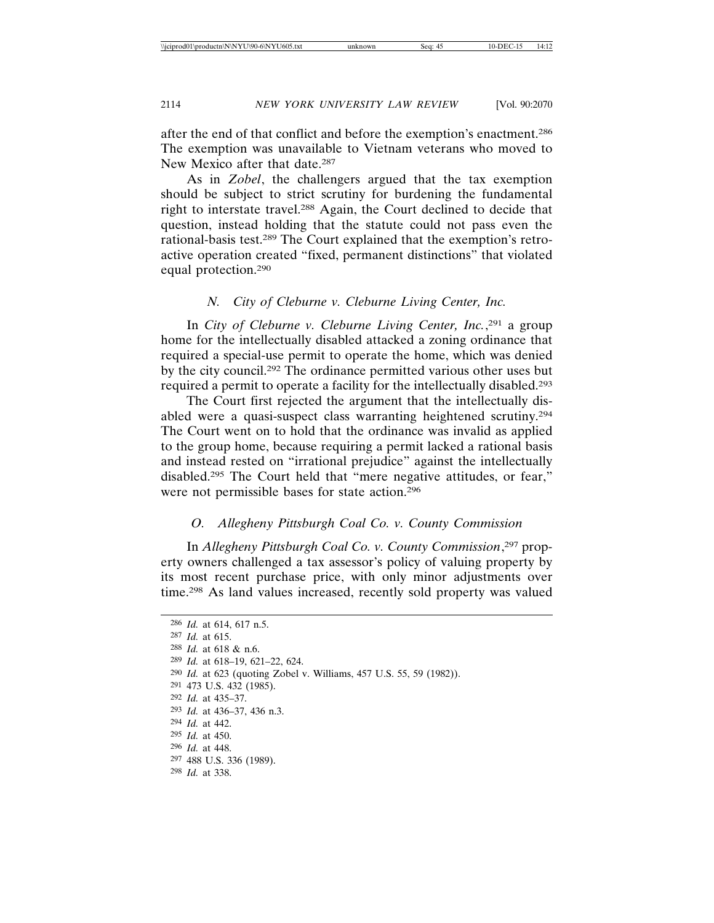after the end of that conflict and before the exemption's enactment.286 The exemption was unavailable to Vietnam veterans who moved to New Mexico after that date.287

As in *Zobel*, the challengers argued that the tax exemption should be subject to strict scrutiny for burdening the fundamental right to interstate travel.288 Again, the Court declined to decide that question, instead holding that the statute could not pass even the rational-basis test.289 The Court explained that the exemption's retroactive operation created "fixed, permanent distinctions" that violated equal protection.290

## *N. City of Cleburne v. Cleburne Living Center, Inc.*

In *City of Cleburne v. Cleburne Living Center, Inc.*, 291 a group home for the intellectually disabled attacked a zoning ordinance that required a special-use permit to operate the home, which was denied by the city council.292 The ordinance permitted various other uses but required a permit to operate a facility for the intellectually disabled.293

The Court first rejected the argument that the intellectually disabled were a quasi-suspect class warranting heightened scrutiny.294 The Court went on to hold that the ordinance was invalid as applied to the group home, because requiring a permit lacked a rational basis and instead rested on "irrational prejudice" against the intellectually disabled.295 The Court held that "mere negative attitudes, or fear," were not permissible bases for state action.296

## *O. Allegheny Pittsburgh Coal Co. v. County Commission*

In *Allegheny Pittsburgh Coal Co. v. County Commission*, 297 property owners challenged a tax assessor's policy of valuing property by its most recent purchase price, with only minor adjustments over time.298 As land values increased, recently sold property was valued

 *Id.* at 614, 617 n.5. *Id.* at 615. *Id.* at 618 & n.6. *Id.* at 618–19, 621–22, 624. *Id.* at 623 (quoting Zobel v. Williams, 457 U.S. 55, 59 (1982)). 473 U.S. 432 (1985). *Id.* at 435–37. *Id.* at 436–37, 436 n.3. *Id.* at 442. *Id.* at 450. *Id.* at 448. 488 U.S. 336 (1989). *Id.* at 338.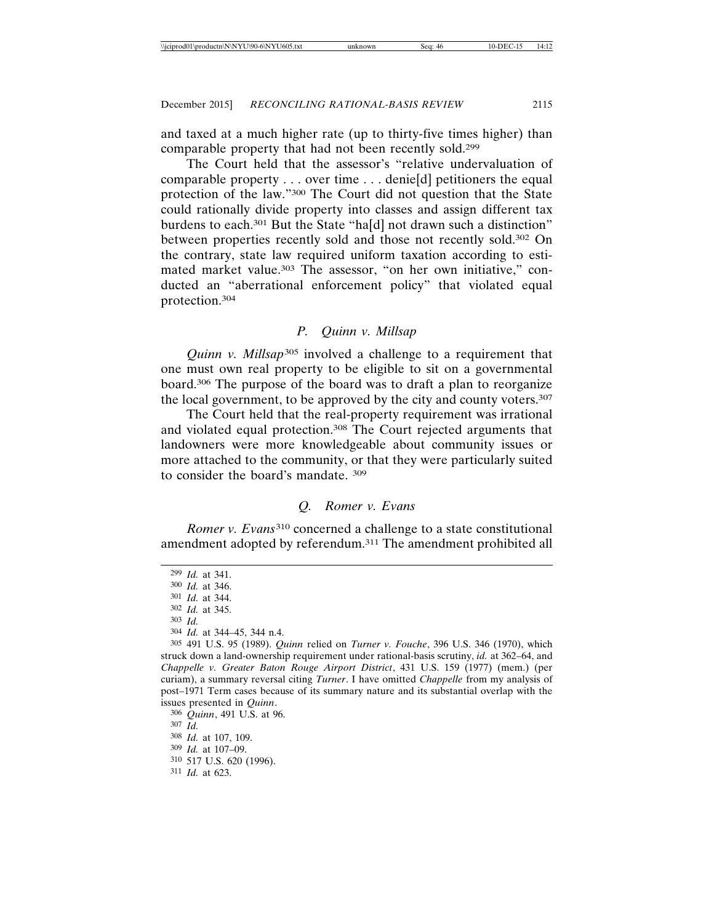and taxed at a much higher rate (up to thirty-five times higher) than comparable property that had not been recently sold.299

The Court held that the assessor's "relative undervaluation of comparable property . . . over time . . . denie[d] petitioners the equal protection of the law."300 The Court did not question that the State could rationally divide property into classes and assign different tax burdens to each.<sup>301</sup> But the State "ha[d] not drawn such a distinction" between properties recently sold and those not recently sold.302 On the contrary, state law required uniform taxation according to estimated market value.<sup>303</sup> The assessor, "on her own initiative," conducted an "aberrational enforcement policy" that violated equal protection.304

### *P. Quinn v. Millsap*

*Quinn v. Millsap*305 involved a challenge to a requirement that one must own real property to be eligible to sit on a governmental board.306 The purpose of the board was to draft a plan to reorganize the local government, to be approved by the city and county voters.307

The Court held that the real-property requirement was irrational and violated equal protection.308 The Court rejected arguments that landowners were more knowledgeable about community issues or more attached to the community, or that they were particularly suited to consider the board's mandate. 309

### *Q. Romer v. Evans*

*Romer v. Evans*310 concerned a challenge to a state constitutional amendment adopted by referendum.311 The amendment prohibited all

<sup>299</sup> *Id.* at 341. 300 *Id.* at 346. 301 *Id.* at 344. 302 *Id.* at 345. 303 *Id.* 304 *Id.* at 344–45, 344 n.4.

<sup>305</sup> 491 U.S. 95 (1989). *Quinn* relied on *Turner v. Fouche*, 396 U.S. 346 (1970), which struck down a land-ownership requirement under rational-basis scrutiny, *id.* at 362–64, and *Chappelle v. Greater Baton Rouge Airport District*, 431 U.S. 159 (1977) (mem.) (per curiam), a summary reversal citing *Turner*. I have omitted *Chappelle* from my analysis of post–1971 Term cases because of its summary nature and its substantial overlap with the issues presented in *Quinn*.

<sup>306</sup> *Quinn*, 491 U.S. at 96. 307 *Id.* 308 *Id.* at 107, 109. 309 *Id.* at 107–09. 310 517 U.S. 620 (1996). 311 *Id.* at 623.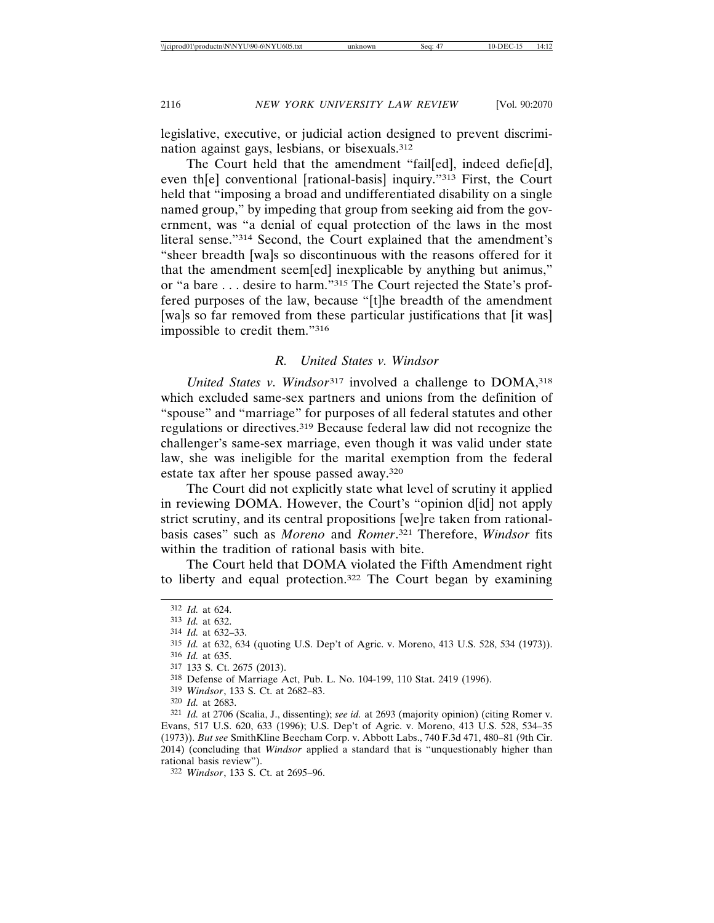legislative, executive, or judicial action designed to prevent discrimination against gays, lesbians, or bisexuals.312

The Court held that the amendment "fail[ed], indeed defie[d], even th[e] conventional [rational-basis] inquiry."313 First, the Court held that "imposing a broad and undifferentiated disability on a single named group," by impeding that group from seeking aid from the government, was "a denial of equal protection of the laws in the most literal sense."314 Second, the Court explained that the amendment's "sheer breadth [wa]s so discontinuous with the reasons offered for it that the amendment seem[ed] inexplicable by anything but animus," or "a bare . . . desire to harm."315 The Court rejected the State's proffered purposes of the law, because "[t]he breadth of the amendment [wa]s so far removed from these particular justifications that [it was] impossible to credit them."316

## *R. United States v. Windsor*

*United States v. Windsor*<sup>317</sup> involved a challenge to DOMA,<sup>318</sup> which excluded same-sex partners and unions from the definition of "spouse" and "marriage" for purposes of all federal statutes and other regulations or directives.319 Because federal law did not recognize the challenger's same-sex marriage, even though it was valid under state law, she was ineligible for the marital exemption from the federal estate tax after her spouse passed away.320

The Court did not explicitly state what level of scrutiny it applied in reviewing DOMA. However, the Court's "opinion d[id] not apply strict scrutiny, and its central propositions [we]re taken from rationalbasis cases" such as *Moreno* and *Romer*. 321 Therefore, *Windsor* fits within the tradition of rational basis with bite.

The Court held that DOMA violated the Fifth Amendment right to liberty and equal protection.322 The Court began by examining

316 *Id.* at 635.

<sup>312</sup> *Id.* at 624.

<sup>313</sup> *Id.* at 632.

<sup>314</sup> *Id.* at 632–33.

<sup>315</sup> *Id.* at 632, 634 (quoting U.S. Dep't of Agric. v. Moreno, 413 U.S. 528, 534 (1973)).

<sup>317</sup> 133 S. Ct. 2675 (2013).

<sup>318</sup> Defense of Marriage Act, Pub. L. No. 104-199, 110 Stat. 2419 (1996).

<sup>319</sup> *Windsor*, 133 S. Ct. at 2682–83.

<sup>320</sup> *Id.* at 2683.

<sup>321</sup> *Id.* at 2706 (Scalia, J., dissenting); *see id.* at 2693 (majority opinion) (citing Romer v. Evans, 517 U.S. 620, 633 (1996); U.S. Dep't of Agric. v. Moreno, 413 U.S. 528, 534–35 (1973)). *But see* SmithKline Beecham Corp. v. Abbott Labs., 740 F.3d 471, 480–81 (9th Cir. 2014) (concluding that *Windsor* applied a standard that is "unquestionably higher than rational basis review").

<sup>322</sup> *Windsor*, 133 S. Ct. at 2695–96.